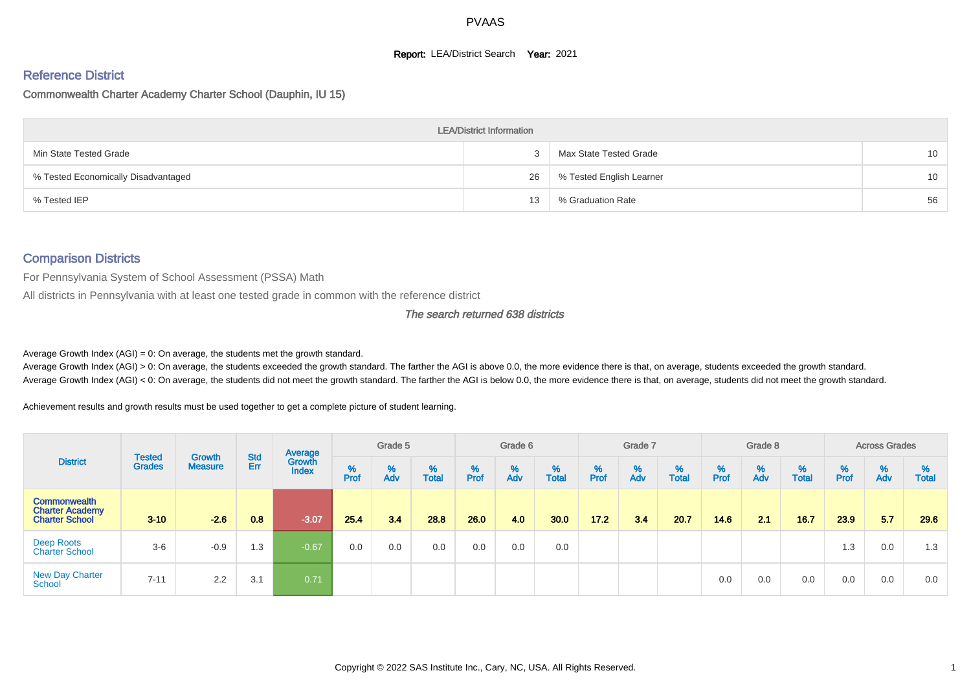#### **Report: LEA/District Search Year: 2021**

# Reference District

Commonwealth Charter Academy Charter School (Dauphin, IU 15)

|                                     | <b>LEA/District Information</b> |                          |                 |
|-------------------------------------|---------------------------------|--------------------------|-----------------|
| Min State Tested Grade              |                                 | Max State Tested Grade   | 10 <sup>1</sup> |
| % Tested Economically Disadvantaged | 26                              | % Tested English Learner | 10 <sup>1</sup> |
| % Tested IEP                        | 13                              | % Graduation Rate        | 56              |

#### Comparison Districts

For Pennsylvania System of School Assessment (PSSA) Math

All districts in Pennsylvania with at least one tested grade in common with the reference district

#### The search returned 638 districts

Average Growth Index  $(AGI) = 0$ : On average, the students met the growth standard.

Average Growth Index (AGI) > 0: On average, the students exceeded the growth standard. The farther the AGI is above 0.0, the more evidence there is that, on average, students exceeded the growth standard. Average Growth Index (AGI) < 0: On average, the students did not meet the growth standard. The farther the AGI is below 0.0, the more evidence there is that, on average, students did not meet the growth standard.

Achievement results and growth results must be used together to get a complete picture of student learning.

| <b>District</b>                                                        |                                |                          |            | Average                |           | Grade 5  |                   |           | Grade 6  |                   |           | Grade 7  |                   |           | Grade 8  |                   |           | <b>Across Grades</b> |                   |
|------------------------------------------------------------------------|--------------------------------|--------------------------|------------|------------------------|-----------|----------|-------------------|-----------|----------|-------------------|-----------|----------|-------------------|-----------|----------|-------------------|-----------|----------------------|-------------------|
|                                                                        | <b>Tested</b><br><b>Grades</b> | Growth<br><b>Measure</b> | Std<br>Err | Growth<br><b>Index</b> | %<br>Prof | %<br>Adv | %<br><b>Total</b> | %<br>Prof | %<br>Adv | %<br><b>Total</b> | %<br>Prof | %<br>Adv | %<br><b>Total</b> | %<br>Prof | %<br>Adv | %<br><b>Total</b> | %<br>Prof | %<br>Adv             | %<br><b>Total</b> |
| <b>Commonwealth</b><br><b>Charter Academy</b><br><b>Charter School</b> | $3 - 10$                       | $-2.6$                   | 0.8        | $-3.07/$               | 25.4      | 3.4      | 28.8              | 26.0      | 4.0      | 30.0              | 17.2      | 3.4      | 20.7              | 14.6      | 2.1      | 16.7              | 23.9      | 5.7                  | 29.6              |
| Deep Roots<br><b>Charter School</b>                                    | $3-6$                          | $-0.9$                   | 1.3        | $-0.67$                | 0.0       | 0.0      | 0.0               | 0.0       | 0.0      | 0.0               |           |          |                   |           |          |                   | 1.3       | 0.0                  | 1.3               |
| <b>New Day Charter</b><br>School                                       | $7 - 11$                       | 2.2                      | 3.1        | 0.71                   |           |          |                   |           |          |                   |           |          |                   | 0.0       | 0.0      | 0.0               | 0.0       | 0.0                  | 0.0               |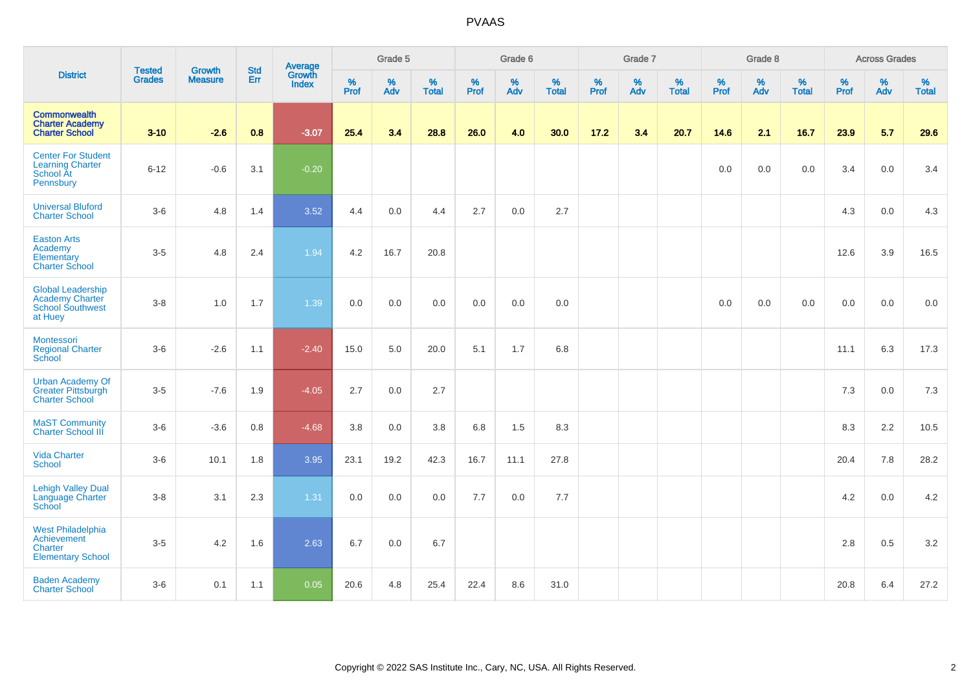|                                                                                          | <b>Tested</b> | <b>Growth</b>  | <b>Std</b> | Average                |           | Grade 5  |                   |              | Grade 6  |                   |              | Grade 7  |                   |              | Grade 8  |                   |              | <b>Across Grades</b> |               |
|------------------------------------------------------------------------------------------|---------------|----------------|------------|------------------------|-----------|----------|-------------------|--------------|----------|-------------------|--------------|----------|-------------------|--------------|----------|-------------------|--------------|----------------------|---------------|
| <b>District</b>                                                                          | <b>Grades</b> | <b>Measure</b> | Err        | Growth<br><b>Index</b> | %<br>Prof | %<br>Adv | %<br><b>Total</b> | $\%$<br>Prof | %<br>Adv | %<br><b>Total</b> | $\%$<br>Prof | %<br>Adv | %<br><b>Total</b> | $\%$<br>Prof | %<br>Adv | %<br><b>Total</b> | $\%$<br>Prof | $\%$<br>Adv          | $\%$<br>Total |
| <b>Commonwealth</b><br><b>Charter Academy</b><br><b>Charter School</b>                   | $3 - 10$      | $-2.6$         | 0.8        | $-3.07$                | 25.4      | 3.4      | 28.8              | 26.0         | 4.0      | 30.0              | 17.2         | 3.4      | 20.7              | 14.6         | 2.1      | 16.7              | 23.9         | 5.7                  | 29.6          |
| <b>Center For Student</b><br><b>Learning Charter</b><br>School At<br>Pennsbury           | $6 - 12$      | $-0.6$         | 3.1        | $-0.20$                |           |          |                   |              |          |                   |              |          |                   | 0.0          | 0.0      | 0.0               | 3.4          | 0.0                  | 3.4           |
| <b>Universal Bluford</b><br><b>Charter School</b>                                        | $3-6$         | 4.8            | 1.4        | 3.52                   | 4.4       | 0.0      | 4.4               | 2.7          | 0.0      | 2.7               |              |          |                   |              |          |                   | 4.3          | 0.0                  | 4.3           |
| <b>Easton Arts</b><br>Academy<br>Elementary<br><b>Charter School</b>                     | $3-5$         | 4.8            | 2.4        | 1.94                   | 4.2       | 16.7     | 20.8              |              |          |                   |              |          |                   |              |          |                   | 12.6         | 3.9                  | 16.5          |
| <b>Global Leadership</b><br><b>Academy Charter</b><br><b>School Southwest</b><br>at Huey | $3-8$         | 1.0            | 1.7        | 1.39                   | 0.0       | 0.0      | 0.0               | 0.0          | 0.0      | 0.0               |              |          |                   | 0.0          | 0.0      | 0.0               | 0.0          | 0.0                  | 0.0           |
| <b>Montessori</b><br><b>Regional Charter</b><br>School                                   | $3-6$         | $-2.6$         | 1.1        | $-2.40$                | 15.0      | 5.0      | 20.0              | 5.1          | 1.7      | 6.8               |              |          |                   |              |          |                   | 11.1         | 6.3                  | 17.3          |
| <b>Urban Academy Of</b><br><b>Greater Pittsburgh</b><br><b>Charter School</b>            | $3-5$         | $-7.6$         | 1.9        | $-4.05$                | 2.7       | 0.0      | 2.7               |              |          |                   |              |          |                   |              |          |                   | 7.3          | 0.0                  | 7.3           |
| <b>MaST Community</b><br><b>Charter School III</b>                                       | $3-6$         | $-3.6$         | $0.8\,$    | $-4.68$                | 3.8       | $0.0\,$  | $3.8\,$           | 6.8          | 1.5      | 8.3               |              |          |                   |              |          |                   | 8.3          | 2.2                  | 10.5          |
| <b>Vida Charter</b><br>School                                                            | $3-6$         | 10.1           | 1.8        | 3.95                   | 23.1      | 19.2     | 42.3              | 16.7         | 11.1     | 27.8              |              |          |                   |              |          |                   | 20.4         | 7.8                  | 28.2          |
| <b>Lehigh Valley Dual</b><br>Language Charter<br>School                                  | $3-8$         | 3.1            | 2.3        | 1.31                   | 0.0       | 0.0      | 0.0               | 7.7          | 0.0      | 7.7               |              |          |                   |              |          |                   | 4.2          | 0.0                  | 4.2           |
| <b>West Philadelphia</b><br>Achievement<br>Charter<br><b>Elementary School</b>           | $3-5$         | 4.2            | 1.6        | 2.63                   | 6.7       | 0.0      | 6.7               |              |          |                   |              |          |                   |              |          |                   | 2.8          | 0.5                  | 3.2           |
| <b>Baden Academy</b><br><b>Charter School</b>                                            | $3-6$         | 0.1            | 1.1        | 0.05                   | 20.6      | 4.8      | 25.4              | 22.4         | 8.6      | 31.0              |              |          |                   |              |          |                   | 20.8         | 6.4                  | 27.2          |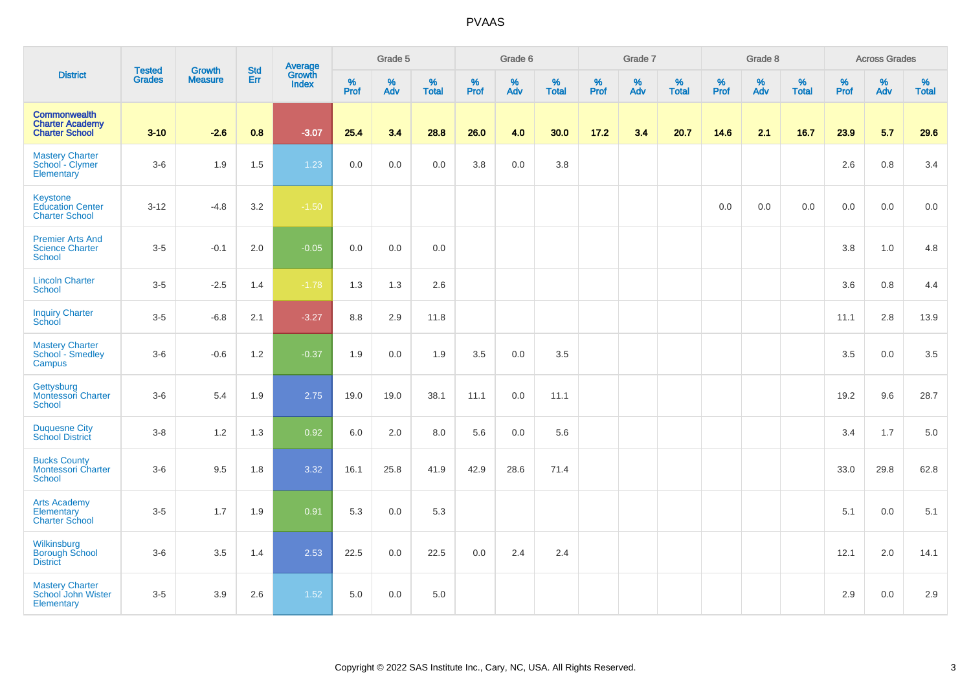|                                                                        | <b>Tested</b> | <b>Growth</b>  |            | Average                |                              | Grade 5  |                   |              | Grade 6  |                   |              | Grade 7  |                   |           | Grade 8  |                   |           | <b>Across Grades</b> |                   |
|------------------------------------------------------------------------|---------------|----------------|------------|------------------------|------------------------------|----------|-------------------|--------------|----------|-------------------|--------------|----------|-------------------|-----------|----------|-------------------|-----------|----------------------|-------------------|
| <b>District</b>                                                        | <b>Grades</b> | <b>Measure</b> | Std<br>Err | Growth<br><b>Index</b> | $\frac{9}{6}$<br><b>Prof</b> | %<br>Adv | %<br><b>Total</b> | $\%$<br>Prof | %<br>Adv | %<br><b>Total</b> | $\%$<br>Prof | %<br>Adv | %<br><b>Total</b> | %<br>Prof | %<br>Adv | %<br><b>Total</b> | %<br>Prof | %<br>Adv             | %<br><b>Total</b> |
| <b>Commonwealth</b><br><b>Charter Academy</b><br><b>Charter School</b> | $3 - 10$      | $-2.6$         | 0.8        | $-3.07$                | 25.4                         | 3.4      | 28.8              | 26.0         | 4.0      | 30.0              | 17.2         | 3.4      | 20.7              | 14.6      | 2.1      | 16.7              | 23.9      | 5.7                  | 29.6              |
| <b>Mastery Charter</b><br>School - Clymer<br>Elementary                | $3-6$         | 1.9            | 1.5        | 1.23                   | 0.0                          | 0.0      | 0.0               | 3.8          | 0.0      | 3.8               |              |          |                   |           |          |                   | 2.6       | 0.8                  | 3.4               |
| Keystone<br><b>Education Center</b><br><b>Charter School</b>           | $3 - 12$      | $-4.8$         | 3.2        | $-1.50$                |                              |          |                   |              |          |                   |              |          |                   | 0.0       | 0.0      | 0.0               | 0.0       | 0.0                  | 0.0               |
| <b>Premier Arts And</b><br><b>Science Charter</b><br><b>School</b>     | $3-5$         | $-0.1$         | $2.0\,$    | $-0.05$                | 0.0                          | 0.0      | 0.0               |              |          |                   |              |          |                   |           |          |                   | 3.8       | $1.0$                | 4.8               |
| <b>Lincoln Charter</b><br><b>School</b>                                | $3 - 5$       | $-2.5$         | 1.4        | $-1.78$                | 1.3                          | 1.3      | 2.6               |              |          |                   |              |          |                   |           |          |                   | 3.6       | 0.8                  | 4.4               |
| <b>Inquiry Charter</b><br>School                                       | $3-5$         | $-6.8$         | 2.1        | $-3.27$                | 8.8                          | 2.9      | 11.8              |              |          |                   |              |          |                   |           |          |                   | 11.1      | 2.8                  | 13.9              |
| <b>Mastery Charter</b><br>School - Smedley<br>Campus                   | $3-6$         | $-0.6$         | 1.2        | $-0.37$                | 1.9                          | 0.0      | 1.9               | 3.5          | 0.0      | 3.5               |              |          |                   |           |          |                   | 3.5       | $0.0\,$              | 3.5               |
| Gettysburg<br><b>Montessori Charter</b><br><b>School</b>               | $3-6$         | 5.4            | 1.9        | 2.75                   | 19.0                         | 19.0     | 38.1              | 11.1         | 0.0      | 11.1              |              |          |                   |           |          |                   | 19.2      | 9.6                  | 28.7              |
| <b>Duquesne City</b><br><b>School District</b>                         | $3-8$         | 1.2            | 1.3        | 0.92                   | 6.0                          | 2.0      | 8.0               | 5.6          | 0.0      | 5.6               |              |          |                   |           |          |                   | 3.4       | 1.7                  | 5.0               |
| <b>Bucks County</b><br><b>Montessori Charter</b><br>School             | $3-6$         | 9.5            | 1.8        | 3.32                   | 16.1                         | 25.8     | 41.9              | 42.9         | 28.6     | 71.4              |              |          |                   |           |          |                   | 33.0      | 29.8                 | 62.8              |
| <b>Arts Academy</b><br>Elementary<br><b>Charter School</b>             | $3-5$         | 1.7            | 1.9        | 0.91                   | 5.3                          | 0.0      | 5.3               |              |          |                   |              |          |                   |           |          |                   | 5.1       | 0.0                  | 5.1               |
| Wilkinsburg<br><b>Borough School</b><br><b>District</b>                | $3-6$         | 3.5            | 1.4        | 2.53                   | 22.5                         | 0.0      | 22.5              | 0.0          | 2.4      | 2.4               |              |          |                   |           |          |                   | 12.1      | 2.0                  | 14.1              |
| <b>Mastery Charter</b><br>School John Wister<br>Elementary             | $3-5$         | 3.9            | 2.6        | 1.52                   | 5.0                          | 0.0      | 5.0               |              |          |                   |              |          |                   |           |          |                   | 2.9       | 0.0                  | 2.9               |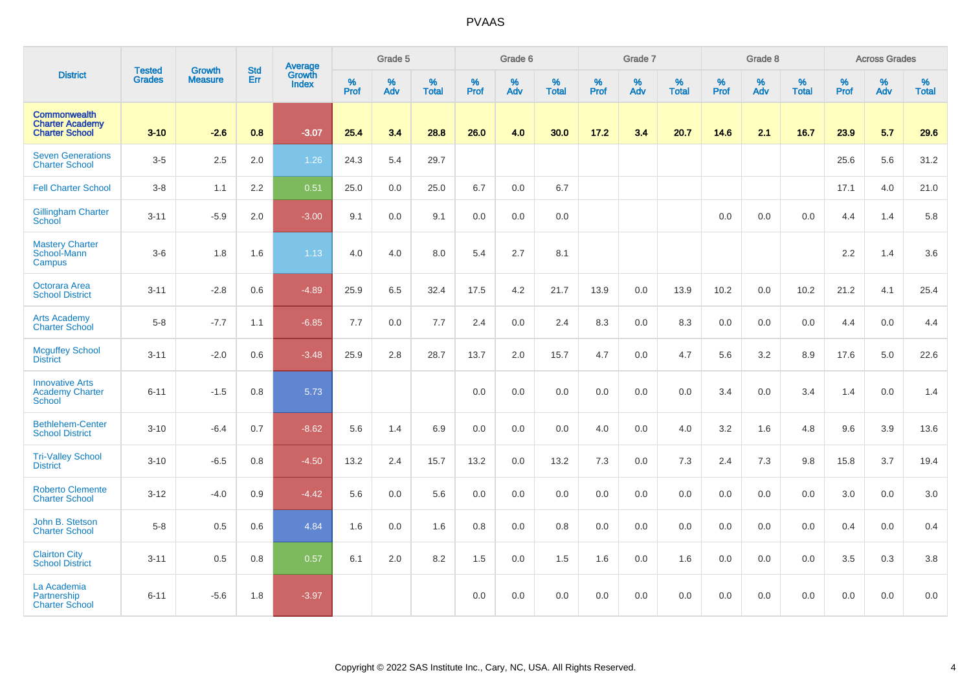|                                                                        | <b>Tested</b> | <b>Growth</b>  | <b>Std</b> | Average                |              | Grade 5  |                   |           | Grade 6  |                   |           | Grade 7  |                   |           | Grade 8  |                   |           | <b>Across Grades</b> |                   |
|------------------------------------------------------------------------|---------------|----------------|------------|------------------------|--------------|----------|-------------------|-----------|----------|-------------------|-----------|----------|-------------------|-----------|----------|-------------------|-----------|----------------------|-------------------|
| <b>District</b>                                                        | <b>Grades</b> | <b>Measure</b> | Err        | Growth<br><b>Index</b> | $\%$<br>Prof | %<br>Adv | %<br><b>Total</b> | %<br>Prof | %<br>Adv | %<br><b>Total</b> | %<br>Prof | %<br>Adv | %<br><b>Total</b> | %<br>Prof | %<br>Adv | %<br><b>Total</b> | %<br>Prof | %<br>Adv             | %<br><b>Total</b> |
| <b>Commonwealth</b><br><b>Charter Academy</b><br><b>Charter School</b> | $3 - 10$      | $-2.6$         | 0.8        | $-3.07$                | 25.4         | 3.4      | 28.8              | 26.0      | 4.0      | 30.0              | 17.2      | 3.4      | 20.7              | 14.6      | 2.1      | 16.7              | 23.9      | 5.7                  | 29.6              |
| <b>Seven Generations</b><br><b>Charter School</b>                      | $3-5$         | 2.5            | 2.0        | 1.26                   | 24.3         | 5.4      | 29.7              |           |          |                   |           |          |                   |           |          |                   | 25.6      | 5.6                  | 31.2              |
| <b>Fell Charter School</b>                                             | $3-8$         | 1.1            | 2.2        | 0.51                   | 25.0         | 0.0      | 25.0              | 6.7       | 0.0      | 6.7               |           |          |                   |           |          |                   | 17.1      | 4.0                  | 21.0              |
| <b>Gillingham Charter</b><br>School                                    | $3 - 11$      | $-5.9$         | 2.0        | $-3.00$                | 9.1          | 0.0      | 9.1               | 0.0       | 0.0      | 0.0               |           |          |                   | 0.0       | 0.0      | 0.0               | 4.4       | 1.4                  | 5.8               |
| <b>Mastery Charter</b><br>School-Mann<br>Campus                        | $3-6$         | 1.8            | 1.6        | 1.13                   | 4.0          | 4.0      | 8.0               | 5.4       | 2.7      | 8.1               |           |          |                   |           |          |                   | 2.2       | 1.4                  | 3.6               |
| Octorara Area<br><b>School District</b>                                | $3 - 11$      | $-2.8$         | 0.6        | $-4.89$                | 25.9         | 6.5      | 32.4              | 17.5      | 4.2      | 21.7              | 13.9      | 0.0      | 13.9              | 10.2      | 0.0      | 10.2              | 21.2      | 4.1                  | 25.4              |
| <b>Arts Academy</b><br><b>Charter School</b>                           | $5-8$         | $-7.7$         | 1.1        | $-6.85$                | 7.7          | 0.0      | 7.7               | 2.4       | 0.0      | 2.4               | 8.3       | 0.0      | 8.3               | 0.0       | 0.0      | 0.0               | 4.4       | 0.0                  | 4.4               |
| <b>Mcguffey School</b><br><b>District</b>                              | $3 - 11$      | $-2.0$         | 0.6        | $-3.48$                | 25.9         | 2.8      | 28.7              | 13.7      | 2.0      | 15.7              | 4.7       | 0.0      | 4.7               | 5.6       | 3.2      | 8.9               | 17.6      | 5.0                  | 22.6              |
| <b>Innovative Arts</b><br><b>Academy Charter</b><br><b>School</b>      | $6 - 11$      | $-1.5$         | 0.8        | 5.73                   |              |          |                   | 0.0       | 0.0      | 0.0               | 0.0       | 0.0      | 0.0               | 3.4       | 0.0      | 3.4               | 1.4       | 0.0                  | 1.4               |
| <b>Bethlehem-Center</b><br><b>School District</b>                      | $3 - 10$      | $-6.4$         | 0.7        | $-8.62$                | 5.6          | 1.4      | 6.9               | 0.0       | 0.0      | 0.0               | 4.0       | 0.0      | 4.0               | 3.2       | 1.6      | 4.8               | 9.6       | 3.9                  | 13.6              |
| <b>Tri-Valley School</b><br><b>District</b>                            | $3 - 10$      | $-6.5$         | 0.8        | $-4.50$                | 13.2         | 2.4      | 15.7              | 13.2      | 0.0      | 13.2              | 7.3       | 0.0      | 7.3               | 2.4       | 7.3      | 9.8               | 15.8      | 3.7                  | 19.4              |
| <b>Roberto Clemente</b><br><b>Charter School</b>                       | $3 - 12$      | $-4.0$         | 0.9        | $-4.42$                | 5.6          | 0.0      | 5.6               | 0.0       | 0.0      | 0.0               | 0.0       | 0.0      | 0.0               | 0.0       | 0.0      | 0.0               | 3.0       | 0.0                  | 3.0               |
| John B. Stetson<br><b>Charter School</b>                               | $5 - 8$       | 0.5            | 0.6        | 4.84                   | 1.6          | 0.0      | 1.6               | 0.8       | 0.0      | 0.8               | 0.0       | 0.0      | 0.0               | 0.0       | 0.0      | 0.0               | 0.4       | 0.0                  | 0.4               |
| <b>Clairton City</b><br><b>School District</b>                         | $3 - 11$      | 0.5            | 0.8        | 0.57                   | 6.1          | 2.0      | 8.2               | 1.5       | 0.0      | 1.5               | 1.6       | 0.0      | 1.6               | 0.0       | 0.0      | 0.0               | 3.5       | 0.3                  | 3.8               |
| La Academia<br>Partnership<br><b>Charter School</b>                    | $6 - 11$      | $-5.6$         | 1.8        | $-3.97$                |              |          |                   | 0.0       | 0.0      | 0.0               | 0.0       | 0.0      | 0.0               | 0.0       | 0.0      | 0.0               | 0.0       | 0.0                  | 0.0               |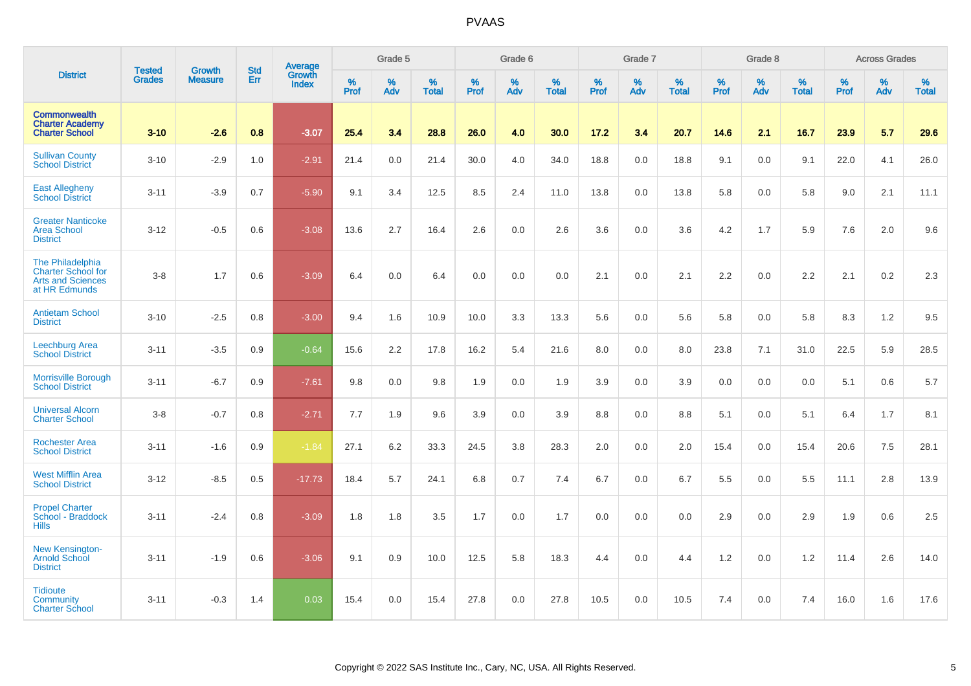|                                                                                            | <b>Tested</b> | <b>Growth</b>  | <b>Std</b> | <b>Average</b>         |                  | Grade 5  |                   |           | Grade 6  |                   |           | Grade 7  |                   |           | Grade 8  |                   |           | <b>Across Grades</b> |                   |
|--------------------------------------------------------------------------------------------|---------------|----------------|------------|------------------------|------------------|----------|-------------------|-----------|----------|-------------------|-----------|----------|-------------------|-----------|----------|-------------------|-----------|----------------------|-------------------|
| <b>District</b>                                                                            | <b>Grades</b> | <b>Measure</b> | Err        | Growth<br><b>Index</b> | %<br><b>Prof</b> | %<br>Adv | %<br><b>Total</b> | %<br>Prof | %<br>Adv | %<br><b>Total</b> | %<br>Prof | %<br>Adv | %<br><b>Total</b> | %<br>Prof | %<br>Adv | %<br><b>Total</b> | %<br>Prof | %<br>Adv             | %<br><b>Total</b> |
| <b>Commonwealth</b><br><b>Charter Academy</b><br><b>Charter School</b>                     | $3 - 10$      | $-2.6$         | 0.8        | $-3.07$                | 25.4             | 3.4      | 28.8              | 26.0      | 4.0      | 30.0              | 17.2      | 3.4      | 20.7              | 14.6      | 2.1      | 16.7              | 23.9      | 5.7                  | 29.6              |
| <b>Sullivan County</b><br><b>School District</b>                                           | $3 - 10$      | $-2.9$         | 1.0        | $-2.91$                | 21.4             | 0.0      | 21.4              | 30.0      | 4.0      | 34.0              | 18.8      | 0.0      | 18.8              | 9.1       | 0.0      | 9.1               | 22.0      | 4.1                  | 26.0              |
| <b>East Allegheny</b><br><b>School District</b>                                            | $3 - 11$      | $-3.9$         | 0.7        | $-5.90$                | 9.1              | 3.4      | 12.5              | 8.5       | 2.4      | 11.0              | 13.8      | 0.0      | 13.8              | 5.8       | 0.0      | 5.8               | 9.0       | 2.1                  | 11.1              |
| <b>Greater Nanticoke</b><br><b>Area School</b><br><b>District</b>                          | $3 - 12$      | $-0.5$         | 0.6        | $-3.08$                | 13.6             | 2.7      | 16.4              | 2.6       | 0.0      | 2.6               | 3.6       | 0.0      | 3.6               | 4.2       | 1.7      | 5.9               | 7.6       | 2.0                  | 9.6               |
| The Philadelphia<br><b>Charter School for</b><br><b>Arts and Sciences</b><br>at HR Edmunds | $3-8$         | 1.7            | 0.6        | $-3.09$                | 6.4              | 0.0      | 6.4               | 0.0       | 0.0      | 0.0               | 2.1       | 0.0      | 2.1               | 2.2       | 0.0      | 2.2               | 2.1       | 0.2                  | 2.3               |
| <b>Antietam School</b><br><b>District</b>                                                  | $3 - 10$      | $-2.5$         | 0.8        | $-3.00$                | 9.4              | 1.6      | 10.9              | 10.0      | 3.3      | 13.3              | 5.6       | 0.0      | 5.6               | 5.8       | 0.0      | 5.8               | 8.3       | 1.2                  | 9.5               |
| Leechburg Area<br><b>School District</b>                                                   | $3 - 11$      | $-3.5$         | 0.9        | $-0.64$                | 15.6             | 2.2      | 17.8              | 16.2      | 5.4      | 21.6              | 8.0       | 0.0      | 8.0               | 23.8      | 7.1      | 31.0              | 22.5      | 5.9                  | 28.5              |
| <b>Morrisville Borough</b><br><b>School District</b>                                       | $3 - 11$      | $-6.7$         | 0.9        | $-7.61$                | 9.8              | 0.0      | 9.8               | 1.9       | 0.0      | 1.9               | 3.9       | 0.0      | 3.9               | 0.0       | 0.0      | 0.0               | 5.1       | 0.6                  | 5.7               |
| <b>Universal Alcorn</b><br><b>Charter School</b>                                           | $3 - 8$       | $-0.7$         | 0.8        | $-2.71$                | 7.7              | 1.9      | 9.6               | 3.9       | 0.0      | 3.9               | 8.8       | 0.0      | 8.8               | 5.1       | 0.0      | 5.1               | 6.4       | 1.7                  | 8.1               |
| <b>Rochester Area</b><br><b>School District</b>                                            | $3 - 11$      | $-1.6$         | 0.9        | $-1.84$                | 27.1             | 6.2      | 33.3              | 24.5      | 3.8      | 28.3              | 2.0       | 0.0      | 2.0               | 15.4      | 0.0      | 15.4              | 20.6      | 7.5                  | 28.1              |
| <b>West Mifflin Area</b><br><b>School District</b>                                         | $3 - 12$      | $-8.5$         | 0.5        | $-17.73$               | 18.4             | 5.7      | 24.1              | 6.8       | 0.7      | 7.4               | 6.7       | 0.0      | 6.7               | 5.5       | 0.0      | 5.5               | 11.1      | 2.8                  | 13.9              |
| <b>Propel Charter</b><br>School - Braddock<br><b>Hills</b>                                 | $3 - 11$      | $-2.4$         | 0.8        | $-3.09$                | 1.8              | 1.8      | 3.5               | 1.7       | 0.0      | 1.7               | 0.0       | 0.0      | 0.0               | 2.9       | 0.0      | 2.9               | 1.9       | 0.6                  | 2.5               |
| New Kensington-<br><b>Arnold School</b><br><b>District</b>                                 | $3 - 11$      | $-1.9$         | 0.6        | $-3.06$                | 9.1              | 0.9      | 10.0              | 12.5      | 5.8      | 18.3              | 4.4       | 0.0      | 4.4               | 1.2       | 0.0      | 1.2               | 11.4      | 2.6                  | 14.0              |
| <b>Tidioute</b><br><b>Community</b><br><b>Charter School</b>                               | $3 - 11$      | $-0.3$         | 1.4        | 0.03                   | 15.4             | 0.0      | 15.4              | 27.8      | 0.0      | 27.8              | 10.5      | 0.0      | 10.5              | 7.4       | 0.0      | 7.4               | 16.0      | 1.6                  | 17.6              |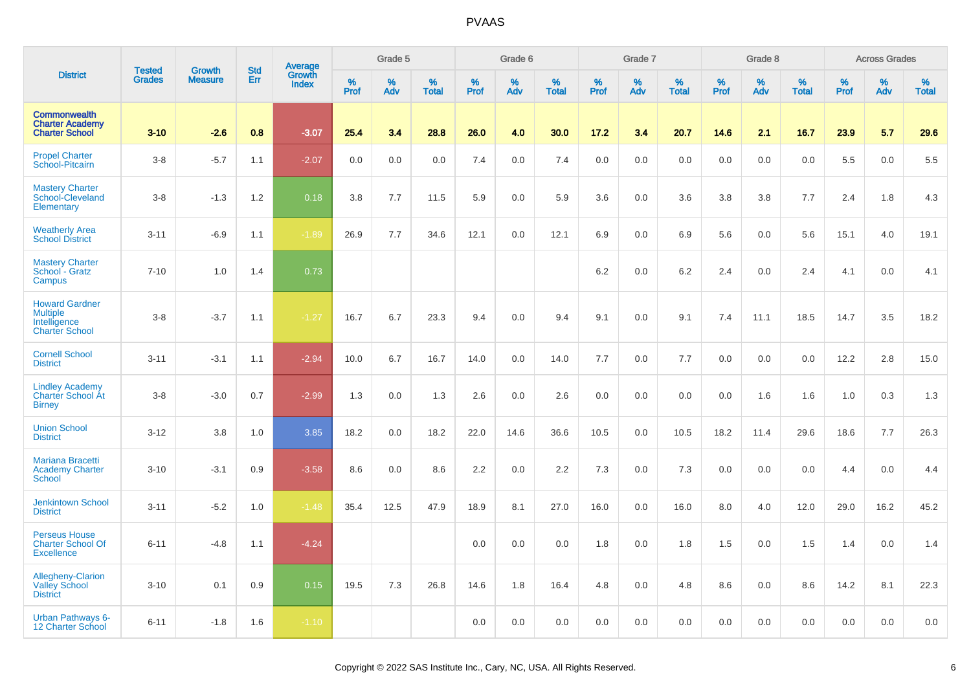|                                                                                   | <b>Tested</b> | <b>Growth</b>  | <b>Std</b> | Average<br>Growth |                     | Grade 5  |                   |                  | Grade 6  |                   |                     | Grade 7  |                   |              | Grade 8  |                   |              | <b>Across Grades</b> |                   |
|-----------------------------------------------------------------------------------|---------------|----------------|------------|-------------------|---------------------|----------|-------------------|------------------|----------|-------------------|---------------------|----------|-------------------|--------------|----------|-------------------|--------------|----------------------|-------------------|
| <b>District</b>                                                                   | <b>Grades</b> | <b>Measure</b> | Err        | <b>Index</b>      | $\%$<br><b>Prof</b> | %<br>Adv | %<br><b>Total</b> | %<br><b>Prof</b> | %<br>Adv | %<br><b>Total</b> | $\%$<br><b>Prof</b> | %<br>Adv | %<br><b>Total</b> | $\%$<br>Prof | %<br>Adv | %<br><b>Total</b> | $\%$<br>Prof | %<br>Adv             | %<br><b>Total</b> |
| <b>Commonwealth</b><br><b>Charter Academy</b><br><b>Charter School</b>            | $3 - 10$      | $-2.6$         | 0.8        | $-3.07$           | 25.4                | 3.4      | 28.8              | 26.0             | 4.0      | 30.0              | 17.2                | 3.4      | 20.7              | 14.6         | 2.1      | 16.7              | 23.9         | 5.7                  | 29.6              |
| <b>Propel Charter</b><br>School-Pitcairn                                          | $3-8$         | $-5.7$         | 1.1        | $-2.07$           | 0.0                 | 0.0      | 0.0               | 7.4              | 0.0      | 7.4               | 0.0                 | $0.0\,$  | 0.0               | 0.0          | 0.0      | 0.0               | 5.5          | 0.0                  | 5.5               |
| <b>Mastery Charter</b><br>School-Cleveland<br>Elementary                          | $3 - 8$       | $-1.3$         | 1.2        | 0.18              | 3.8                 | 7.7      | 11.5              | 5.9              | 0.0      | 5.9               | 3.6                 | 0.0      | 3.6               | 3.8          | 3.8      | 7.7               | 2.4          | 1.8                  | 4.3               |
| <b>Weatherly Area</b><br><b>School District</b>                                   | $3 - 11$      | $-6.9$         | 1.1        | $-1.89$           | 26.9                | 7.7      | 34.6              | 12.1             | 0.0      | 12.1              | 6.9                 | 0.0      | 6.9               | 5.6          | 0.0      | 5.6               | 15.1         | 4.0                  | 19.1              |
| <b>Mastery Charter</b><br>School - Gratz<br>Campus                                | $7 - 10$      | 1.0            | 1.4        | 0.73              |                     |          |                   |                  |          |                   | 6.2                 | 0.0      | 6.2               | 2.4          | 0.0      | 2.4               | 4.1          | 0.0                  | 4.1               |
| <b>Howard Gardner</b><br><b>Multiple</b><br>Intelligence<br><b>Charter School</b> | $3 - 8$       | $-3.7$         | 1.1        | $-1.27$           | 16.7                | 6.7      | 23.3              | 9.4              | 0.0      | 9.4               | 9.1                 | 0.0      | 9.1               | 7.4          | 11.1     | 18.5              | 14.7         | 3.5                  | 18.2              |
| <b>Cornell School</b><br><b>District</b>                                          | $3 - 11$      | $-3.1$         | 1.1        | $-2.94$           | 10.0                | 6.7      | 16.7              | 14.0             | 0.0      | 14.0              | 7.7                 | 0.0      | 7.7               | 0.0          | 0.0      | 0.0               | 12.2         | 2.8                  | 15.0              |
| <b>Lindley Academy</b><br>Charter School At<br><b>Birney</b>                      | $3 - 8$       | $-3.0$         | 0.7        | $-2.99$           | 1.3                 | 0.0      | 1.3               | 2.6              | 0.0      | 2.6               | 0.0                 | $0.0\,$  | 0.0               | 0.0          | 1.6      | 1.6               | 1.0          | 0.3                  | 1.3               |
| <b>Union School</b><br><b>District</b>                                            | $3 - 12$      | 3.8            | 1.0        | 3.85              | 18.2                | 0.0      | 18.2              | 22.0             | 14.6     | 36.6              | 10.5                | 0.0      | 10.5              | 18.2         | 11.4     | 29.6              | 18.6         | 7.7                  | 26.3              |
| Mariana Bracetti<br><b>Academy Charter</b><br><b>School</b>                       | $3 - 10$      | $-3.1$         | 0.9        | $-3.58$           | 8.6                 | 0.0      | 8.6               | 2.2              | 0.0      | 2.2               | 7.3                 | 0.0      | 7.3               | 0.0          | 0.0      | 0.0               | 4.4          | 0.0                  | 4.4               |
| <b>Jenkintown School</b><br><b>District</b>                                       | $3 - 11$      | $-5.2$         | 1.0        | $-1.48$           | 35.4                | 12.5     | 47.9              | 18.9             | 8.1      | 27.0              | 16.0                | 0.0      | 16.0              | 8.0          | 4.0      | 12.0              | 29.0         | 16.2                 | 45.2              |
| <b>Perseus House</b><br><b>Charter School Of</b><br><b>Excellence</b>             | $6 - 11$      | $-4.8$         | 1.1        | $-4.24$           |                     |          |                   | 0.0              | 0.0      | 0.0               | 1.8                 | 0.0      | 1.8               | 1.5          | 0.0      | 1.5               | 1.4          | 0.0                  | 1.4               |
| Allegheny-Clarion<br><b>Valley School</b><br><b>District</b>                      | $3 - 10$      | 0.1            | 0.9        | 0.15              | 19.5                | 7.3      | 26.8              | 14.6             | 1.8      | 16.4              | 4.8                 | 0.0      | 4.8               | 8.6          | 0.0      | 8.6               | 14.2         | 8.1                  | 22.3              |
| <b>Urban Pathways 6-</b><br>12 Charter School                                     | $6 - 11$      | $-1.8$         | 1.6        | $-1.10$           |                     |          |                   | 0.0              | 0.0      | 0.0               | 0.0                 | 0.0      | 0.0               | 0.0          | 0.0      | 0.0               | 0.0          | 0.0                  | 0.0               |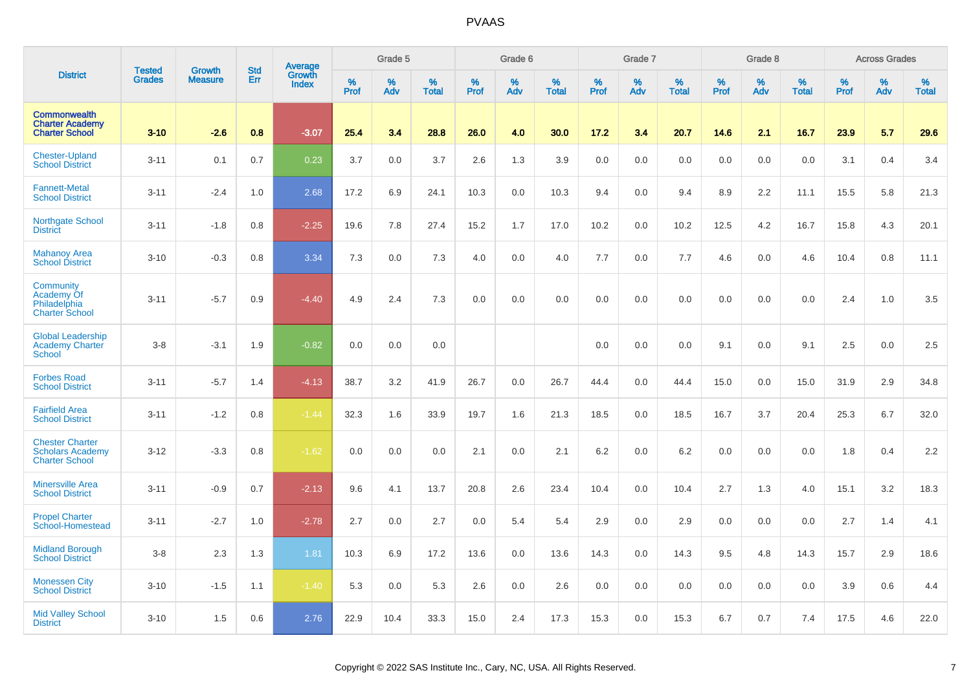|                                                                            | <b>Tested</b> | <b>Growth</b>  | <b>Std</b> | <b>Average</b><br>Growth |                     | Grade 5  |                   |                  | Grade 6  |                   |                  | Grade 7  |                   |           | Grade 8  |                   |              | <b>Across Grades</b> |                   |
|----------------------------------------------------------------------------|---------------|----------------|------------|--------------------------|---------------------|----------|-------------------|------------------|----------|-------------------|------------------|----------|-------------------|-----------|----------|-------------------|--------------|----------------------|-------------------|
| <b>District</b>                                                            | <b>Grades</b> | <b>Measure</b> | Err        | <b>Index</b>             | $\%$<br><b>Prof</b> | %<br>Adv | %<br><b>Total</b> | %<br><b>Prof</b> | %<br>Adv | %<br><b>Total</b> | %<br><b>Prof</b> | %<br>Adv | %<br><b>Total</b> | %<br>Prof | %<br>Adv | %<br><b>Total</b> | $\%$<br>Prof | %<br>Adv             | %<br><b>Total</b> |
| <b>Commonwealth</b><br><b>Charter Academy</b><br><b>Charter School</b>     | $3 - 10$      | $-2.6$         | 0.8        | $-3.07$                  | 25.4                | 3.4      | 28.8              | 26.0             | 4.0      | 30.0              | 17.2             | 3.4      | 20.7              | 14.6      | 2.1      | 16.7              | 23.9         | 5.7                  | 29.6              |
| <b>Chester-Upland</b><br><b>School District</b>                            | $3 - 11$      | 0.1            | 0.7        | 0.23                     | 3.7                 | 0.0      | 3.7               | 2.6              | 1.3      | 3.9               | 0.0              | 0.0      | 0.0               | 0.0       | 0.0      | 0.0               | 3.1          | 0.4                  | 3.4               |
| <b>Fannett-Metal</b><br><b>School District</b>                             | $3 - 11$      | $-2.4$         | 1.0        | 2.68                     | 17.2                | 6.9      | 24.1              | 10.3             | 0.0      | 10.3              | 9.4              | 0.0      | 9.4               | 8.9       | 2.2      | 11.1              | 15.5         | 5.8                  | 21.3              |
| <b>Northgate School</b><br><b>District</b>                                 | $3 - 11$      | $-1.8$         | 0.8        | $-2.25$                  | 19.6                | 7.8      | 27.4              | 15.2             | 1.7      | 17.0              | 10.2             | 0.0      | 10.2              | 12.5      | 4.2      | 16.7              | 15.8         | 4.3                  | 20.1              |
| <b>Mahanoy Area</b><br><b>School District</b>                              | $3 - 10$      | $-0.3$         | 0.8        | 3.34                     | 7.3                 | 0.0      | 7.3               | 4.0              | 0.0      | 4.0               | 7.7              | 0.0      | 7.7               | 4.6       | 0.0      | 4.6               | 10.4         | 0.8                  | 11.1              |
| Community<br>Academy Of<br>Philadelphia<br><b>Charter School</b>           | $3 - 11$      | $-5.7$         | 0.9        | $-4.40$                  | 4.9                 | 2.4      | 7.3               | 0.0              | 0.0      | 0.0               | 0.0              | 0.0      | 0.0               | 0.0       | 0.0      | 0.0               | 2.4          | 1.0                  | 3.5               |
| <b>Global Leadership</b><br><b>Academy Charter</b><br><b>School</b>        | $3 - 8$       | $-3.1$         | 1.9        | $-0.82$                  | 0.0                 | 0.0      | 0.0               |                  |          |                   | 0.0              | 0.0      | 0.0               | 9.1       | 0.0      | 9.1               | 2.5          | 0.0                  | 2.5               |
| <b>Forbes Road</b><br><b>School District</b>                               | $3 - 11$      | $-5.7$         | 1.4        | $-4.13$                  | 38.7                | 3.2      | 41.9              | 26.7             | 0.0      | 26.7              | 44.4             | 0.0      | 44.4              | 15.0      | 0.0      | 15.0              | 31.9         | 2.9                  | 34.8              |
| <b>Fairfield Area</b><br><b>School District</b>                            | $3 - 11$      | $-1.2$         | 0.8        | $-1.44$                  | 32.3                | 1.6      | 33.9              | 19.7             | 1.6      | 21.3              | 18.5             | 0.0      | 18.5              | 16.7      | 3.7      | 20.4              | 25.3         | 6.7                  | 32.0              |
| <b>Chester Charter</b><br><b>Scholars Academy</b><br><b>Charter School</b> | $3 - 12$      | $-3.3$         | 0.8        | $-1.62$                  | 0.0                 | 0.0      | 0.0               | 2.1              | 0.0      | 2.1               | 6.2              | 0.0      | 6.2               | 0.0       | 0.0      | 0.0               | 1.8          | 0.4                  | 2.2               |
| <b>Minersville Area</b><br><b>School District</b>                          | $3 - 11$      | $-0.9$         | 0.7        | $-2.13$                  | 9.6                 | 4.1      | 13.7              | 20.8             | 2.6      | 23.4              | 10.4             | 0.0      | 10.4              | 2.7       | 1.3      | 4.0               | 15.1         | 3.2                  | 18.3              |
| <b>Propel Charter</b><br>School-Homestead                                  | $3 - 11$      | $-2.7$         | 1.0        | $-2.78$                  | 2.7                 | 0.0      | 2.7               | 0.0              | 5.4      | 5.4               | 2.9              | 0.0      | 2.9               | 0.0       | 0.0      | 0.0               | 2.7          | 1.4                  | 4.1               |
| <b>Midland Borough</b><br><b>School District</b>                           | $3 - 8$       | 2.3            | 1.3        | 1.81                     | 10.3                | 6.9      | 17.2              | 13.6             | 0.0      | 13.6              | 14.3             | 0.0      | 14.3              | 9.5       | 4.8      | 14.3              | 15.7         | 2.9                  | 18.6              |
| <b>Monessen City</b><br><b>School District</b>                             | $3 - 10$      | $-1.5$         | 1.1        | $-1.40$                  | 5.3                 | 0.0      | 5.3               | 2.6              | 0.0      | 2.6               | 0.0              | 0.0      | 0.0               | 0.0       | 0.0      | 0.0               | 3.9          | 0.6                  | 4.4               |
| <b>Mid Valley School</b><br><b>District</b>                                | $3 - 10$      | 1.5            | 0.6        | 2.76                     | 22.9                | 10.4     | 33.3              | 15.0             | 2.4      | 17.3              | 15.3             | 0.0      | 15.3              | 6.7       | 0.7      | 7.4               | 17.5         | 4.6                  | 22.0              |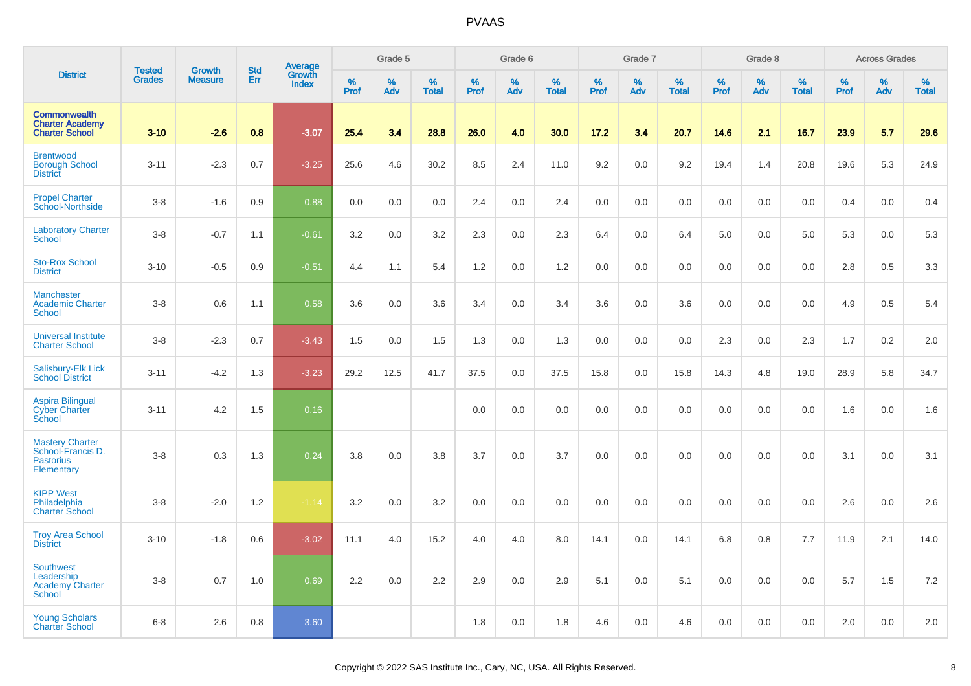|                                                                               | <b>Tested</b> | <b>Growth</b>  | <b>Std</b> |                                   |              | Grade 5  |                   |                  | Grade 6  |                   |                     | Grade 7  |                   |              | Grade 8  |                   |              | <b>Across Grades</b> |                   |
|-------------------------------------------------------------------------------|---------------|----------------|------------|-----------------------------------|--------------|----------|-------------------|------------------|----------|-------------------|---------------------|----------|-------------------|--------------|----------|-------------------|--------------|----------------------|-------------------|
| <b>District</b>                                                               | <b>Grades</b> | <b>Measure</b> | Err        | Average<br>Growth<br><b>Index</b> | $\%$<br>Prof | %<br>Adv | %<br><b>Total</b> | %<br><b>Prof</b> | %<br>Adv | %<br><b>Total</b> | $\%$<br><b>Prof</b> | %<br>Adv | %<br><b>Total</b> | $\%$<br>Prof | %<br>Adv | %<br><b>Total</b> | $\%$<br>Prof | %<br>Adv             | %<br><b>Total</b> |
| <b>Commonwealth</b><br><b>Charter Academy</b><br><b>Charter School</b>        | $3 - 10$      | $-2.6$         | 0.8        | $-3.07$                           | 25.4         | 3.4      | 28.8              | 26.0             | 4.0      | 30.0              | 17.2                | 3.4      | 20.7              | 14.6         | 2.1      | 16.7              | 23.9         | 5.7                  | 29.6              |
| <b>Brentwood</b><br><b>Borough School</b><br><b>District</b>                  | $3 - 11$      | $-2.3$         | 0.7        | $-3.25$                           | 25.6         | 4.6      | 30.2              | 8.5              | 2.4      | 11.0              | 9.2                 | 0.0      | 9.2               | 19.4         | 1.4      | 20.8              | 19.6         | 5.3                  | 24.9              |
| <b>Propel Charter</b><br>School-Northside                                     | $3-8$         | $-1.6$         | 0.9        | 0.88                              | 0.0          | 0.0      | 0.0               | 2.4              | 0.0      | 2.4               | 0.0                 | 0.0      | 0.0               | 0.0          | 0.0      | 0.0               | 0.4          | 0.0                  | 0.4               |
| <b>Laboratory Charter</b><br><b>School</b>                                    | $3-8$         | $-0.7$         | 1.1        | $-0.61$                           | 3.2          | 0.0      | 3.2               | 2.3              | 0.0      | 2.3               | 6.4                 | 0.0      | 6.4               | 5.0          | 0.0      | 5.0               | 5.3          | 0.0                  | 5.3               |
| <b>Sto-Rox School</b><br><b>District</b>                                      | $3 - 10$      | $-0.5$         | 0.9        | $-0.51$                           | 4.4          | 1.1      | 5.4               | 1.2              | 0.0      | 1.2               | 0.0                 | 0.0      | 0.0               | 0.0          | 0.0      | 0.0               | 2.8          | 0.5                  | 3.3               |
| <b>Manchester</b><br><b>Academic Charter</b><br><b>School</b>                 | $3 - 8$       | 0.6            | 1.1        | 0.58                              | 3.6          | 0.0      | 3.6               | 3.4              | 0.0      | 3.4               | 3.6                 | $0.0\,$  | 3.6               | 0.0          | 0.0      | 0.0               | 4.9          | 0.5                  | 5.4               |
| <b>Universal Institute</b><br><b>Charter School</b>                           | $3-8$         | $-2.3$         | 0.7        | $-3.43$                           | 1.5          | 0.0      | 1.5               | 1.3              | 0.0      | 1.3               | 0.0                 | 0.0      | 0.0               | 2.3          | 0.0      | 2.3               | 1.7          | 0.2                  | 2.0               |
| <b>Salisbury-Elk Lick</b><br><b>School District</b>                           | $3 - 11$      | $-4.2$         | 1.3        | $-3.23$                           | 29.2         | 12.5     | 41.7              | 37.5             | 0.0      | 37.5              | 15.8                | 0.0      | 15.8              | 14.3         | 4.8      | 19.0              | 28.9         | 5.8                  | 34.7              |
| <b>Aspira Bilingual</b><br><b>Cyber Charter</b><br>School                     | $3 - 11$      | 4.2            | 1.5        | 0.16                              |              |          |                   | 0.0              | 0.0      | 0.0               | 0.0                 | 0.0      | 0.0               | 0.0          | 0.0      | 0.0               | 1.6          | 0.0                  | 1.6               |
| <b>Mastery Charter</b><br>School-Francis D.<br><b>Pastorius</b><br>Elementary | $3 - 8$       | 0.3            | 1.3        | 0.24                              | 3.8          | 0.0      | 3.8               | 3.7              | 0.0      | 3.7               | 0.0                 | 0.0      | 0.0               | 0.0          | 0.0      | 0.0               | 3.1          | 0.0                  | 3.1               |
| <b>KIPP West</b><br>Philadelphia<br><b>Charter School</b>                     | $3-8$         | $-2.0$         | 1.2        | $-1.14$                           | 3.2          | 0.0      | 3.2               | $0.0\,$          | 0.0      | 0.0               | 0.0                 | $0.0\,$  | 0.0               | 0.0          | $0.0\,$  | 0.0               | 2.6          | 0.0                  | 2.6               |
| <b>Troy Area School</b><br><b>District</b>                                    | $3 - 10$      | $-1.8$         | 0.6        | $-3.02$                           | 11.1         | 4.0      | 15.2              | 4.0              | 4.0      | 8.0               | 14.1                | 0.0      | 14.1              | 6.8          | 0.8      | 7.7               | 11.9         | 2.1                  | 14.0              |
| <b>Southwest</b><br>Leadership<br><b>Academy Charter</b><br><b>School</b>     | $3-8$         | 0.7            | 1.0        | 0.69                              | 2.2          | 0.0      | 2.2               | 2.9              | 0.0      | 2.9               | 5.1                 | 0.0      | 5.1               | 0.0          | 0.0      | 0.0               | 5.7          | 1.5                  | 7.2               |
| <b>Young Scholars</b><br><b>Charter School</b>                                | $6 - 8$       | 2.6            | 0.8        | 3.60                              |              |          |                   | 1.8              | 0.0      | 1.8               | 4.6                 | 0.0      | 4.6               | 0.0          | 0.0      | 0.0               | 2.0          | 0.0                  | 2.0               |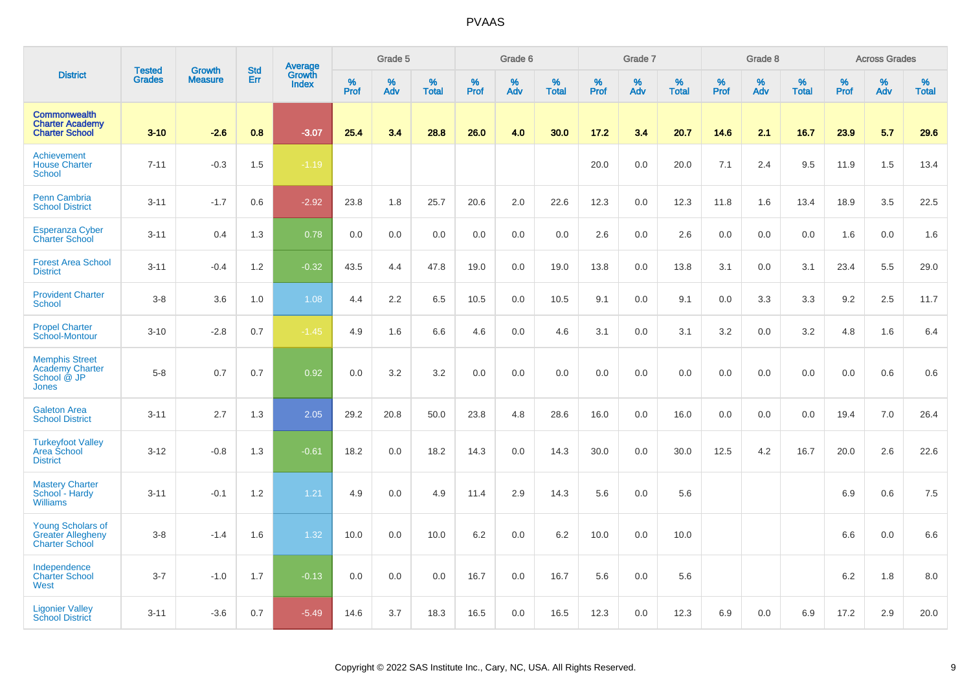|                                                                                | <b>Tested</b> | <b>Growth</b>  | <b>Std</b> | Average                |           | Grade 5  |                   |                  | Grade 6  |                   |           | Grade 7  |                   |           | Grade 8  |                   |           | <b>Across Grades</b> |                   |
|--------------------------------------------------------------------------------|---------------|----------------|------------|------------------------|-----------|----------|-------------------|------------------|----------|-------------------|-----------|----------|-------------------|-----------|----------|-------------------|-----------|----------------------|-------------------|
| <b>District</b>                                                                | <b>Grades</b> | <b>Measure</b> | Err        | Growth<br><b>Index</b> | %<br>Prof | %<br>Adv | %<br><b>Total</b> | %<br><b>Prof</b> | %<br>Adv | %<br><b>Total</b> | %<br>Prof | %<br>Adv | %<br><b>Total</b> | %<br>Prof | %<br>Adv | %<br><b>Total</b> | %<br>Prof | %<br>Adv             | %<br><b>Total</b> |
| <b>Commonwealth</b><br><b>Charter Academy</b><br><b>Charter School</b>         | $3 - 10$      | $-2.6$         | 0.8        | $-3.07$                | 25.4      | 3.4      | 28.8              | 26.0             | 4.0      | 30.0              | 17.2      | 3.4      | 20.7              | 14.6      | 2.1      | 16.7              | 23.9      | 5.7                  | 29.6              |
| Achievement<br><b>House Charter</b><br><b>School</b>                           | $7 - 11$      | $-0.3$         | 1.5        | $-1.19$                |           |          |                   |                  |          |                   | 20.0      | 0.0      | 20.0              | 7.1       | 2.4      | 9.5               | 11.9      | 1.5                  | 13.4              |
| <b>Penn Cambria</b><br><b>School District</b>                                  | $3 - 11$      | $-1.7$         | 0.6        | $-2.92$                | 23.8      | 1.8      | 25.7              | 20.6             | 2.0      | 22.6              | 12.3      | 0.0      | 12.3              | 11.8      | 1.6      | 13.4              | 18.9      | 3.5                  | 22.5              |
| <b>Esperanza Cyber</b><br><b>Charter School</b>                                | $3 - 11$      | 0.4            | 1.3        | 0.78                   | 0.0       | 0.0      | 0.0               | 0.0              | 0.0      | 0.0               | 2.6       | 0.0      | 2.6               | 0.0       | 0.0      | 0.0               | 1.6       | 0.0                  | 1.6               |
| <b>Forest Area School</b><br><b>District</b>                                   | $3 - 11$      | $-0.4$         | 1.2        | $-0.32$                | 43.5      | 4.4      | 47.8              | 19.0             | 0.0      | 19.0              | 13.8      | 0.0      | 13.8              | 3.1       | 0.0      | 3.1               | 23.4      | 5.5                  | 29.0              |
| <b>Provident Charter</b><br>School                                             | $3 - 8$       | 3.6            | 1.0        | 1.08                   | 4.4       | 2.2      | 6.5               | 10.5             | 0.0      | 10.5              | 9.1       | 0.0      | 9.1               | 0.0       | 3.3      | 3.3               | 9.2       | 2.5                  | 11.7              |
| <b>Propel Charter</b><br>School-Montour                                        | $3 - 10$      | $-2.8$         | 0.7        | $-1.45$                | 4.9       | 1.6      | 6.6               | 4.6              | 0.0      | 4.6               | 3.1       | 0.0      | 3.1               | 3.2       | 0.0      | 3.2               | 4.8       | 1.6                  | 6.4               |
| <b>Memphis Street</b><br><b>Academy Charter</b><br>School @ JP<br><b>Jones</b> | $5 - 8$       | 0.7            | 0.7        | 0.92                   | 0.0       | 3.2      | 3.2               | 0.0              | 0.0      | 0.0               | 0.0       | 0.0      | 0.0               | 0.0       | 0.0      | 0.0               | 0.0       | 0.6                  | 0.6               |
| <b>Galeton Area</b><br><b>School District</b>                                  | $3 - 11$      | 2.7            | 1.3        | 2.05                   | 29.2      | 20.8     | 50.0              | 23.8             | 4.8      | 28.6              | 16.0      | 0.0      | 16.0              | 0.0       | 0.0      | 0.0               | 19.4      | 7.0                  | 26.4              |
| <b>Turkeyfoot Valley</b><br>Area School<br><b>District</b>                     | $3 - 12$      | $-0.8$         | 1.3        | $-0.61$                | 18.2      | 0.0      | 18.2              | 14.3             | 0.0      | 14.3              | 30.0      | 0.0      | 30.0              | 12.5      | 4.2      | 16.7              | 20.0      | 2.6                  | 22.6              |
| <b>Mastery Charter</b><br>School - Hardy<br><b>Williams</b>                    | $3 - 11$      | $-0.1$         | 1.2        | 1.21                   | 4.9       | 0.0      | 4.9               | 11.4             | 2.9      | 14.3              | 5.6       | 0.0      | 5.6               |           |          |                   | 6.9       | 0.6                  | 7.5               |
| <b>Young Scholars of</b><br><b>Greater Allegheny</b><br><b>Charter School</b>  | $3 - 8$       | $-1.4$         | 1.6        | 1.32                   | 10.0      | 0.0      | 10.0              | 6.2              | 0.0      | 6.2               | 10.0      | 0.0      | 10.0              |           |          |                   | 6.6       | 0.0                  | 6.6               |
| Independence<br><b>Charter School</b><br>West                                  | $3 - 7$       | $-1.0$         | 1.7        | $-0.13$                | 0.0       | 0.0      | 0.0               | 16.7             | 0.0      | 16.7              | 5.6       | 0.0      | 5.6               |           |          |                   | 6.2       | 1.8                  | 8.0               |
| <b>Ligonier Valley</b><br><b>School District</b>                               | $3 - 11$      | $-3.6$         | 0.7        | $-5.49$                | 14.6      | 3.7      | 18.3              | 16.5             | 0.0      | 16.5              | 12.3      | 0.0      | 12.3              | 6.9       | 0.0      | 6.9               | 17.2      | 2.9                  | 20.0              |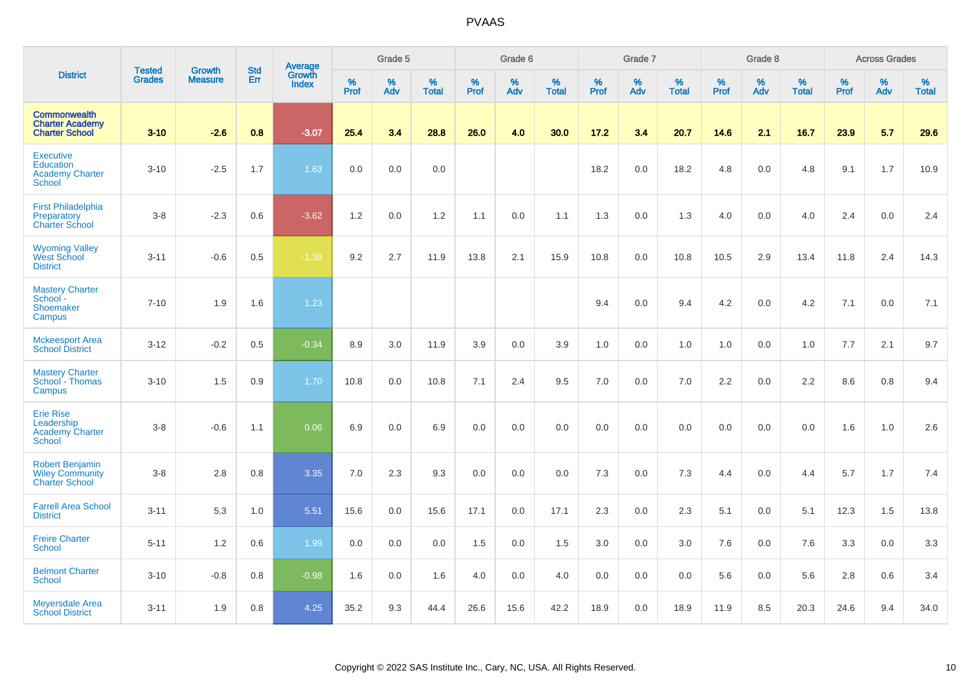|                                                                                 |                                |                                 | <b>Std</b> | Average                |           | Grade 5  |                   |           | Grade 6  |                   |           | Grade 7  |                   |           | Grade 8  |                   |           | <b>Across Grades</b> |                   |
|---------------------------------------------------------------------------------|--------------------------------|---------------------------------|------------|------------------------|-----------|----------|-------------------|-----------|----------|-------------------|-----------|----------|-------------------|-----------|----------|-------------------|-----------|----------------------|-------------------|
| <b>District</b>                                                                 | <b>Tested</b><br><b>Grades</b> | <b>Growth</b><br><b>Measure</b> | Err        | Growth<br><b>Index</b> | %<br>Prof | %<br>Adv | %<br><b>Total</b> | %<br>Prof | %<br>Adv | %<br><b>Total</b> | %<br>Prof | %<br>Adv | %<br><b>Total</b> | %<br>Prof | %<br>Adv | %<br><b>Total</b> | %<br>Prof | %<br>Adv             | %<br><b>Total</b> |
| <b>Commonwealth</b><br><b>Charter Academy</b><br><b>Charter School</b>          | $3 - 10$                       | $-2.6$                          | 0.8        | $-3.07$                | 25.4      | 3.4      | 28.8              | 26.0      | 4.0      | 30.0              | 17.2      | 3.4      | 20.7              | 14.6      | 2.1      | 16.7              | 23.9      | 5.7                  | 29.6              |
| <b>Executive</b><br><b>Education</b><br><b>Academy Charter</b><br><b>School</b> | $3 - 10$                       | $-2.5$                          | 1.7        | 1.63                   | 0.0       | 0.0      | 0.0               |           |          |                   | 18.2      | 0.0      | 18.2              | 4.8       | 0.0      | 4.8               | 9.1       | 1.7                  | 10.9              |
| <b>First Philadelphia</b><br>Preparatory<br><b>Charter School</b>               | $3-8$                          | $-2.3$                          | 0.6        | $-3.62$                | 1.2       | 0.0      | 1.2               | 1.1       | 0.0      | 1.1               | 1.3       | 0.0      | 1.3               | 4.0       | 0.0      | 4.0               | 2.4       | 0.0                  | 2.4               |
| <b>Wyoming Valley</b><br>West School<br><b>District</b>                         | $3 - 11$                       | $-0.6$                          | 0.5        | $-1.38$                | 9.2       | 2.7      | 11.9              | 13.8      | 2.1      | 15.9              | 10.8      | 0.0      | 10.8              | 10.5      | 2.9      | 13.4              | 11.8      | 2.4                  | 14.3              |
| <b>Mastery Charter</b><br>School -<br>Shoemaker<br>Campus                       | $7 - 10$                       | 1.9                             | 1.6        | 1.23                   |           |          |                   |           |          |                   | 9.4       | 0.0      | 9.4               | 4.2       | 0.0      | 4.2               | 7.1       | $0.0\,$              | 7.1               |
| <b>Mckeesport Area</b><br><b>School District</b>                                | $3 - 12$                       | $-0.2$                          | 0.5        | $-0.34$                | 8.9       | 3.0      | 11.9              | 3.9       | 0.0      | 3.9               | 1.0       | 0.0      | 1.0               | 1.0       | 0.0      | 1.0               | 7.7       | 2.1                  | 9.7               |
| <b>Mastery Charter</b><br>School - Thomas<br>Campus                             | $3 - 10$                       | 1.5                             | 0.9        | 1.70                   | 10.8      | 0.0      | 10.8              | 7.1       | 2.4      | 9.5               | 7.0       | 0.0      | 7.0               | 2.2       | 0.0      | 2.2               | 8.6       | 0.8                  | 9.4               |
| <b>Erie Rise</b><br>Leadership<br>Academy Charter<br>School                     | $3 - 8$                        | $-0.6$                          | 1.1        | 0.06                   | 6.9       | 0.0      | 6.9               | 0.0       | 0.0      | 0.0               | 0.0       | 0.0      | 0.0               | 0.0       | 0.0      | 0.0               | 1.6       | 1.0                  | 2.6               |
| <b>Robert Benjamin</b><br><b>Wiley Community</b><br><b>Charter School</b>       | $3-8$                          | 2.8                             | 0.8        | 3.35                   | 7.0       | 2.3      | 9.3               | 0.0       | 0.0      | 0.0               | 7.3       | 0.0      | 7.3               | 4.4       | 0.0      | 4.4               | 5.7       | 1.7                  | 7.4               |
| <b>Farrell Area School</b><br><b>District</b>                                   | $3 - 11$                       | 5.3                             | 1.0        | 5.51                   | 15.6      | 0.0      | 15.6              | 17.1      | 0.0      | 17.1              | 2.3       | 0.0      | 2.3               | 5.1       | 0.0      | 5.1               | 12.3      | 1.5                  | 13.8              |
| <b>Freire Charter</b><br><b>School</b>                                          | $5 - 11$                       | 1.2                             | 0.6        | 1.99                   | 0.0       | 0.0      | 0.0               | 1.5       | 0.0      | 1.5               | 3.0       | 0.0      | 3.0               | 7.6       | 0.0      | 7.6               | 3.3       | 0.0                  | 3.3               |
| <b>Belmont Charter</b><br><b>School</b>                                         | $3 - 10$                       | $-0.8$                          | 0.8        | $-0.98$                | 1.6       | 0.0      | 1.6               | 4.0       | 0.0      | 4.0               | 0.0       | 0.0      | 0.0               | 5.6       | 0.0      | 5.6               | 2.8       | 0.6                  | 3.4               |
| Meyersdale Area<br><b>School District</b>                                       | $3 - 11$                       | 1.9                             | 0.8        | 4.25                   | 35.2      | 9.3      | 44.4              | 26.6      | 15.6     | 42.2              | 18.9      | 0.0      | 18.9              | 11.9      | 8.5      | 20.3              | 24.6      | 9.4                  | 34.0              |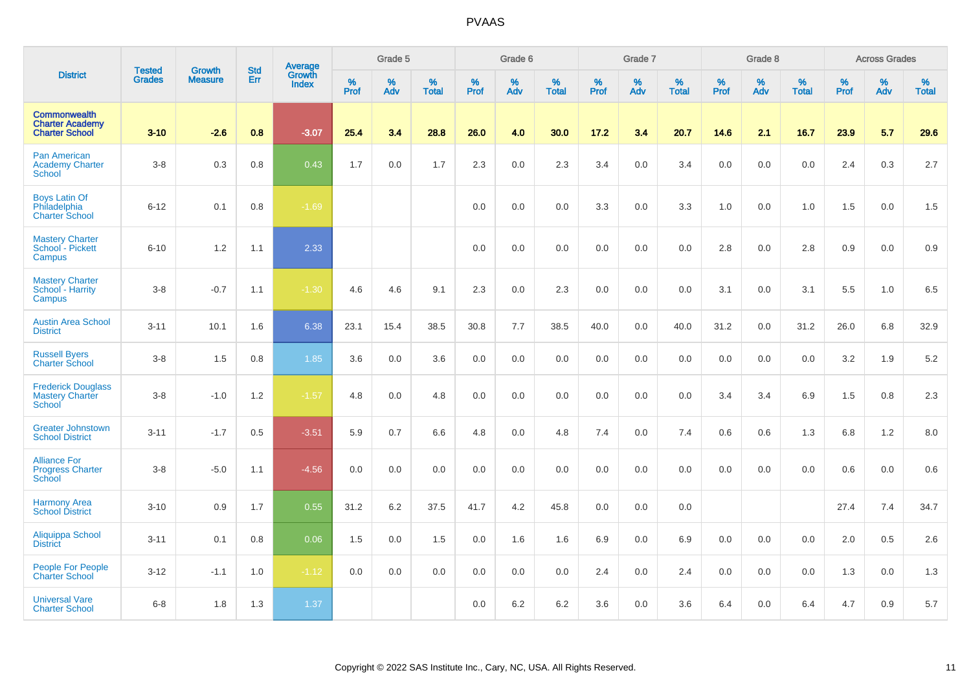|                                                                 |                                |                                 | <b>Std</b> | Average                |           | Grade 5  |                   |           | Grade 6  |                   |           | Grade 7  |                   |           | Grade 8  |                   |           | <b>Across Grades</b> |                   |
|-----------------------------------------------------------------|--------------------------------|---------------------------------|------------|------------------------|-----------|----------|-------------------|-----------|----------|-------------------|-----------|----------|-------------------|-----------|----------|-------------------|-----------|----------------------|-------------------|
| <b>District</b>                                                 | <b>Tested</b><br><b>Grades</b> | <b>Growth</b><br><b>Measure</b> | Err        | Growth<br><b>Index</b> | %<br>Prof | %<br>Adv | %<br><b>Total</b> | %<br>Prof | %<br>Adv | %<br><b>Total</b> | %<br>Prof | %<br>Adv | %<br><b>Total</b> | %<br>Prof | %<br>Adv | %<br><b>Total</b> | %<br>Prof | %<br>Adv             | %<br><b>Total</b> |
| Commonwealth<br><b>Charter Academy</b><br><b>Charter School</b> | $3 - 10$                       | $-2.6$                          | 0.8        | $-3.07$                | 25.4      | 3.4      | 28.8              | 26.0      | 4.0      | 30.0              | 17.2      | 3.4      | 20.7              | 14.6      | 2.1      | 16.7              | 23.9      | 5.7                  | 29.6              |
| <b>Pan American</b><br><b>Academy Charter</b><br><b>School</b>  | $3-8$                          | 0.3                             | 0.8        | 0.43                   | 1.7       | 0.0      | 1.7               | 2.3       | 0.0      | 2.3               | 3.4       | 0.0      | 3.4               | 0.0       | 0.0      | 0.0               | 2.4       | 0.3                  | 2.7               |
| <b>Boys Latin Of</b><br>Philadelphia<br><b>Charter School</b>   | $6 - 12$                       | 0.1                             | 0.8        | $-1.69$                |           |          |                   | 0.0       | 0.0      | 0.0               | 3.3       | 0.0      | 3.3               | 1.0       | 0.0      | 1.0               | 1.5       | 0.0                  | 1.5               |
| <b>Mastery Charter</b><br>School - Pickett<br>Campus            | $6 - 10$                       | 1.2                             | 1.1        | 2.33                   |           |          |                   | 0.0       | $0.0\,$  | 0.0               | 0.0       | 0.0      | 0.0               | 2.8       | 0.0      | 2.8               | 0.9       | 0.0                  | 0.9               |
| <b>Mastery Charter</b><br>School - Harrity<br>Campus            | $3-8$                          | $-0.7$                          | 1.1        | $-1.30$                | 4.6       | 4.6      | 9.1               | 2.3       | 0.0      | 2.3               | 0.0       | 0.0      | 0.0               | 3.1       | 0.0      | 3.1               | 5.5       | 1.0                  | 6.5               |
| <b>Austin Area School</b><br><b>District</b>                    | $3 - 11$                       | 10.1                            | 1.6        | 6.38                   | 23.1      | 15.4     | 38.5              | 30.8      | 7.7      | 38.5              | 40.0      | 0.0      | 40.0              | 31.2      | 0.0      | 31.2              | 26.0      | 6.8                  | 32.9              |
| <b>Russell Byers</b><br><b>Charter School</b>                   | $3-8$                          | 1.5                             | 0.8        | 1.85                   | 3.6       | 0.0      | 3.6               | 0.0       | 0.0      | 0.0               | 0.0       | 0.0      | 0.0               | 0.0       | 0.0      | 0.0               | 3.2       | 1.9                  | 5.2               |
| <b>Frederick Douglass</b><br><b>Mastery Charter</b><br>School   | $3-8$                          | $-1.0$                          | 1.2        | $-1.57$                | 4.8       | 0.0      | 4.8               | 0.0       | 0.0      | 0.0               | 0.0       | 0.0      | 0.0               | 3.4       | 3.4      | 6.9               | 1.5       | 0.8                  | 2.3               |
| <b>Greater Johnstown</b><br><b>School District</b>              | $3 - 11$                       | $-1.7$                          | 0.5        | $-3.51$                | 5.9       | 0.7      | 6.6               | 4.8       | 0.0      | 4.8               | 7.4       | 0.0      | 7.4               | 0.6       | 0.6      | 1.3               | 6.8       | 1.2                  | 8.0               |
| <b>Alliance For</b><br><b>Progress Charter</b><br>School        | $3 - 8$                        | $-5.0$                          | 1.1        | $-4.56$                | 0.0       | 0.0      | 0.0               | 0.0       | 0.0      | 0.0               | 0.0       | 0.0      | 0.0               | 0.0       | 0.0      | 0.0               | 0.6       | 0.0                  | 0.6               |
| <b>Harmony Area</b><br><b>School District</b>                   | $3 - 10$                       | 0.9                             | 1.7        | 0.55                   | 31.2      | 6.2      | 37.5              | 41.7      | 4.2      | 45.8              | 0.0       | 0.0      | 0.0               |           |          |                   | 27.4      | 7.4                  | 34.7              |
| Aliquippa School<br><b>District</b>                             | $3 - 11$                       | 0.1                             | 0.8        | 0.06                   | 1.5       | 0.0      | 1.5               | 0.0       | 1.6      | 1.6               | 6.9       | 0.0      | 6.9               | 0.0       | 0.0      | 0.0               | 2.0       | 0.5                  | 2.6               |
| <b>People For People</b><br><b>Charter School</b>               | $3 - 12$                       | $-1.1$                          | 1.0        | $-1.12$                | 0.0       | 0.0      | 0.0               | 0.0       | 0.0      | 0.0               | 2.4       | 0.0      | 2.4               | 0.0       | 0.0      | 0.0               | 1.3       | 0.0                  | 1.3               |
| <b>Universal Vare</b><br><b>Charter School</b>                  | $6 - 8$                        | 1.8                             | 1.3        | 1.37                   |           |          |                   | 0.0       | 6.2      | 6.2               | 3.6       | 0.0      | 3.6               | 6.4       | 0.0      | 6.4               | 4.7       | 0.9                  | 5.7               |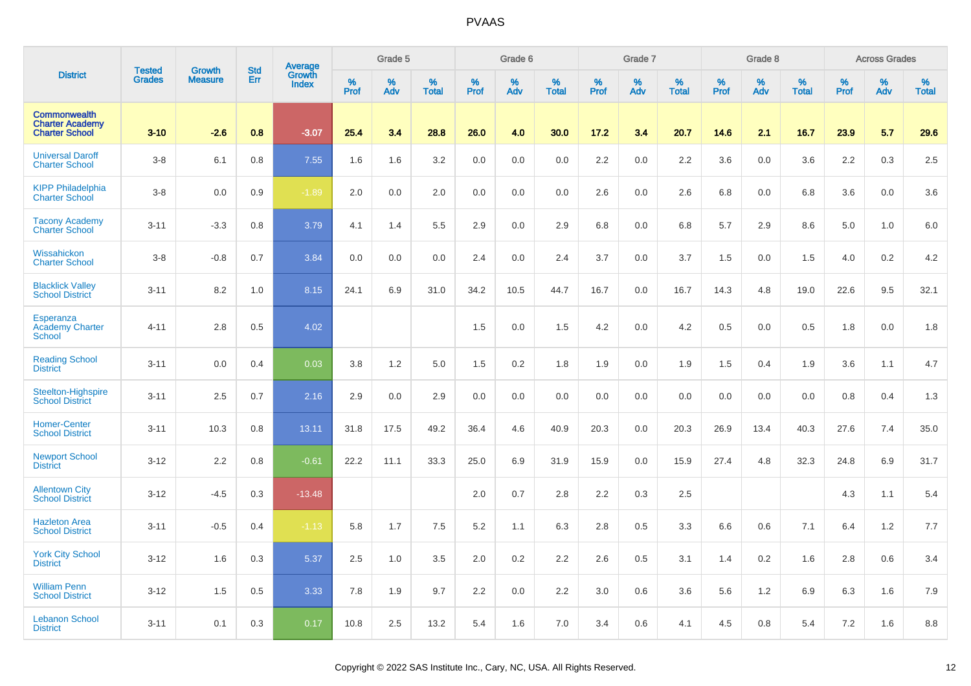|                                                                        | <b>Tested</b> | <b>Growth</b>  | <b>Std</b> |                                   |                     | Grade 5  |                   |                     | Grade 6  |                   |              | Grade 7  |                   |              | Grade 8  |                   |              | <b>Across Grades</b> |                   |
|------------------------------------------------------------------------|---------------|----------------|------------|-----------------------------------|---------------------|----------|-------------------|---------------------|----------|-------------------|--------------|----------|-------------------|--------------|----------|-------------------|--------------|----------------------|-------------------|
| <b>District</b>                                                        | <b>Grades</b> | <b>Measure</b> | Err        | Average<br>Growth<br><b>Index</b> | $\%$<br><b>Prof</b> | %<br>Adv | %<br><b>Total</b> | $\%$<br><b>Prof</b> | %<br>Adv | %<br><b>Total</b> | $\%$<br>Prof | %<br>Adv | %<br><b>Total</b> | $\%$<br>Prof | %<br>Adv | %<br><b>Total</b> | $\%$<br>Prof | %<br>Adv             | %<br><b>Total</b> |
| <b>Commonwealth</b><br><b>Charter Academy</b><br><b>Charter School</b> | $3 - 10$      | $-2.6$         | 0.8        | $-3.07$                           | 25.4                | 3.4      | 28.8              | 26.0                | 4.0      | 30.0              | 17.2         | 3.4      | 20.7              | 14.6         | 2.1      | 16.7              | 23.9         | 5.7                  | 29.6              |
| <b>Universal Daroff</b><br><b>Charter School</b>                       | $3 - 8$       | 6.1            | 0.8        | 7.55                              | 1.6                 | 1.6      | 3.2               | 0.0                 | 0.0      | 0.0               | 2.2          | 0.0      | 2.2               | 3.6          | 0.0      | 3.6               | 2.2          | 0.3                  | 2.5               |
| <b>KIPP Philadelphia</b><br><b>Charter School</b>                      | $3-8$         | 0.0            | 0.9        | $-1.89$                           | 2.0                 | 0.0      | 2.0               | 0.0                 | 0.0      | 0.0               | 2.6          | $0.0\,$  | 2.6               | 6.8          | 0.0      | 6.8               | 3.6          | 0.0                  | 3.6               |
| <b>Tacony Academy</b><br><b>Charter School</b>                         | $3 - 11$      | $-3.3$         | 0.8        | 3.79                              | 4.1                 | 1.4      | 5.5               | 2.9                 | 0.0      | 2.9               | 6.8          | 0.0      | 6.8               | 5.7          | 2.9      | 8.6               | 5.0          | 1.0                  | $6.0\,$           |
| Wissahickon<br><b>Charter School</b>                                   | $3-8$         | $-0.8$         | 0.7        | 3.84                              | 0.0                 | 0.0      | 0.0               | 2.4                 | 0.0      | 2.4               | 3.7          | 0.0      | 3.7               | 1.5          | 0.0      | 1.5               | 4.0          | 0.2                  | 4.2               |
| <b>Blacklick Valley</b><br><b>School District</b>                      | $3 - 11$      | 8.2            | 1.0        | 8.15                              | 24.1                | 6.9      | 31.0              | 34.2                | 10.5     | 44.7              | 16.7         | 0.0      | 16.7              | 14.3         | 4.8      | 19.0              | 22.6         | 9.5                  | 32.1              |
| Esperanza<br><b>Academy Charter</b><br><b>School</b>                   | $4 - 11$      | 2.8            | 0.5        | 4.02                              |                     |          |                   | 1.5                 | 0.0      | 1.5               | 4.2          | 0.0      | 4.2               | 0.5          | 0.0      | 0.5               | 1.8          | 0.0                  | 1.8               |
| <b>Reading School</b><br><b>District</b>                               | $3 - 11$      | 0.0            | 0.4        | 0.03                              | 3.8                 | 1.2      | 5.0               | 1.5                 | 0.2      | 1.8               | 1.9          | 0.0      | 1.9               | 1.5          | 0.4      | 1.9               | 3.6          | 1.1                  | 4.7               |
| Steelton-Highspire<br><b>School District</b>                           | $3 - 11$      | 2.5            | 0.7        | 2.16                              | 2.9                 | 0.0      | 2.9               | 0.0                 | 0.0      | 0.0               | 0.0          | 0.0      | 0.0               | 0.0          | 0.0      | 0.0               | 0.8          | 0.4                  | 1.3               |
| <b>Homer-Center</b><br><b>School District</b>                          | $3 - 11$      | 10.3           | 0.8        | 13.11                             | 31.8                | 17.5     | 49.2              | 36.4                | 4.6      | 40.9              | 20.3         | 0.0      | 20.3              | 26.9         | 13.4     | 40.3              | 27.6         | 7.4                  | 35.0              |
| <b>Newport School</b><br><b>District</b>                               | $3 - 12$      | 2.2            | 0.8        | $-0.61$                           | 22.2                | 11.1     | 33.3              | 25.0                | 6.9      | 31.9              | 15.9         | 0.0      | 15.9              | 27.4         | 4.8      | 32.3              | 24.8         | 6.9                  | 31.7              |
| <b>Allentown City</b><br><b>School District</b>                        | $3 - 12$      | $-4.5$         | 0.3        | $-13.48$                          |                     |          |                   | 2.0                 | 0.7      | 2.8               | 2.2          | 0.3      | 2.5               |              |          |                   | 4.3          | 1.1                  | 5.4               |
| <b>Hazleton Area</b><br><b>School District</b>                         | $3 - 11$      | $-0.5$         | 0.4        | $-1.13$                           | 5.8                 | 1.7      | 7.5               | 5.2                 | 1.1      | 6.3               | 2.8          | 0.5      | 3.3               | 6.6          | 0.6      | 7.1               | 6.4          | 1.2                  | 7.7               |
| <b>York City School</b><br><b>District</b>                             | $3 - 12$      | 1.6            | 0.3        | 5.37                              | 2.5                 | 1.0      | 3.5               | 2.0                 | 0.2      | 2.2               | 2.6          | 0.5      | 3.1               | 1.4          | 0.2      | 1.6               | 2.8          | 0.6                  | 3.4               |
| <b>William Penn</b><br><b>School District</b>                          | $3 - 12$      | 1.5            | 0.5        | 3.33                              | 7.8                 | 1.9      | 9.7               | 2.2                 | 0.0      | 2.2               | 3.0          | 0.6      | 3.6               | 5.6          | 1.2      | 6.9               | 6.3          | 1.6                  | 7.9               |
| <b>Lebanon School</b><br><b>District</b>                               | $3 - 11$      | 0.1            | 0.3        | 0.17                              | 10.8                | 2.5      | 13.2              | 5.4                 | 1.6      | 7.0               | 3.4          | 0.6      | 4.1               | 4.5          | 0.8      | 5.4               | 7.2          | 1.6                  | 8.8               |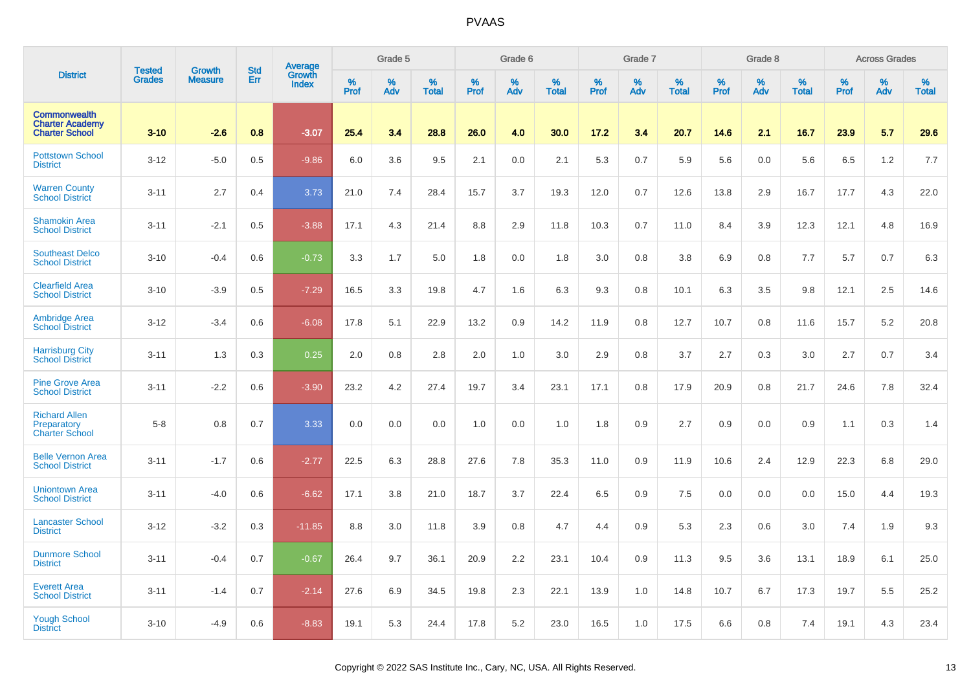|                                                                        | <b>Tested</b> | <b>Growth</b>  | <b>Std</b> |                                   |              | Grade 5  |                   |              | Grade 6  |                   |              | Grade 7  |                   |              | Grade 8  |                   |                     | <b>Across Grades</b> |                   |
|------------------------------------------------------------------------|---------------|----------------|------------|-----------------------------------|--------------|----------|-------------------|--------------|----------|-------------------|--------------|----------|-------------------|--------------|----------|-------------------|---------------------|----------------------|-------------------|
| <b>District</b>                                                        | <b>Grades</b> | <b>Measure</b> | Err        | Average<br>Growth<br><b>Index</b> | $\%$<br>Prof | %<br>Adv | %<br><b>Total</b> | $\%$<br>Prof | %<br>Adv | %<br><b>Total</b> | $\%$<br>Prof | %<br>Adv | %<br><b>Total</b> | $\%$<br>Prof | %<br>Adv | %<br><b>Total</b> | $\%$<br><b>Prof</b> | %<br>Adv             | %<br><b>Total</b> |
| <b>Commonwealth</b><br><b>Charter Academy</b><br><b>Charter School</b> | $3 - 10$      | $-2.6$         | 0.8        | $-3.07$                           | 25.4         | 3.4      | 28.8              | 26.0         | 4.0      | 30.0              | 17.2         | 3.4      | 20.7              | 14.6         | 2.1      | 16.7              | 23.9                | 5.7                  | 29.6              |
| <b>Pottstown School</b><br><b>District</b>                             | $3 - 12$      | $-5.0$         | 0.5        | $-9.86$                           | 6.0          | 3.6      | 9.5               | 2.1          | 0.0      | 2.1               | 5.3          | 0.7      | 5.9               | 5.6          | 0.0      | 5.6               | 6.5                 | 1.2                  | 7.7               |
| <b>Warren County</b><br><b>School District</b>                         | $3 - 11$      | 2.7            | 0.4        | 3.73                              | 21.0         | 7.4      | 28.4              | 15.7         | 3.7      | 19.3              | 12.0         | 0.7      | 12.6              | 13.8         | 2.9      | 16.7              | 17.7                | 4.3                  | 22.0              |
| <b>Shamokin Area</b><br><b>School District</b>                         | $3 - 11$      | $-2.1$         | 0.5        | $-3.88$                           | 17.1         | 4.3      | 21.4              | 8.8          | 2.9      | 11.8              | 10.3         | 0.7      | 11.0              | 8.4          | 3.9      | 12.3              | 12.1                | 4.8                  | 16.9              |
| <b>Southeast Delco</b><br><b>School District</b>                       | $3 - 10$      | $-0.4$         | 0.6        | $-0.73$                           | 3.3          | 1.7      | 5.0               | 1.8          | 0.0      | 1.8               | 3.0          | 0.8      | 3.8               | 6.9          | 0.8      | 7.7               | 5.7                 | 0.7                  | 6.3               |
| <b>Clearfield Area</b><br><b>School District</b>                       | $3 - 10$      | $-3.9$         | 0.5        | $-7.29$                           | 16.5         | 3.3      | 19.8              | 4.7          | 1.6      | 6.3               | 9.3          | 0.8      | 10.1              | 6.3          | 3.5      | 9.8               | 12.1                | 2.5                  | 14.6              |
| Ambridge Area<br>School District                                       | $3 - 12$      | $-3.4$         | 0.6        | $-6.08$                           | 17.8         | 5.1      | 22.9              | 13.2         | 0.9      | 14.2              | 11.9         | 0.8      | 12.7              | 10.7         | 0.8      | 11.6              | 15.7                | 5.2                  | 20.8              |
| <b>Harrisburg City</b><br><b>School District</b>                       | $3 - 11$      | 1.3            | 0.3        | 0.25                              | 2.0          | 0.8      | 2.8               | 2.0          | 1.0      | 3.0               | 2.9          | 0.8      | 3.7               | 2.7          | 0.3      | 3.0               | 2.7                 | 0.7                  | 3.4               |
| <b>Pine Grove Area</b><br><b>School District</b>                       | $3 - 11$      | $-2.2$         | 0.6        | $-3.90$                           | 23.2         | 4.2      | 27.4              | 19.7         | 3.4      | 23.1              | 17.1         | 0.8      | 17.9              | 20.9         | 0.8      | 21.7              | 24.6                | 7.8                  | 32.4              |
| <b>Richard Allen</b><br>Preparatory<br><b>Charter School</b>           | $5-8$         | 0.8            | 0.7        | 3.33                              | 0.0          | 0.0      | 0.0               | 1.0          | 0.0      | 1.0               | 1.8          | 0.9      | 2.7               | 0.9          | 0.0      | 0.9               | 1.1                 | 0.3                  | 1.4               |
| <b>Belle Vernon Area</b><br><b>School District</b>                     | $3 - 11$      | $-1.7$         | 0.6        | $-2.77$                           | 22.5         | 6.3      | 28.8              | 27.6         | 7.8      | 35.3              | 11.0         | 0.9      | 11.9              | 10.6         | 2.4      | 12.9              | 22.3                | 6.8                  | 29.0              |
| <b>Uniontown Area</b><br><b>School District</b>                        | $3 - 11$      | $-4.0$         | 0.6        | $-6.62$                           | 17.1         | 3.8      | 21.0              | 18.7         | 3.7      | 22.4              | 6.5          | 0.9      | 7.5               | 0.0          | 0.0      | 0.0               | 15.0                | 4.4                  | 19.3              |
| <b>Lancaster School</b><br><b>District</b>                             | $3 - 12$      | $-3.2$         | 0.3        | $-11.85$                          | 8.8          | 3.0      | 11.8              | 3.9          | 0.8      | 4.7               | 4.4          | 0.9      | 5.3               | 2.3          | 0.6      | 3.0               | 7.4                 | 1.9                  | 9.3               |
| <b>Dunmore School</b><br><b>District</b>                               | $3 - 11$      | $-0.4$         | 0.7        | $-0.67$                           | 26.4         | 9.7      | 36.1              | 20.9         | 2.2      | 23.1              | 10.4         | 0.9      | 11.3              | 9.5          | 3.6      | 13.1              | 18.9                | 6.1                  | 25.0              |
| <b>Everett Area</b><br><b>School District</b>                          | $3 - 11$      | $-1.4$         | 0.7        | $-2.14$                           | 27.6         | 6.9      | 34.5              | 19.8         | 2.3      | 22.1              | 13.9         | 1.0      | 14.8              | 10.7         | 6.7      | 17.3              | 19.7                | 5.5                  | 25.2              |
| <b>Yough School</b><br><b>District</b>                                 | $3 - 10$      | $-4.9$         | 0.6        | $-8.83$                           | 19.1         | 5.3      | 24.4              | 17.8         | 5.2      | 23.0              | 16.5         | 1.0      | 17.5              | 6.6          | 0.8      | 7.4               | 19.1                | 4.3                  | 23.4              |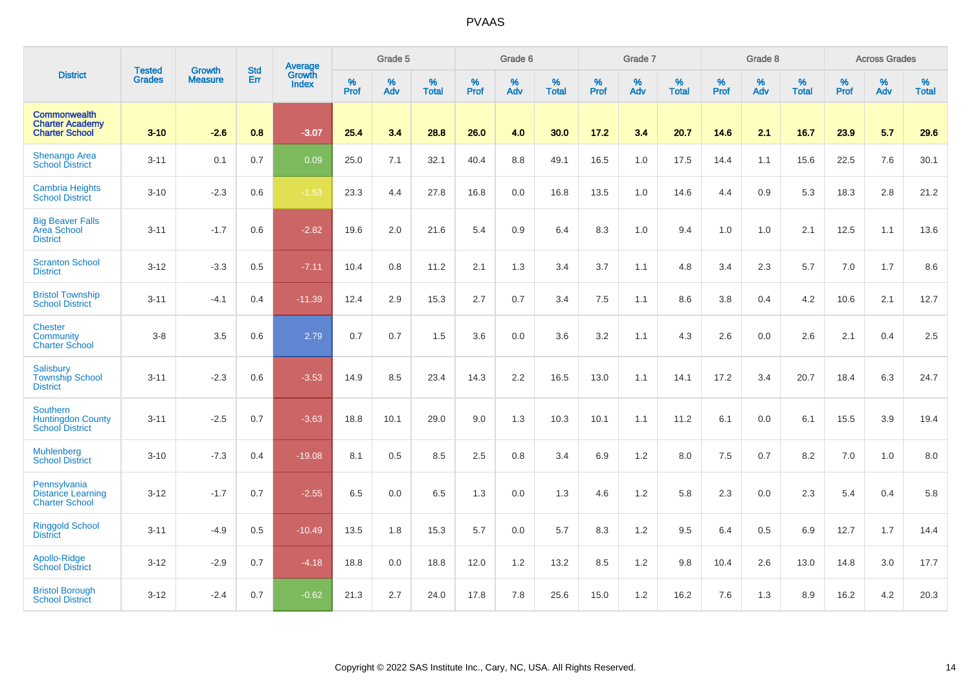|                                                                        |                                |                                 | <b>Std</b> | Average                |           | Grade 5  |                   |           | Grade 6  |                   |           | Grade 7  |                   |           | Grade 8  |                   |           | <b>Across Grades</b> |                   |
|------------------------------------------------------------------------|--------------------------------|---------------------------------|------------|------------------------|-----------|----------|-------------------|-----------|----------|-------------------|-----------|----------|-------------------|-----------|----------|-------------------|-----------|----------------------|-------------------|
| <b>District</b>                                                        | <b>Tested</b><br><b>Grades</b> | <b>Growth</b><br><b>Measure</b> | Err        | Growth<br><b>Index</b> | %<br>Prof | %<br>Adv | %<br><b>Total</b> | %<br>Prof | %<br>Adv | %<br><b>Total</b> | %<br>Prof | %<br>Adv | %<br><b>Total</b> | %<br>Prof | %<br>Adv | %<br><b>Total</b> | %<br>Prof | %<br>Adv             | %<br><b>Total</b> |
| <b>Commonwealth</b><br><b>Charter Academy</b><br><b>Charter School</b> | $3 - 10$                       | $-2.6$                          | 0.8        | $-3.07$                | 25.4      | 3.4      | 28.8              | 26.0      | 4.0      | 30.0              | 17.2      | 3.4      | 20.7              | 14.6      | 2.1      | 16.7              | 23.9      | 5.7                  | 29.6              |
| Shenango Area<br><b>School District</b>                                | $3 - 11$                       | 0.1                             | 0.7        | 0.09                   | 25.0      | 7.1      | 32.1              | 40.4      | 8.8      | 49.1              | 16.5      | 1.0      | 17.5              | 14.4      | 1.1      | 15.6              | 22.5      | 7.6                  | 30.1              |
| <b>Cambria Heights</b><br><b>School District</b>                       | $3 - 10$                       | $-2.3$                          | 0.6        | $-1.53$                | 23.3      | 4.4      | 27.8              | 16.8      | 0.0      | 16.8              | 13.5      | 1.0      | 14.6              | 4.4       | 0.9      | 5.3               | 18.3      | 2.8                  | 21.2              |
| <b>Big Beaver Falls</b><br>Area School<br><b>District</b>              | $3 - 11$                       | $-1.7$                          | 0.6        | $-2.82$                | 19.6      | 2.0      | 21.6              | 5.4       | 0.9      | 6.4               | 8.3       | 1.0      | 9.4               | 1.0       | 1.0      | 2.1               | 12.5      | 1.1                  | 13.6              |
| <b>Scranton School</b><br><b>District</b>                              | $3 - 12$                       | $-3.3$                          | 0.5        | $-7.11$                | 10.4      | 0.8      | 11.2              | 2.1       | 1.3      | 3.4               | 3.7       | 1.1      | 4.8               | 3.4       | 2.3      | 5.7               | 7.0       | 1.7                  | 8.6               |
| <b>Bristol Township</b><br><b>School District</b>                      | $3 - 11$                       | $-4.1$                          | 0.4        | $-11.39$               | 12.4      | 2.9      | 15.3              | 2.7       | 0.7      | 3.4               | 7.5       | 1.1      | 8.6               | 3.8       | 0.4      | 4.2               | 10.6      | 2.1                  | 12.7              |
| <b>Chester</b><br>Community<br><b>Charter School</b>                   | $3-8$                          | 3.5                             | 0.6        | 2.79                   | 0.7       | 0.7      | 1.5               | 3.6       | 0.0      | 3.6               | 3.2       | 1.1      | 4.3               | 2.6       | 0.0      | 2.6               | 2.1       | 0.4                  | 2.5               |
| <b>Salisbury</b><br><b>Township School</b><br><b>District</b>          | $3 - 11$                       | $-2.3$                          | 0.6        | $-3.53$                | 14.9      | 8.5      | 23.4              | 14.3      | 2.2      | 16.5              | 13.0      | 1.1      | 14.1              | 17.2      | 3.4      | 20.7              | 18.4      | 6.3                  | 24.7              |
| Southern<br><b>Huntingdon County</b><br><b>School District</b>         | $3 - 11$                       | $-2.5$                          | 0.7        | $-3.63$                | 18.8      | 10.1     | 29.0              | 9.0       | 1.3      | 10.3              | 10.1      | 1.1      | 11.2              | 6.1       | 0.0      | 6.1               | 15.5      | 3.9                  | 19.4              |
| <b>Muhlenberg</b><br><b>School District</b>                            | $3 - 10$                       | $-7.3$                          | 0.4        | $-19.08$               | 8.1       | 0.5      | 8.5               | 2.5       | 0.8      | 3.4               | 6.9       | 1.2      | 8.0               | 7.5       | 0.7      | 8.2               | 7.0       | 1.0                  | 8.0               |
| Pennsylvania<br><b>Distance Learning</b><br><b>Charter School</b>      | $3 - 12$                       | $-1.7$                          | 0.7        | $-2.55$                | 6.5       | 0.0      | 6.5               | 1.3       | 0.0      | 1.3               | 4.6       | 1.2      | 5.8               | 2.3       | 0.0      | 2.3               | 5.4       | 0.4                  | 5.8               |
| <b>Ringgold School</b><br><b>District</b>                              | $3 - 11$                       | $-4.9$                          | 0.5        | $-10.49$               | 13.5      | 1.8      | 15.3              | 5.7       | 0.0      | 5.7               | 8.3       | 1.2      | 9.5               | 6.4       | 0.5      | 6.9               | 12.7      | 1.7                  | 14.4              |
| Apollo-Ridge<br><b>School District</b>                                 | $3 - 12$                       | $-2.9$                          | 0.7        | $-4.18$                | 18.8      | 0.0      | 18.8              | 12.0      | 1.2      | 13.2              | 8.5       | 1.2      | 9.8               | 10.4      | 2.6      | 13.0              | 14.8      | 3.0                  | 17.7              |
| <b>Bristol Borough</b><br><b>School District</b>                       | $3 - 12$                       | $-2.4$                          | 0.7        | $-0.62$                | 21.3      | 2.7      | 24.0              | 17.8      | 7.8      | 25.6              | 15.0      | 1.2      | 16.2              | 7.6       | 1.3      | 8.9               | 16.2      | 4.2                  | 20.3              |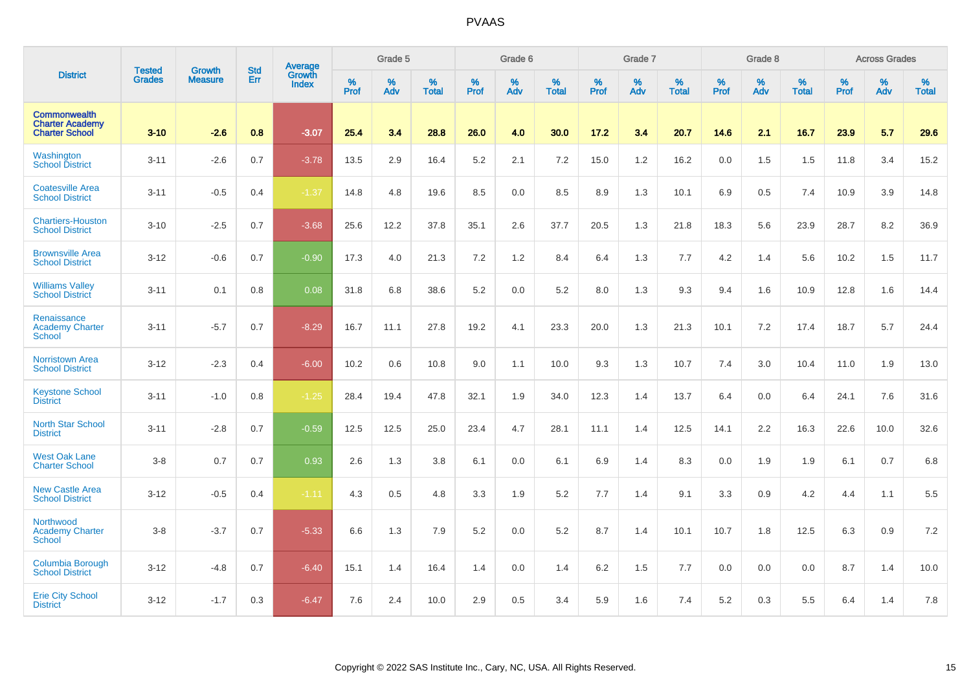|                                                                 | <b>Tested</b> | <b>Growth</b>  | <b>Std</b> | Average                       |              | Grade 5  |                   |           | Grade 6  |                   |           | Grade 7  |                   |           | Grade 8  |                   |           | <b>Across Grades</b> |                   |
|-----------------------------------------------------------------|---------------|----------------|------------|-------------------------------|--------------|----------|-------------------|-----------|----------|-------------------|-----------|----------|-------------------|-----------|----------|-------------------|-----------|----------------------|-------------------|
| <b>District</b>                                                 | <b>Grades</b> | <b>Measure</b> | Err        | <b>Growth</b><br><b>Index</b> | $\%$<br>Prof | %<br>Adv | %<br><b>Total</b> | %<br>Prof | %<br>Adv | %<br><b>Total</b> | %<br>Prof | %<br>Adv | %<br><b>Total</b> | %<br>Prof | %<br>Adv | %<br><b>Total</b> | %<br>Prof | %<br>Adv             | %<br><b>Total</b> |
| Commonwealth<br><b>Charter Academy</b><br><b>Charter School</b> | $3 - 10$      | $-2.6$         | 0.8        | $-3.07$                       | 25.4         | 3.4      | 28.8              | 26.0      | 4.0      | 30.0              | 17.2      | 3.4      | 20.7              | 14.6      | 2.1      | 16.7              | 23.9      | 5.7                  | 29.6              |
| Washington<br><b>School District</b>                            | $3 - 11$      | $-2.6$         | 0.7        | $-3.78$                       | 13.5         | 2.9      | 16.4              | 5.2       | 2.1      | 7.2               | 15.0      | 1.2      | 16.2              | 0.0       | 1.5      | 1.5               | 11.8      | 3.4                  | 15.2              |
| <b>Coatesville Area</b><br><b>School District</b>               | $3 - 11$      | $-0.5$         | 0.4        | $-1.37$                       | 14.8         | 4.8      | 19.6              | 8.5       | 0.0      | 8.5               | 8.9       | 1.3      | 10.1              | 6.9       | 0.5      | 7.4               | 10.9      | 3.9                  | 14.8              |
| <b>Chartiers-Houston</b><br><b>School District</b>              | $3 - 10$      | $-2.5$         | 0.7        | $-3.68$                       | 25.6         | 12.2     | 37.8              | 35.1      | 2.6      | 37.7              | 20.5      | 1.3      | 21.8              | 18.3      | 5.6      | 23.9              | 28.7      | 8.2                  | 36.9              |
| <b>Brownsville Area</b><br><b>School District</b>               | $3 - 12$      | $-0.6$         | 0.7        | $-0.90$                       | 17.3         | 4.0      | 21.3              | 7.2       | 1.2      | 8.4               | 6.4       | 1.3      | 7.7               | 4.2       | 1.4      | 5.6               | 10.2      | 1.5                  | 11.7              |
| <b>Williams Valley</b><br><b>School District</b>                | $3 - 11$      | 0.1            | 0.8        | 0.08                          | 31.8         | 6.8      | 38.6              | 5.2       | 0.0      | 5.2               | 8.0       | 1.3      | 9.3               | 9.4       | 1.6      | 10.9              | 12.8      | 1.6                  | 14.4              |
| Renaissance<br><b>Academy Charter</b><br><b>School</b>          | $3 - 11$      | $-5.7$         | 0.7        | $-8.29$                       | 16.7         | 11.1     | 27.8              | 19.2      | 4.1      | 23.3              | 20.0      | 1.3      | 21.3              | 10.1      | 7.2      | 17.4              | 18.7      | 5.7                  | 24.4              |
| <b>Norristown Area</b><br><b>School District</b>                | $3 - 12$      | $-2.3$         | 0.4        | $-6.00$                       | 10.2         | 0.6      | 10.8              | 9.0       | 1.1      | 10.0              | 9.3       | 1.3      | 10.7              | 7.4       | 3.0      | 10.4              | 11.0      | 1.9                  | 13.0              |
| <b>Keystone School</b><br><b>District</b>                       | $3 - 11$      | $-1.0$         | 0.8        | $-1.25$                       | 28.4         | 19.4     | 47.8              | 32.1      | 1.9      | 34.0              | 12.3      | 1.4      | 13.7              | 6.4       | 0.0      | 6.4               | 24.1      | 7.6                  | 31.6              |
| <b>North Star School</b><br><b>District</b>                     | $3 - 11$      | $-2.8$         | 0.7        | $-0.59$                       | 12.5         | 12.5     | 25.0              | 23.4      | 4.7      | 28.1              | 11.1      | 1.4      | 12.5              | 14.1      | 2.2      | 16.3              | 22.6      | 10.0                 | 32.6              |
| <b>West Oak Lane</b><br><b>Charter School</b>                   | $3-8$         | 0.7            | 0.7        | 0.93                          | 2.6          | 1.3      | 3.8               | 6.1       | 0.0      | 6.1               | 6.9       | 1.4      | 8.3               | 0.0       | 1.9      | 1.9               | 6.1       | 0.7                  | 6.8               |
| <b>New Castle Area</b><br><b>School District</b>                | $3 - 12$      | $-0.5$         | 0.4        | $-1.11$                       | 4.3          | 0.5      | 4.8               | 3.3       | 1.9      | 5.2               | 7.7       | 1.4      | 9.1               | 3.3       | 0.9      | 4.2               | 4.4       | 1.1                  | 5.5               |
| Northwood<br><b>Academy Charter</b><br><b>School</b>            | $3-8$         | $-3.7$         | 0.7        | $-5.33$                       | 6.6          | 1.3      | 7.9               | 5.2       | 0.0      | 5.2               | 8.7       | 1.4      | 10.1              | 10.7      | 1.8      | 12.5              | 6.3       | 0.9                  | $7.2\,$           |
| Columbia Borough<br><b>School District</b>                      | $3 - 12$      | $-4.8$         | 0.7        | $-6.40$                       | 15.1         | 1.4      | 16.4              | 1.4       | 0.0      | 1.4               | 6.2       | 1.5      | 7.7               | 0.0       | 0.0      | 0.0               | 8.7       | 1.4                  | 10.0              |
| <b>Erie City School</b><br><b>District</b>                      | $3 - 12$      | $-1.7$         | 0.3        | $-6.47$                       | 7.6          | 2.4      | 10.0              | 2.9       | 0.5      | 3.4               | 5.9       | 1.6      | 7.4               | 5.2       | 0.3      | 5.5               | 6.4       | 1.4                  | 7.8               |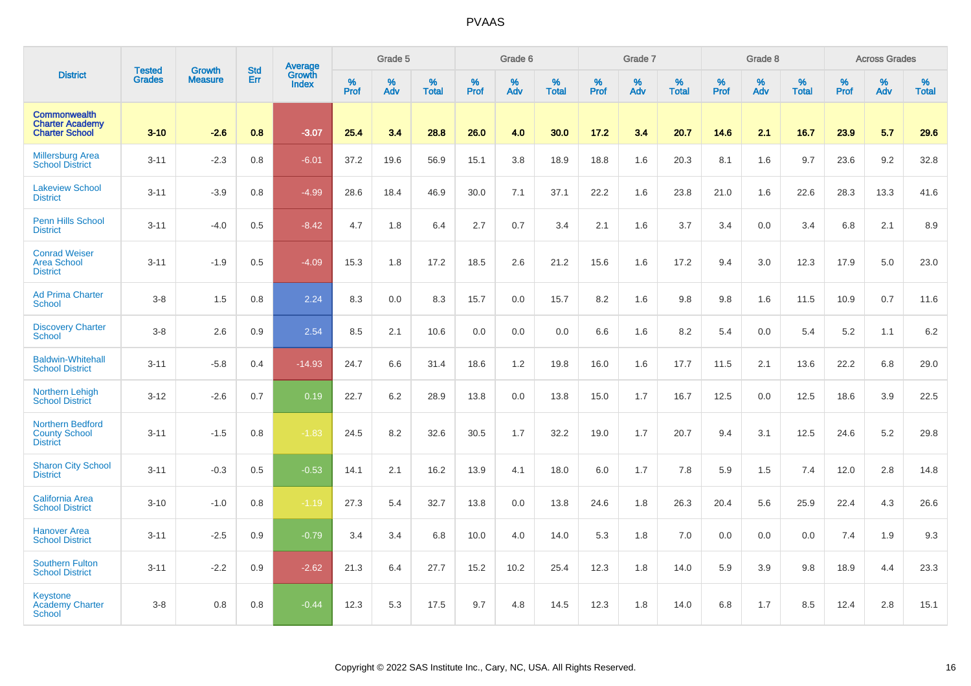|                                                                        |                                |                                 | <b>Std</b> | Average                |           | Grade 5  |                   |           | Grade 6  |                   |              | Grade 7  |                   |           | Grade 8  |                   |           | <b>Across Grades</b> |                   |
|------------------------------------------------------------------------|--------------------------------|---------------------------------|------------|------------------------|-----------|----------|-------------------|-----------|----------|-------------------|--------------|----------|-------------------|-----------|----------|-------------------|-----------|----------------------|-------------------|
| <b>District</b>                                                        | <b>Tested</b><br><b>Grades</b> | <b>Growth</b><br><b>Measure</b> | Err        | Growth<br><b>Index</b> | %<br>Prof | %<br>Adv | %<br><b>Total</b> | %<br>Prof | %<br>Adv | %<br><b>Total</b> | $\%$<br>Prof | %<br>Adv | %<br><b>Total</b> | %<br>Prof | %<br>Adv | %<br><b>Total</b> | %<br>Prof | %<br>Adv             | %<br><b>Total</b> |
| <b>Commonwealth</b><br><b>Charter Academy</b><br><b>Charter School</b> | $3 - 10$                       | $-2.6$                          | 0.8        | $-3.07$                | 25.4      | 3.4      | 28.8              | 26.0      | 4.0      | 30.0              | 17.2         | 3.4      | 20.7              | 14.6      | 2.1      | 16.7              | 23.9      | 5.7                  | 29.6              |
| <b>Millersburg Area</b><br><b>School District</b>                      | $3 - 11$                       | $-2.3$                          | 0.8        | $-6.01$                | 37.2      | 19.6     | 56.9              | 15.1      | 3.8      | 18.9              | 18.8         | 1.6      | 20.3              | 8.1       | 1.6      | 9.7               | 23.6      | 9.2                  | 32.8              |
| <b>Lakeview School</b><br><b>District</b>                              | $3 - 11$                       | $-3.9$                          | 0.8        | $-4.99$                | 28.6      | 18.4     | 46.9              | 30.0      | 7.1      | 37.1              | 22.2         | 1.6      | 23.8              | 21.0      | 1.6      | 22.6              | 28.3      | 13.3                 | 41.6              |
| Penn Hills School<br><b>District</b>                                   | $3 - 11$                       | $-4.0$                          | 0.5        | $-8.42$                | 4.7       | 1.8      | 6.4               | 2.7       | 0.7      | 3.4               | 2.1          | 1.6      | 3.7               | 3.4       | 0.0      | 3.4               | 6.8       | 2.1                  | 8.9               |
| <b>Conrad Weiser</b><br><b>Area School</b><br><b>District</b>          | $3 - 11$                       | $-1.9$                          | 0.5        | $-4.09$                | 15.3      | 1.8      | 17.2              | 18.5      | 2.6      | 21.2              | 15.6         | 1.6      | 17.2              | 9.4       | 3.0      | 12.3              | 17.9      | 5.0                  | 23.0              |
| <b>Ad Prima Charter</b><br><b>School</b>                               | $3-8$                          | 1.5                             | 0.8        | 2.24                   | 8.3       | 0.0      | 8.3               | 15.7      | 0.0      | 15.7              | 8.2          | 1.6      | 9.8               | 9.8       | 1.6      | 11.5              | 10.9      | 0.7                  | 11.6              |
| <b>Discovery Charter</b><br><b>School</b>                              | $3-8$                          | 2.6                             | 0.9        | 2.54                   | 8.5       | 2.1      | 10.6              | 0.0       | 0.0      | 0.0               | 6.6          | 1.6      | 8.2               | 5.4       | 0.0      | 5.4               | 5.2       | 1.1                  | 6.2               |
| <b>Baldwin-Whitehall</b><br><b>School District</b>                     | $3 - 11$                       | $-5.8$                          | 0.4        | $-14.93$               | 24.7      | 6.6      | 31.4              | 18.6      | 1.2      | 19.8              | 16.0         | 1.6      | 17.7              | 11.5      | 2.1      | 13.6              | 22.2      | 6.8                  | 29.0              |
| Northern Lehigh<br><b>School District</b>                              | $3 - 12$                       | $-2.6$                          | 0.7        | 0.19                   | 22.7      | 6.2      | 28.9              | 13.8      | 0.0      | 13.8              | 15.0         | 1.7      | 16.7              | 12.5      | 0.0      | 12.5              | 18.6      | 3.9                  | 22.5              |
| <b>Northern Bedford</b><br><b>County School</b><br><b>District</b>     | $3 - 11$                       | $-1.5$                          | 0.8        | $-1.83$                | 24.5      | 8.2      | 32.6              | 30.5      | 1.7      | 32.2              | 19.0         | 1.7      | 20.7              | 9.4       | 3.1      | 12.5              | 24.6      | 5.2                  | 29.8              |
| <b>Sharon City School</b><br><b>District</b>                           | $3 - 11$                       | $-0.3$                          | 0.5        | $-0.53$                | 14.1      | 2.1      | 16.2              | 13.9      | 4.1      | 18.0              | 6.0          | 1.7      | 7.8               | 5.9       | 1.5      | 7.4               | 12.0      | 2.8                  | 14.8              |
| California Area<br><b>School District</b>                              | $3 - 10$                       | $-1.0$                          | 0.8        | $-1.19$                | 27.3      | 5.4      | 32.7              | 13.8      | 0.0      | 13.8              | 24.6         | 1.8      | 26.3              | 20.4      | 5.6      | 25.9              | 22.4      | 4.3                  | 26.6              |
| <b>Hanover Area</b><br><b>School District</b>                          | $3 - 11$                       | $-2.5$                          | 0.9        | $-0.79$                | 3.4       | 3.4      | 6.8               | 10.0      | 4.0      | 14.0              | 5.3          | 1.8      | 7.0               | 0.0       | 0.0      | 0.0               | 7.4       | 1.9                  | 9.3               |
| <b>Southern Fulton</b><br><b>School District</b>                       | $3 - 11$                       | $-2.2$                          | 0.9        | $-2.62$                | 21.3      | 6.4      | 27.7              | 15.2      | 10.2     | 25.4              | 12.3         | 1.8      | 14.0              | 5.9       | 3.9      | 9.8               | 18.9      | 4.4                  | 23.3              |
| Keystone<br><b>Academy Charter</b><br><b>School</b>                    | $3 - 8$                        | 0.8                             | 0.8        | $-0.44$                | 12.3      | 5.3      | 17.5              | 9.7       | 4.8      | 14.5              | 12.3         | 1.8      | 14.0              | 6.8       | 1.7      | 8.5               | 12.4      | 2.8                  | 15.1              |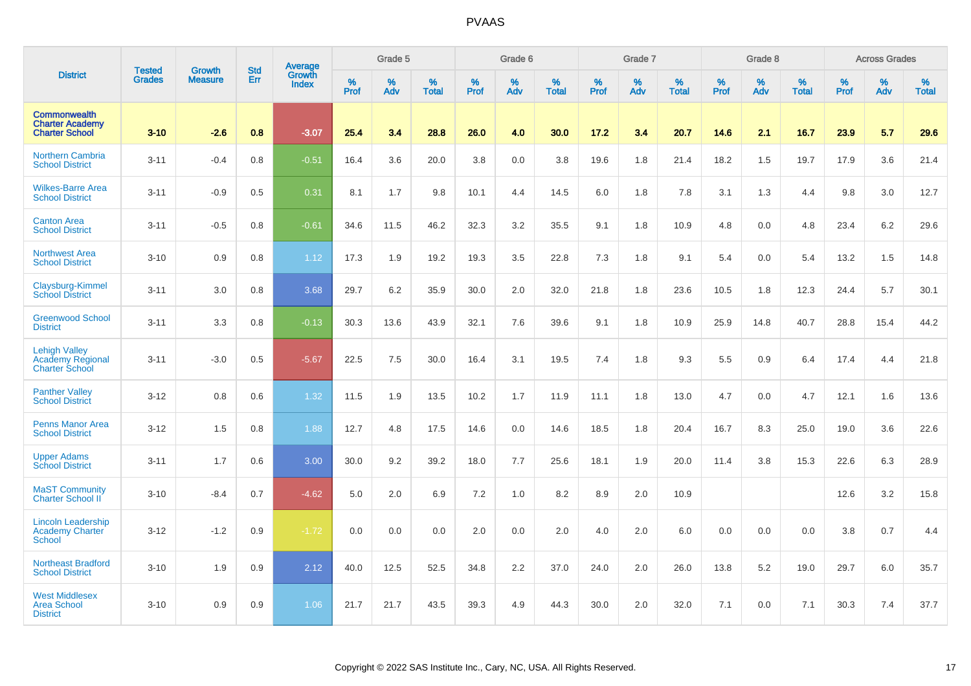|                                                                          |                                |                                 | <b>Std</b> | <b>Average</b>         |           | Grade 5  |                   |           | Grade 6  |                   |              | Grade 7  |                   |           | Grade 8  |                   |           | <b>Across Grades</b> |                   |
|--------------------------------------------------------------------------|--------------------------------|---------------------------------|------------|------------------------|-----------|----------|-------------------|-----------|----------|-------------------|--------------|----------|-------------------|-----------|----------|-------------------|-----------|----------------------|-------------------|
| <b>District</b>                                                          | <b>Tested</b><br><b>Grades</b> | <b>Growth</b><br><b>Measure</b> | Err        | Growth<br><b>Index</b> | %<br>Prof | %<br>Adv | %<br><b>Total</b> | %<br>Prof | %<br>Adv | %<br><b>Total</b> | $\%$<br>Prof | %<br>Adv | %<br><b>Total</b> | %<br>Prof | %<br>Adv | %<br><b>Total</b> | %<br>Prof | %<br>Adv             | %<br><b>Total</b> |
| <b>Commonwealth</b><br><b>Charter Academy</b><br><b>Charter School</b>   | $3 - 10$                       | $-2.6$                          | 0.8        | $-3.07$                | 25.4      | 3.4      | 28.8              | 26.0      | 4.0      | 30.0              | 17.2         | 3.4      | 20.7              | 14.6      | 2.1      | 16.7              | 23.9      | 5.7                  | 29.6              |
| <b>Northern Cambria</b><br><b>School District</b>                        | $3 - 11$                       | $-0.4$                          | 0.8        | $-0.51$                | 16.4      | 3.6      | 20.0              | 3.8       | 0.0      | 3.8               | 19.6         | 1.8      | 21.4              | 18.2      | 1.5      | 19.7              | 17.9      | 3.6                  | 21.4              |
| <b>Wilkes-Barre Area</b><br><b>School District</b>                       | $3 - 11$                       | $-0.9$                          | 0.5        | 0.31                   | 8.1       | 1.7      | 9.8               | 10.1      | 4.4      | 14.5              | 6.0          | 1.8      | 7.8               | 3.1       | 1.3      | 4.4               | 9.8       | 3.0                  | 12.7              |
| <b>Canton Area</b><br><b>School District</b>                             | $3 - 11$                       | $-0.5$                          | 0.8        | $-0.61$                | 34.6      | 11.5     | 46.2              | 32.3      | 3.2      | 35.5              | 9.1          | 1.8      | 10.9              | 4.8       | 0.0      | 4.8               | 23.4      | 6.2                  | 29.6              |
| <b>Northwest Area</b><br><b>School District</b>                          | $3 - 10$                       | 0.9                             | 0.8        | 1.12                   | 17.3      | 1.9      | 19.2              | 19.3      | 3.5      | 22.8              | 7.3          | 1.8      | 9.1               | 5.4       | 0.0      | 5.4               | 13.2      | 1.5                  | 14.8              |
| Claysburg-Kimmel<br><b>School District</b>                               | $3 - 11$                       | 3.0                             | 0.8        | 3.68                   | 29.7      | 6.2      | 35.9              | 30.0      | 2.0      | 32.0              | 21.8         | 1.8      | 23.6              | 10.5      | 1.8      | 12.3              | 24.4      | 5.7                  | 30.1              |
| <b>Greenwood School</b><br><b>District</b>                               | $3 - 11$                       | 3.3                             | 0.8        | $-0.13$                | 30.3      | 13.6     | 43.9              | 32.1      | 7.6      | 39.6              | 9.1          | 1.8      | 10.9              | 25.9      | 14.8     | 40.7              | 28.8      | 15.4                 | 44.2              |
| <b>Lehigh Valley</b><br><b>Academy Regional</b><br><b>Charter School</b> | $3 - 11$                       | $-3.0$                          | 0.5        | $-5.67$                | 22.5      | 7.5      | 30.0              | 16.4      | 3.1      | 19.5              | 7.4          | 1.8      | 9.3               | 5.5       | 0.9      | 6.4               | 17.4      | 4.4                  | 21.8              |
| <b>Panther Valley</b><br><b>School District</b>                          | $3 - 12$                       | 0.8                             | 0.6        | 1.32                   | 11.5      | 1.9      | 13.5              | 10.2      | 1.7      | 11.9              | 11.1         | 1.8      | 13.0              | 4.7       | 0.0      | 4.7               | 12.1      | 1.6                  | 13.6              |
| <b>Penns Manor Area</b><br><b>School District</b>                        | $3 - 12$                       | 1.5                             | 0.8        | 1.88                   | 12.7      | 4.8      | 17.5              | 14.6      | 0.0      | 14.6              | 18.5         | 1.8      | 20.4              | 16.7      | 8.3      | 25.0              | 19.0      | 3.6                  | 22.6              |
| <b>Upper Adams</b><br><b>School District</b>                             | $3 - 11$                       | 1.7                             | 0.6        | 3.00                   | 30.0      | 9.2      | 39.2              | 18.0      | 7.7      | 25.6              | 18.1         | 1.9      | 20.0              | 11.4      | 3.8      | 15.3              | 22.6      | 6.3                  | 28.9              |
| <b>MaST Community</b><br>Charter School II                               | $3 - 10$                       | $-8.4$                          | 0.7        | $-4.62$                | 5.0       | 2.0      | 6.9               | 7.2       | 1.0      | 8.2               | 8.9          | 2.0      | 10.9              |           |          |                   | 12.6      | 3.2                  | 15.8              |
| <b>Lincoln Leadership</b><br><b>Academy Charter</b><br><b>School</b>     | $3 - 12$                       | $-1.2$                          | 0.9        | $-1.72$                | 0.0       | 0.0      | 0.0               | 2.0       | 0.0      | 2.0               | 4.0          | 2.0      | 6.0               | 0.0       | 0.0      | 0.0               | 3.8       | 0.7                  | 4.4               |
| <b>Northeast Bradford</b><br><b>School District</b>                      | $3 - 10$                       | 1.9                             | 0.9        | 2.12                   | 40.0      | 12.5     | 52.5              | 34.8      | 2.2      | 37.0              | 24.0         | 2.0      | 26.0              | 13.8      | 5.2      | 19.0              | 29.7      | 6.0                  | 35.7              |
| <b>West Middlesex</b><br><b>Area School</b><br><b>District</b>           | $3 - 10$                       | 0.9                             | 0.9        | 1.06                   | 21.7      | 21.7     | 43.5              | 39.3      | 4.9      | 44.3              | 30.0         | 2.0      | 32.0              | 7.1       | 0.0      | 7.1               | 30.3      | 7.4                  | 37.7              |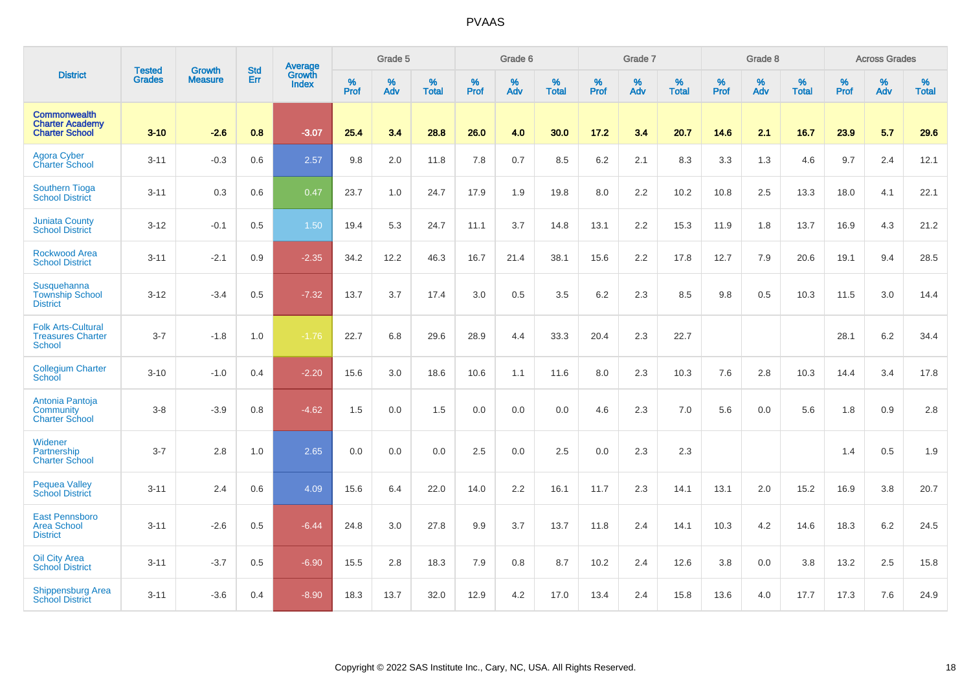|                                                                        |                                |                                 | <b>Std</b> | Average                |           | Grade 5  |                   |           | Grade 6  |                   |           | Grade 7  |                   |           | Grade 8  |                   |           | <b>Across Grades</b> |                   |
|------------------------------------------------------------------------|--------------------------------|---------------------------------|------------|------------------------|-----------|----------|-------------------|-----------|----------|-------------------|-----------|----------|-------------------|-----------|----------|-------------------|-----------|----------------------|-------------------|
| <b>District</b>                                                        | <b>Tested</b><br><b>Grades</b> | <b>Growth</b><br><b>Measure</b> | Err        | Growth<br><b>Index</b> | %<br>Prof | %<br>Adv | %<br><b>Total</b> | %<br>Prof | %<br>Adv | %<br><b>Total</b> | %<br>Prof | %<br>Adv | %<br><b>Total</b> | %<br>Prof | %<br>Adv | %<br><b>Total</b> | %<br>Prof | %<br>Adv             | %<br><b>Total</b> |
| <b>Commonwealth</b><br><b>Charter Academy</b><br><b>Charter School</b> | $3 - 10$                       | $-2.6$                          | 0.8        | $-3.07$                | 25.4      | 3.4      | 28.8              | 26.0      | 4.0      | 30.0              | 17.2      | 3.4      | 20.7              | 14.6      | 2.1      | 16.7              | 23.9      | 5.7                  | 29.6              |
| <b>Agora Cyber</b><br><b>Charter School</b>                            | $3 - 11$                       | $-0.3$                          | 0.6        | 2.57                   | 9.8       | 2.0      | 11.8              | 7.8       | 0.7      | 8.5               | 6.2       | 2.1      | 8.3               | 3.3       | 1.3      | 4.6               | 9.7       | 2.4                  | 12.1              |
| <b>Southern Tioga</b><br><b>School District</b>                        | $3 - 11$                       | 0.3                             | 0.6        | 0.47                   | 23.7      | 1.0      | 24.7              | 17.9      | 1.9      | 19.8              | 8.0       | 2.2      | 10.2              | 10.8      | 2.5      | 13.3              | 18.0      | 4.1                  | 22.1              |
| <b>Juniata County</b><br><b>School District</b>                        | $3 - 12$                       | $-0.1$                          | 0.5        | 1.50                   | 19.4      | 5.3      | 24.7              | 11.1      | 3.7      | 14.8              | 13.1      | 2.2      | 15.3              | 11.9      | 1.8      | 13.7              | 16.9      | 4.3                  | 21.2              |
| <b>Rockwood Area</b><br><b>School District</b>                         | $3 - 11$                       | $-2.1$                          | 0.9        | $-2.35$                | 34.2      | 12.2     | 46.3              | 16.7      | 21.4     | 38.1              | 15.6      | 2.2      | 17.8              | 12.7      | 7.9      | 20.6              | 19.1      | 9.4                  | 28.5              |
| Susquehanna<br><b>Township School</b><br><b>District</b>               | $3 - 12$                       | $-3.4$                          | 0.5        | $-7.32$                | 13.7      | 3.7      | 17.4              | 3.0       | 0.5      | 3.5               | 6.2       | 2.3      | 8.5               | 9.8       | 0.5      | 10.3              | 11.5      | 3.0                  | 14.4              |
| <b>Folk Arts-Cultural</b><br><b>Treasures Charter</b><br><b>School</b> | $3 - 7$                        | $-1.8$                          | 1.0        | $-1.76$                | 22.7      | 6.8      | 29.6              | 28.9      | 4.4      | 33.3              | 20.4      | 2.3      | 22.7              |           |          |                   | 28.1      | 6.2                  | 34.4              |
| <b>Collegium Charter</b><br>School                                     | $3 - 10$                       | $-1.0$                          | 0.4        | $-2.20$                | 15.6      | 3.0      | 18.6              | 10.6      | 1.1      | 11.6              | 8.0       | 2.3      | 10.3              | 7.6       | 2.8      | 10.3              | 14.4      | 3.4                  | 17.8              |
| Antonia Pantoja<br>Community<br><b>Charter School</b>                  | $3-8$                          | $-3.9$                          | 0.8        | $-4.62$                | 1.5       | 0.0      | 1.5               | 0.0       | 0.0      | 0.0               | 4.6       | 2.3      | 7.0               | 5.6       | 0.0      | 5.6               | 1.8       | 0.9                  | 2.8               |
| Widener<br>Partnership<br><b>Charter School</b>                        | $3 - 7$                        | 2.8                             | 1.0        | 2.65                   | 0.0       | 0.0      | 0.0               | 2.5       | 0.0      | 2.5               | 0.0       | 2.3      | 2.3               |           |          |                   | 1.4       | 0.5                  | 1.9               |
| <b>Pequea Valley</b><br><b>School District</b>                         | $3 - 11$                       | 2.4                             | 0.6        | 4.09                   | 15.6      | 6.4      | 22.0              | 14.0      | 2.2      | 16.1              | 11.7      | 2.3      | 14.1              | 13.1      | 2.0      | 15.2              | 16.9      | 3.8                  | 20.7              |
| <b>East Pennsboro</b><br><b>Area School</b><br><b>District</b>         | $3 - 11$                       | $-2.6$                          | 0.5        | $-6.44$                | 24.8      | 3.0      | 27.8              | 9.9       | 3.7      | 13.7              | 11.8      | 2.4      | 14.1              | 10.3      | 4.2      | 14.6              | 18.3      | $6.2\,$              | 24.5              |
| <b>Oil City Area</b><br><b>School District</b>                         | $3 - 11$                       | $-3.7$                          | 0.5        | $-6.90$                | 15.5      | 2.8      | 18.3              | 7.9       | 0.8      | 8.7               | 10.2      | 2.4      | 12.6              | 3.8       | 0.0      | 3.8               | 13.2      | 2.5                  | 15.8              |
| Shippensburg Area<br><b>School District</b>                            | $3 - 11$                       | $-3.6$                          | 0.4        | $-8.90$                | 18.3      | 13.7     | 32.0              | 12.9      | 4.2      | 17.0              | 13.4      | 2.4      | 15.8              | 13.6      | 4.0      | 17.7              | 17.3      | 7.6                  | 24.9              |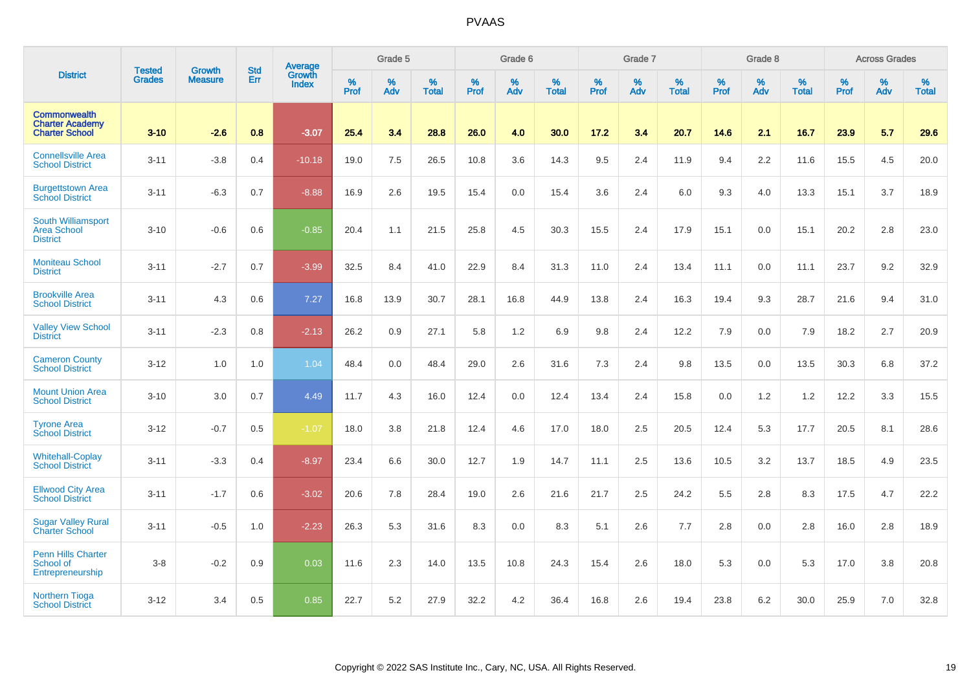|                                                                        |                                |                                 | <b>Std</b> | Average                       |           | Grade 5  |                   |           | Grade 6  |                   |           | Grade 7  |                   |           | Grade 8  |                   |           | <b>Across Grades</b> |                   |
|------------------------------------------------------------------------|--------------------------------|---------------------------------|------------|-------------------------------|-----------|----------|-------------------|-----------|----------|-------------------|-----------|----------|-------------------|-----------|----------|-------------------|-----------|----------------------|-------------------|
| <b>District</b>                                                        | <b>Tested</b><br><b>Grades</b> | <b>Growth</b><br><b>Measure</b> | Err        | <b>Growth</b><br><b>Index</b> | %<br>Prof | %<br>Adv | %<br><b>Total</b> | %<br>Prof | %<br>Adv | %<br><b>Total</b> | %<br>Prof | %<br>Adv | %<br><b>Total</b> | %<br>Prof | %<br>Adv | %<br><b>Total</b> | %<br>Prof | %<br>Adv             | %<br><b>Total</b> |
| <b>Commonwealth</b><br><b>Charter Academy</b><br><b>Charter School</b> | $3 - 10$                       | $-2.6$                          | 0.8        | $-3.07$                       | 25.4      | 3.4      | 28.8              | 26.0      | 4.0      | 30.0              | 17.2      | 3.4      | 20.7              | 14.6      | 2.1      | 16.7              | 23.9      | 5.7                  | 29.6              |
| <b>Connellsville Area</b><br><b>School District</b>                    | $3 - 11$                       | $-3.8$                          | 0.4        | $-10.18$                      | 19.0      | 7.5      | 26.5              | 10.8      | 3.6      | 14.3              | 9.5       | 2.4      | 11.9              | 9.4       | 2.2      | 11.6              | 15.5      | 4.5                  | 20.0              |
| <b>Burgettstown Area</b><br><b>School District</b>                     | $3 - 11$                       | $-6.3$                          | 0.7        | $-8.88$                       | 16.9      | 2.6      | 19.5              | 15.4      | 0.0      | 15.4              | 3.6       | 2.4      | 6.0               | 9.3       | 4.0      | 13.3              | 15.1      | 3.7                  | 18.9              |
| <b>South Williamsport</b><br><b>Area School</b><br><b>District</b>     | $3 - 10$                       | $-0.6$                          | 0.6        | $-0.85$                       | 20.4      | 1.1      | 21.5              | 25.8      | 4.5      | 30.3              | 15.5      | 2.4      | 17.9              | 15.1      | 0.0      | 15.1              | 20.2      | 2.8                  | 23.0              |
| <b>Moniteau School</b><br><b>District</b>                              | $3 - 11$                       | $-2.7$                          | 0.7        | $-3.99$                       | 32.5      | 8.4      | 41.0              | 22.9      | 8.4      | 31.3              | 11.0      | 2.4      | 13.4              | 11.1      | 0.0      | 11.1              | 23.7      | 9.2                  | 32.9              |
| <b>Brookville Area</b><br><b>School District</b>                       | $3 - 11$                       | 4.3                             | 0.6        | 7.27                          | 16.8      | 13.9     | 30.7              | 28.1      | 16.8     | 44.9              | 13.8      | 2.4      | 16.3              | 19.4      | 9.3      | 28.7              | 21.6      | 9.4                  | 31.0              |
| <b>Valley View School</b><br><b>District</b>                           | $3 - 11$                       | $-2.3$                          | 0.8        | $-2.13$                       | 26.2      | 0.9      | 27.1              | 5.8       | 1.2      | 6.9               | 9.8       | 2.4      | 12.2              | 7.9       | 0.0      | 7.9               | 18.2      | 2.7                  | 20.9              |
| <b>Cameron County</b><br><b>School District</b>                        | $3 - 12$                       | 1.0                             | 1.0        | 1.04                          | 48.4      | 0.0      | 48.4              | 29.0      | 2.6      | 31.6              | 7.3       | 2.4      | 9.8               | 13.5      | 0.0      | 13.5              | 30.3      | 6.8                  | 37.2              |
| <b>Mount Union Area</b><br><b>School District</b>                      | $3 - 10$                       | 3.0                             | 0.7        | 4.49                          | 11.7      | 4.3      | 16.0              | 12.4      | 0.0      | 12.4              | 13.4      | 2.4      | 15.8              | 0.0       | 1.2      | 1.2               | 12.2      | 3.3                  | 15.5              |
| <b>Tyrone Area</b><br><b>School District</b>                           | $3 - 12$                       | $-0.7$                          | 0.5        | $-1.07$                       | 18.0      | 3.8      | 21.8              | 12.4      | 4.6      | 17.0              | 18.0      | 2.5      | 20.5              | 12.4      | 5.3      | 17.7              | 20.5      | 8.1                  | 28.6              |
| <b>Whitehall-Coplay</b><br><b>School District</b>                      | $3 - 11$                       | $-3.3$                          | 0.4        | $-8.97$                       | 23.4      | 6.6      | 30.0              | 12.7      | 1.9      | 14.7              | 11.1      | 2.5      | 13.6              | 10.5      | 3.2      | 13.7              | 18.5      | 4.9                  | 23.5              |
| <b>Ellwood City Area</b><br><b>School District</b>                     | $3 - 11$                       | $-1.7$                          | 0.6        | $-3.02$                       | 20.6      | 7.8      | 28.4              | 19.0      | 2.6      | 21.6              | 21.7      | 2.5      | 24.2              | 5.5       | 2.8      | 8.3               | 17.5      | 4.7                  | 22.2              |
| <b>Sugar Valley Rural</b><br><b>Charter School</b>                     | $3 - 11$                       | $-0.5$                          | 1.0        | $-2.23$                       | 26.3      | 5.3      | 31.6              | 8.3       | 0.0      | 8.3               | 5.1       | 2.6      | 7.7               | 2.8       | 0.0      | 2.8               | 16.0      | 2.8                  | 18.9              |
| <b>Penn Hills Charter</b><br>School of<br>Entrepreneurship             | $3-8$                          | $-0.2$                          | 0.9        | 0.03                          | 11.6      | 2.3      | 14.0              | 13.5      | 10.8     | 24.3              | 15.4      | 2.6      | 18.0              | 5.3       | 0.0      | 5.3               | 17.0      | $3.8\,$              | 20.8              |
| <b>Northern Tioga</b><br><b>School District</b>                        | $3 - 12$                       | 3.4                             | 0.5        | 0.85                          | 22.7      | 5.2      | 27.9              | 32.2      | 4.2      | 36.4              | 16.8      | 2.6      | 19.4              | 23.8      | 6.2      | 30.0              | 25.9      | 7.0                  | 32.8              |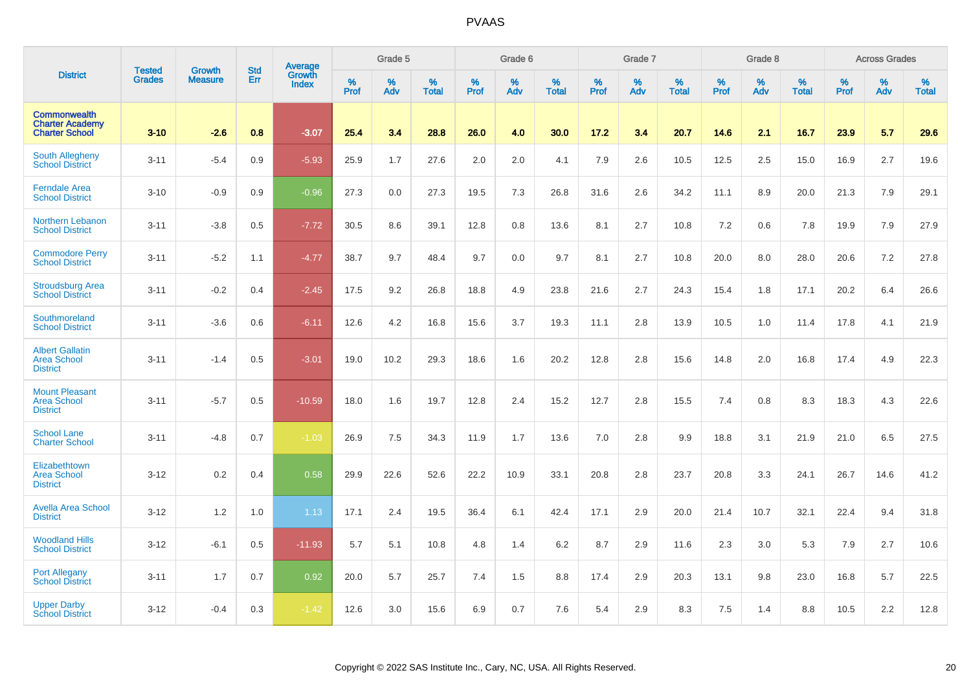|                                                                        |                                |                                 | <b>Std</b> | <b>Average</b>         |              | Grade 5  |                   |           | Grade 6  |                   |           | Grade 7  |                   |           | Grade 8  |                   |           | <b>Across Grades</b> |                   |
|------------------------------------------------------------------------|--------------------------------|---------------------------------|------------|------------------------|--------------|----------|-------------------|-----------|----------|-------------------|-----------|----------|-------------------|-----------|----------|-------------------|-----------|----------------------|-------------------|
| <b>District</b>                                                        | <b>Tested</b><br><b>Grades</b> | <b>Growth</b><br><b>Measure</b> | Err        | Growth<br><b>Index</b> | $\%$<br>Prof | %<br>Adv | %<br><b>Total</b> | %<br>Prof | %<br>Adv | %<br><b>Total</b> | %<br>Prof | %<br>Adv | %<br><b>Total</b> | %<br>Prof | %<br>Adv | %<br><b>Total</b> | %<br>Prof | %<br>Adv             | %<br><b>Total</b> |
| <b>Commonwealth</b><br><b>Charter Academy</b><br><b>Charter School</b> | $3 - 10$                       | $-2.6$                          | 0.8        | $-3.07$                | 25.4         | 3.4      | 28.8              | 26.0      | 4.0      | 30.0              | 17.2      | 3.4      | 20.7              | 14.6      | 2.1      | 16.7              | 23.9      | 5.7                  | 29.6              |
| <b>South Allegheny</b><br><b>School District</b>                       | $3 - 11$                       | $-5.4$                          | 0.9        | $-5.93$                | 25.9         | 1.7      | 27.6              | 2.0       | 2.0      | 4.1               | 7.9       | 2.6      | 10.5              | 12.5      | 2.5      | 15.0              | 16.9      | 2.7                  | 19.6              |
| <b>Ferndale Area</b><br><b>School District</b>                         | $3 - 10$                       | $-0.9$                          | 0.9        | $-0.96$                | 27.3         | 0.0      | 27.3              | 19.5      | 7.3      | 26.8              | 31.6      | 2.6      | 34.2              | 11.1      | 8.9      | 20.0              | 21.3      | 7.9                  | 29.1              |
| <b>Northern Lebanon</b><br><b>School District</b>                      | $3 - 11$                       | $-3.8$                          | 0.5        | $-7.72$                | 30.5         | 8.6      | 39.1              | 12.8      | 0.8      | 13.6              | 8.1       | 2.7      | 10.8              | 7.2       | 0.6      | 7.8               | 19.9      | 7.9                  | 27.9              |
| <b>Commodore Perry</b><br><b>School District</b>                       | $3 - 11$                       | $-5.2$                          | 1.1        | $-4.77$                | 38.7         | 9.7      | 48.4              | 9.7       | 0.0      | 9.7               | 8.1       | 2.7      | 10.8              | 20.0      | 8.0      | 28.0              | 20.6      | 7.2                  | 27.8              |
| <b>Stroudsburg Area</b><br><b>School District</b>                      | $3 - 11$                       | $-0.2$                          | 0.4        | $-2.45$                | 17.5         | 9.2      | 26.8              | 18.8      | 4.9      | 23.8              | 21.6      | 2.7      | 24.3              | 15.4      | 1.8      | 17.1              | 20.2      | 6.4                  | 26.6              |
| Southmoreland<br><b>School District</b>                                | $3 - 11$                       | $-3.6$                          | 0.6        | $-6.11$                | 12.6         | 4.2      | 16.8              | 15.6      | 3.7      | 19.3              | 11.1      | 2.8      | 13.9              | 10.5      | 1.0      | 11.4              | 17.8      | 4.1                  | 21.9              |
| <b>Albert Gallatin</b><br><b>Area School</b><br><b>District</b>        | $3 - 11$                       | $-1.4$                          | 0.5        | $-3.01$                | 19.0         | 10.2     | 29.3              | 18.6      | 1.6      | 20.2              | 12.8      | 2.8      | 15.6              | 14.8      | 2.0      | 16.8              | 17.4      | 4.9                  | 22.3              |
| <b>Mount Pleasant</b><br><b>Area School</b><br><b>District</b>         | $3 - 11$                       | $-5.7$                          | 0.5        | $-10.59$               | 18.0         | 1.6      | 19.7              | 12.8      | 2.4      | 15.2              | 12.7      | 2.8      | 15.5              | 7.4       | 0.8      | 8.3               | 18.3      | 4.3                  | 22.6              |
| <b>School Lane</b><br><b>Charter School</b>                            | $3 - 11$                       | $-4.8$                          | 0.7        | $-1.03$                | 26.9         | 7.5      | 34.3              | 11.9      | 1.7      | 13.6              | 7.0       | 2.8      | 9.9               | 18.8      | 3.1      | 21.9              | 21.0      | 6.5                  | 27.5              |
| Elizabethtown<br><b>Area School</b><br><b>District</b>                 | $3 - 12$                       | 0.2                             | 0.4        | 0.58                   | 29.9         | 22.6     | 52.6              | 22.2      | 10.9     | 33.1              | 20.8      | 2.8      | 23.7              | 20.8      | 3.3      | 24.1              | 26.7      | 14.6                 | 41.2              |
| <b>Avella Area School</b><br><b>District</b>                           | $3 - 12$                       | 1.2                             | 1.0        | 1.13                   | 17.1         | 2.4      | 19.5              | 36.4      | 6.1      | 42.4              | 17.1      | 2.9      | 20.0              | 21.4      | 10.7     | 32.1              | 22.4      | 9.4                  | 31.8              |
| <b>Woodland Hills</b><br><b>School District</b>                        | $3 - 12$                       | $-6.1$                          | 0.5        | $-11.93$               | 5.7          | 5.1      | 10.8              | 4.8       | 1.4      | 6.2               | 8.7       | 2.9      | 11.6              | 2.3       | 3.0      | 5.3               | 7.9       | 2.7                  | 10.6              |
| <b>Port Allegany</b><br><b>School District</b>                         | $3 - 11$                       | 1.7                             | 0.7        | 0.92                   | 20.0         | 5.7      | 25.7              | 7.4       | 1.5      | 8.8               | 17.4      | 2.9      | 20.3              | 13.1      | 9.8      | 23.0              | 16.8      | 5.7                  | 22.5              |
| <b>Upper Darby</b><br><b>School District</b>                           | $3 - 12$                       | $-0.4$                          | 0.3        | $-1.42$                | 12.6         | 3.0      | 15.6              | 6.9       | 0.7      | 7.6               | 5.4       | 2.9      | 8.3               | 7.5       | 1.4      | 8.8               | 10.5      | 2.2                  | 12.8              |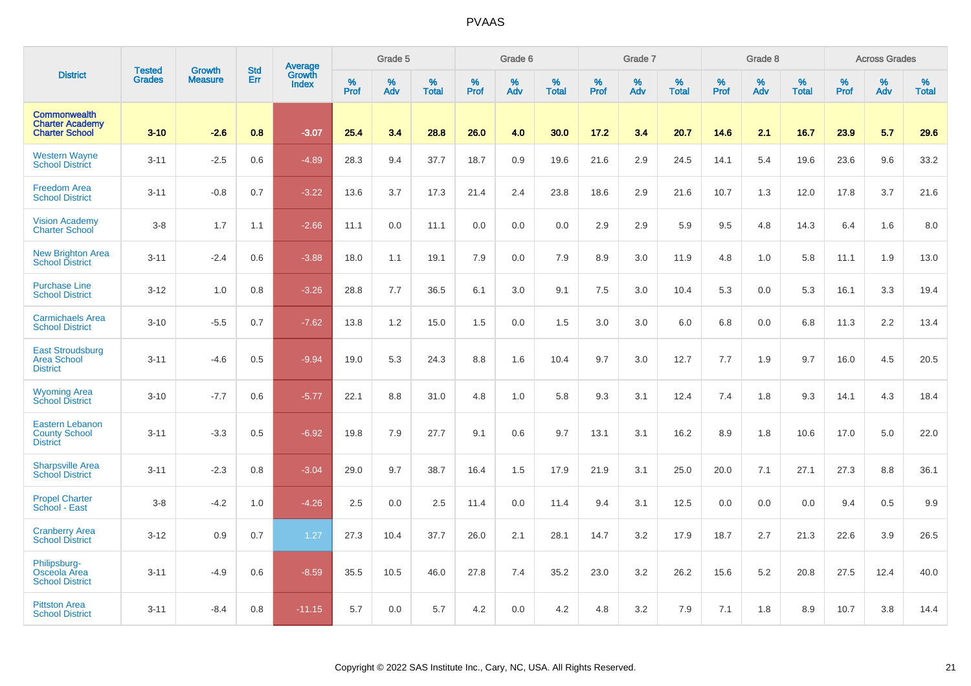|                                                                        |                                | <b>Growth</b>  | <b>Std</b> | Average                |                     | Grade 5  |                   |           | Grade 6  |                   |           | Grade 7  |                   |           | Grade 8  |                   |           | <b>Across Grades</b> |                   |
|------------------------------------------------------------------------|--------------------------------|----------------|------------|------------------------|---------------------|----------|-------------------|-----------|----------|-------------------|-----------|----------|-------------------|-----------|----------|-------------------|-----------|----------------------|-------------------|
| <b>District</b>                                                        | <b>Tested</b><br><b>Grades</b> | <b>Measure</b> | Err        | Growth<br><b>Index</b> | $\%$<br><b>Prof</b> | %<br>Adv | %<br><b>Total</b> | %<br>Prof | %<br>Adv | %<br><b>Total</b> | %<br>Prof | %<br>Adv | %<br><b>Total</b> | %<br>Prof | %<br>Adv | %<br><b>Total</b> | %<br>Prof | %<br>Adv             | %<br><b>Total</b> |
| <b>Commonwealth</b><br><b>Charter Academy</b><br><b>Charter School</b> | $3 - 10$                       | $-2.6$         | 0.8        | $-3.07$                | 25.4                | 3.4      | 28.8              | 26.0      | 4.0      | 30.0              | 17.2      | 3.4      | 20.7              | 14.6      | 2.1      | 16.7              | 23.9      | 5.7                  | 29.6              |
| <b>Western Wayne</b><br><b>School District</b>                         | $3 - 11$                       | $-2.5$         | 0.6        | $-4.89$                | 28.3                | 9.4      | 37.7              | 18.7      | 0.9      | 19.6              | 21.6      | 2.9      | 24.5              | 14.1      | 5.4      | 19.6              | 23.6      | 9.6                  | 33.2              |
| <b>Freedom Area</b><br><b>School District</b>                          | $3 - 11$                       | $-0.8$         | 0.7        | $-3.22$                | 13.6                | 3.7      | 17.3              | 21.4      | 2.4      | 23.8              | 18.6      | 2.9      | 21.6              | 10.7      | 1.3      | 12.0              | 17.8      | 3.7                  | 21.6              |
| <b>Vision Academy</b><br><b>Charter School</b>                         | $3-8$                          | 1.7            | 1.1        | $-2.66$                | 11.1                | 0.0      | 11.1              | 0.0       | 0.0      | 0.0               | 2.9       | 2.9      | 5.9               | 9.5       | 4.8      | 14.3              | 6.4       | 1.6                  | 8.0               |
| <b>New Brighton Area</b><br><b>School District</b>                     | $3 - 11$                       | $-2.4$         | 0.6        | $-3.88$                | 18.0                | 1.1      | 19.1              | 7.9       | 0.0      | 7.9               | 8.9       | 3.0      | 11.9              | 4.8       | 1.0      | 5.8               | 11.1      | 1.9                  | 13.0              |
| <b>Purchase Line</b><br><b>School District</b>                         | $3 - 12$                       | 1.0            | 0.8        | $-3.26$                | 28.8                | 7.7      | 36.5              | 6.1       | 3.0      | 9.1               | 7.5       | 3.0      | 10.4              | 5.3       | 0.0      | 5.3               | 16.1      | 3.3                  | 19.4              |
| <b>Carmichaels Area</b><br><b>School District</b>                      | $3 - 10$                       | $-5.5$         | 0.7        | $-7.62$                | 13.8                | 1.2      | 15.0              | 1.5       | 0.0      | 1.5               | 3.0       | 3.0      | 6.0               | 6.8       | 0.0      | 6.8               | 11.3      | 2.2                  | 13.4              |
| <b>East Stroudsburg</b><br>Area School<br><b>District</b>              | $3 - 11$                       | $-4.6$         | 0.5        | $-9.94$                | 19.0                | 5.3      | 24.3              | 8.8       | 1.6      | 10.4              | 9.7       | 3.0      | 12.7              | 7.7       | 1.9      | 9.7               | 16.0      | 4.5                  | 20.5              |
| <b>Wyoming Area</b><br><b>School District</b>                          | $3 - 10$                       | $-7.7$         | 0.6        | $-5.77$                | 22.1                | 8.8      | 31.0              | 4.8       | 1.0      | 5.8               | 9.3       | 3.1      | 12.4              | 7.4       | 1.8      | 9.3               | 14.1      | 4.3                  | 18.4              |
| <b>Eastern Lebanon</b><br><b>County School</b><br><b>District</b>      | $3 - 11$                       | $-3.3$         | 0.5        | $-6.92$                | 19.8                | 7.9      | 27.7              | 9.1       | 0.6      | 9.7               | 13.1      | 3.1      | 16.2              | 8.9       | 1.8      | 10.6              | 17.0      | 5.0                  | 22.0              |
| <b>Sharpsville Area</b><br><b>School District</b>                      | $3 - 11$                       | $-2.3$         | 0.8        | $-3.04$                | 29.0                | 9.7      | 38.7              | 16.4      | 1.5      | 17.9              | 21.9      | 3.1      | 25.0              | 20.0      | 7.1      | 27.1              | 27.3      | 8.8                  | 36.1              |
| <b>Propel Charter</b><br>School - East                                 | $3-8$                          | $-4.2$         | 1.0        | $-4.26$                | 2.5                 | 0.0      | 2.5               | 11.4      | 0.0      | 11.4              | 9.4       | 3.1      | 12.5              | 0.0       | 0.0      | 0.0               | 9.4       | 0.5                  | 9.9               |
| <b>Cranberry Area</b><br><b>School District</b>                        | $3 - 12$                       | 0.9            | 0.7        | 1.27                   | 27.3                | 10.4     | 37.7              | 26.0      | 2.1      | 28.1              | 14.7      | 3.2      | 17.9              | 18.7      | 2.7      | 21.3              | 22.6      | 3.9                  | 26.5              |
| Philipsburg-<br>Osceola Area<br><b>School District</b>                 | $3 - 11$                       | $-4.9$         | 0.6        | $-8.59$                | 35.5                | 10.5     | 46.0              | 27.8      | 7.4      | 35.2              | 23.0      | 3.2      | 26.2              | 15.6      | 5.2      | 20.8              | 27.5      | 12.4                 | 40.0              |
| <b>Pittston Area</b><br><b>School District</b>                         | $3 - 11$                       | $-8.4$         | 0.8        | $-11.15$               | 5.7                 | 0.0      | 5.7               | 4.2       | 0.0      | 4.2               | 4.8       | 3.2      | 7.9               | 7.1       | 1.8      | 8.9               | 10.7      | 3.8                  | 14.4              |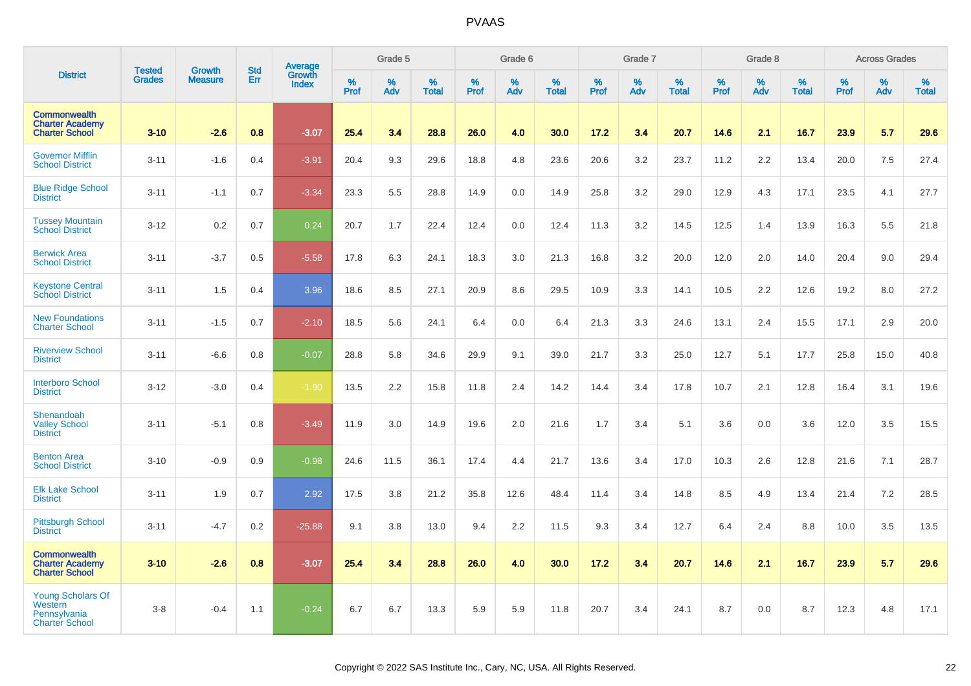|                                                                        |                                |                                 | <b>Std</b> | <b>Average</b><br>Growth |                  | Grade 5  |                   |           | Grade 6  |                   |                  | Grade 7  |                   |                  | Grade 8  |                   |                  | <b>Across Grades</b> |                   |
|------------------------------------------------------------------------|--------------------------------|---------------------------------|------------|--------------------------|------------------|----------|-------------------|-----------|----------|-------------------|------------------|----------|-------------------|------------------|----------|-------------------|------------------|----------------------|-------------------|
| <b>District</b>                                                        | <b>Tested</b><br><b>Grades</b> | <b>Growth</b><br><b>Measure</b> | Err        | <b>Index</b>             | %<br><b>Prof</b> | %<br>Adv | %<br><b>Total</b> | %<br>Prof | %<br>Adv | %<br><b>Total</b> | %<br><b>Prof</b> | %<br>Adv | %<br><b>Total</b> | %<br><b>Prof</b> | %<br>Adv | %<br><b>Total</b> | %<br><b>Prof</b> | %<br>Adv             | %<br><b>Total</b> |
| <b>Commonwealth</b><br><b>Charter Academy</b><br><b>Charter School</b> | $3 - 10$                       | $-2.6$                          | 0.8        | $-3.07$                  | 25.4             | 3.4      | 28.8              | 26.0      | 4.0      | 30.0              | 17.2             | 3.4      | 20.7              | 14.6             | 2.1      | 16.7              | 23.9             | 5.7                  | 29.6              |
| <b>Governor Mifflin</b><br><b>School District</b>                      | $3 - 11$                       | $-1.6$                          | 0.4        | $-3.91$                  | 20.4             | 9.3      | 29.6              | 18.8      | 4.8      | 23.6              | 20.6             | 3.2      | 23.7              | 11.2             | 2.2      | 13.4              | 20.0             | 7.5                  | 27.4              |
| <b>Blue Ridge School</b><br><b>District</b>                            | $3 - 11$                       | $-1.1$                          | 0.7        | $-3.34$                  | 23.3             | 5.5      | 28.8              | 14.9      | 0.0      | 14.9              | 25.8             | 3.2      | 29.0              | 12.9             | 4.3      | 17.1              | 23.5             | 4.1                  | 27.7              |
| <b>Tussey Mountain</b><br><b>School District</b>                       | $3 - 12$                       | 0.2                             | 0.7        | 0.24                     | 20.7             | 1.7      | 22.4              | 12.4      | 0.0      | 12.4              | 11.3             | 3.2      | 14.5              | 12.5             | 1.4      | 13.9              | 16.3             | 5.5                  | 21.8              |
| <b>Berwick Area</b><br><b>School District</b>                          | $3 - 11$                       | $-3.7$                          | 0.5        | $-5.58$                  | 17.8             | 6.3      | 24.1              | 18.3      | 3.0      | 21.3              | 16.8             | 3.2      | 20.0              | 12.0             | 2.0      | 14.0              | 20.4             | 9.0                  | 29.4              |
| <b>Keystone Central</b><br><b>School District</b>                      | $3 - 11$                       | 1.5                             | 0.4        | 3.96                     | 18.6             | 8.5      | 27.1              | 20.9      | 8.6      | 29.5              | 10.9             | 3.3      | 14.1              | 10.5             | 2.2      | 12.6              | 19.2             | 8.0                  | 27.2              |
| <b>New Foundations</b><br><b>Charter School</b>                        | $3 - 11$                       | $-1.5$                          | 0.7        | $-2.10$                  | 18.5             | 5.6      | 24.1              | 6.4       | 0.0      | 6.4               | 21.3             | 3.3      | 24.6              | 13.1             | 2.4      | 15.5              | 17.1             | 2.9                  | 20.0              |
| <b>Riverview School</b><br><b>District</b>                             | $3 - 11$                       | $-6.6$                          | 0.8        | $-0.07$                  | 28.8             | 5.8      | 34.6              | 29.9      | 9.1      | 39.0              | 21.7             | 3.3      | 25.0              | 12.7             | 5.1      | 17.7              | 25.8             | 15.0                 | 40.8              |
| <b>Interboro School</b><br><b>District</b>                             | $3 - 12$                       | $-3.0$                          | 0.4        | $-1.90$                  | 13.5             | 2.2      | 15.8              | 11.8      | 2.4      | 14.2              | 14.4             | 3.4      | 17.8              | 10.7             | 2.1      | 12.8              | 16.4             | 3.1                  | 19.6              |
| Shenandoah<br><b>Valley School</b><br><b>District</b>                  | $3 - 11$                       | $-5.1$                          | 0.8        | $-3.49$                  | 11.9             | 3.0      | 14.9              | 19.6      | 2.0      | 21.6              | 1.7              | 3.4      | 5.1               | 3.6              | 0.0      | 3.6               | 12.0             | 3.5                  | 15.5              |
| <b>Benton Area</b><br><b>School District</b>                           | $3 - 10$                       | $-0.9$                          | 0.9        | $-0.98$                  | 24.6             | 11.5     | 36.1              | 17.4      | 4.4      | 21.7              | 13.6             | 3.4      | 17.0              | 10.3             | 2.6      | 12.8              | 21.6             | 7.1                  | 28.7              |
| <b>Elk Lake School</b><br><b>District</b>                              | $3 - 11$                       | 1.9                             | 0.7        | 2.92                     | 17.5             | 3.8      | 21.2              | 35.8      | 12.6     | 48.4              | 11.4             | 3.4      | 14.8              | 8.5              | 4.9      | 13.4              | 21.4             | 7.2                  | 28.5              |
| <b>Pittsburgh School</b><br><b>District</b>                            | $3 - 11$                       | $-4.7$                          | 0.2        | $-25.88$                 | 9.1              | 3.8      | 13.0              | 9.4       | 2.2      | 11.5              | 9.3              | 3.4      | 12.7              | 6.4              | 2.4      | 8.8               | 10.0             | 3.5                  | 13.5              |
| <b>Commonwealth</b><br><b>Charter Academy</b><br><b>Charter School</b> | $3 - 10$                       | $-2.6$                          | 0.8        | $-3.07$                  | 25.4             | 3.4      | 28.8              | 26.0      | 4.0      | 30.0              | 17.2             | 3.4      | 20.7              | 14.6             | 2.1      | 16.7              | 23.9             | 5.7                  | 29.6              |
| Young Scholars Of<br>Western<br>Pennsylvania<br><b>Charter School</b>  | $3-8$                          | $-0.4$                          | 1.1        | $-0.24$                  | 6.7              | 6.7      | 13.3              | 5.9       | 5.9      | 11.8              | 20.7             | 3.4      | 24.1              | 8.7              | 0.0      | 8.7               | 12.3             | 4.8                  | 17.1              |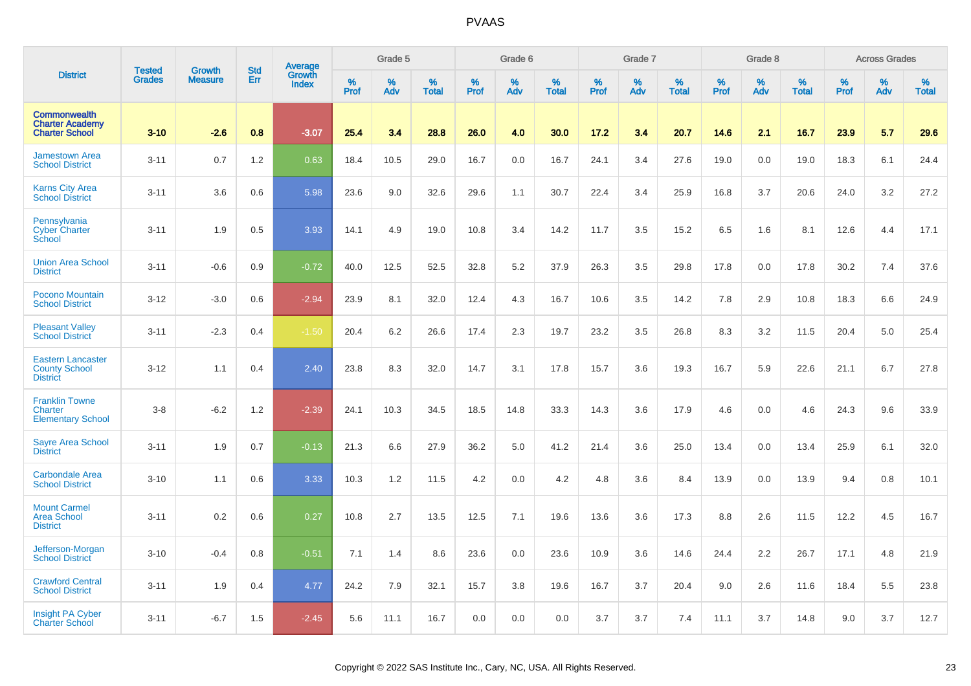|                                                                        |                                |                                 | <b>Std</b> |                                          |              | Grade 5  |                   |           | Grade 6  |                   |           | Grade 7  |                   |           | Grade 8  |                   |           | <b>Across Grades</b> |                   |
|------------------------------------------------------------------------|--------------------------------|---------------------------------|------------|------------------------------------------|--------------|----------|-------------------|-----------|----------|-------------------|-----------|----------|-------------------|-----------|----------|-------------------|-----------|----------------------|-------------------|
| <b>District</b>                                                        | <b>Tested</b><br><b>Grades</b> | <b>Growth</b><br><b>Measure</b> | Err        | <b>Average</b><br>Growth<br><b>Index</b> | $\%$<br>Prof | %<br>Adv | %<br><b>Total</b> | %<br>Prof | %<br>Adv | %<br><b>Total</b> | %<br>Prof | %<br>Adv | %<br><b>Total</b> | %<br>Prof | %<br>Adv | %<br><b>Total</b> | %<br>Prof | %<br>Adv             | %<br><b>Total</b> |
| <b>Commonwealth</b><br><b>Charter Academy</b><br><b>Charter School</b> | $3 - 10$                       | $-2.6$                          | 0.8        | $-3.07$                                  | 25.4         | 3.4      | 28.8              | 26.0      | 4.0      | 30.0              | 17.2      | 3.4      | 20.7              | 14.6      | 2.1      | 16.7              | 23.9      | 5.7                  | 29.6              |
| <b>Jamestown Area</b><br><b>School District</b>                        | $3 - 11$                       | 0.7                             | 1.2        | 0.63                                     | 18.4         | 10.5     | 29.0              | 16.7      | 0.0      | 16.7              | 24.1      | 3.4      | 27.6              | 19.0      | 0.0      | 19.0              | 18.3      | 6.1                  | 24.4              |
| <b>Karns City Area</b><br><b>School District</b>                       | $3 - 11$                       | 3.6                             | 0.6        | 5.98                                     | 23.6         | 9.0      | 32.6              | 29.6      | 1.1      | 30.7              | 22.4      | 3.4      | 25.9              | 16.8      | 3.7      | 20.6              | 24.0      | 3.2                  | 27.2              |
| Pennsylvania<br><b>Cyber Charter</b><br>School                         | $3 - 11$                       | 1.9                             | 0.5        | 3.93                                     | 14.1         | 4.9      | 19.0              | 10.8      | 3.4      | 14.2              | 11.7      | 3.5      | 15.2              | 6.5       | 1.6      | 8.1               | 12.6      | 4.4                  | 17.1              |
| <b>Union Area School</b><br><b>District</b>                            | $3 - 11$                       | $-0.6$                          | 0.9        | $-0.72$                                  | 40.0         | 12.5     | 52.5              | 32.8      | 5.2      | 37.9              | 26.3      | 3.5      | 29.8              | 17.8      | 0.0      | 17.8              | 30.2      | 7.4                  | 37.6              |
| Pocono Mountain<br><b>School District</b>                              | $3 - 12$                       | $-3.0$                          | 0.6        | $-2.94$                                  | 23.9         | 8.1      | 32.0              | 12.4      | 4.3      | 16.7              | 10.6      | 3.5      | 14.2              | 7.8       | 2.9      | 10.8              | 18.3      | 6.6                  | 24.9              |
| <b>Pleasant Valley</b><br><b>School District</b>                       | $3 - 11$                       | $-2.3$                          | 0.4        | $-1.50$                                  | 20.4         | 6.2      | 26.6              | 17.4      | 2.3      | 19.7              | 23.2      | 3.5      | 26.8              | 8.3       | 3.2      | 11.5              | 20.4      | 5.0                  | 25.4              |
| <b>Eastern Lancaster</b><br><b>County School</b><br><b>District</b>    | $3 - 12$                       | 1.1                             | 0.4        | 2.40                                     | 23.8         | 8.3      | 32.0              | 14.7      | 3.1      | 17.8              | 15.7      | 3.6      | 19.3              | 16.7      | 5.9      | 22.6              | 21.1      | 6.7                  | 27.8              |
| <b>Franklin Towne</b><br>Charter<br><b>Elementary School</b>           | $3-8$                          | $-6.2$                          | 1.2        | $-2.39$                                  | 24.1         | 10.3     | 34.5              | 18.5      | 14.8     | 33.3              | 14.3      | 3.6      | 17.9              | 4.6       | 0.0      | 4.6               | 24.3      | 9.6                  | 33.9              |
| <b>Sayre Area School</b><br><b>District</b>                            | $3 - 11$                       | 1.9                             | 0.7        | $-0.13$                                  | 21.3         | 6.6      | 27.9              | 36.2      | 5.0      | 41.2              | 21.4      | 3.6      | 25.0              | 13.4      | 0.0      | 13.4              | 25.9      | 6.1                  | 32.0              |
| <b>Carbondale Area</b><br><b>School District</b>                       | $3 - 10$                       | 1.1                             | 0.6        | 3.33                                     | 10.3         | 1.2      | 11.5              | 4.2       | 0.0      | 4.2               | 4.8       | 3.6      | 8.4               | 13.9      | 0.0      | 13.9              | 9.4       | 0.8                  | 10.1              |
| <b>Mount Carmel</b><br><b>Area School</b><br><b>District</b>           | $3 - 11$                       | 0.2                             | 0.6        | 0.27                                     | 10.8         | 2.7      | 13.5              | 12.5      | 7.1      | 19.6              | 13.6      | 3.6      | 17.3              | 8.8       | 2.6      | 11.5              | 12.2      | 4.5                  | 16.7              |
| Jefferson-Morgan<br><b>School District</b>                             | $3 - 10$                       | $-0.4$                          | 0.8        | $-0.51$                                  | 7.1          | 1.4      | 8.6               | 23.6      | 0.0      | 23.6              | 10.9      | 3.6      | 14.6              | 24.4      | 2.2      | 26.7              | 17.1      | 4.8                  | 21.9              |
| <b>Crawford Central</b><br><b>School District</b>                      | $3 - 11$                       | 1.9                             | 0.4        | 4.77                                     | 24.2         | 7.9      | 32.1              | 15.7      | 3.8      | 19.6              | 16.7      | 3.7      | 20.4              | 9.0       | 2.6      | 11.6              | 18.4      | 5.5                  | 23.8              |
| Insight PA Cyber<br><b>Charter School</b>                              | $3 - 11$                       | $-6.7$                          | 1.5        | $-2.45$                                  | 5.6          | 11.1     | 16.7              | 0.0       | 0.0      | 0.0               | 3.7       | 3.7      | 7.4               | 11.1      | 3.7      | 14.8              | 9.0       | 3.7                  | 12.7              |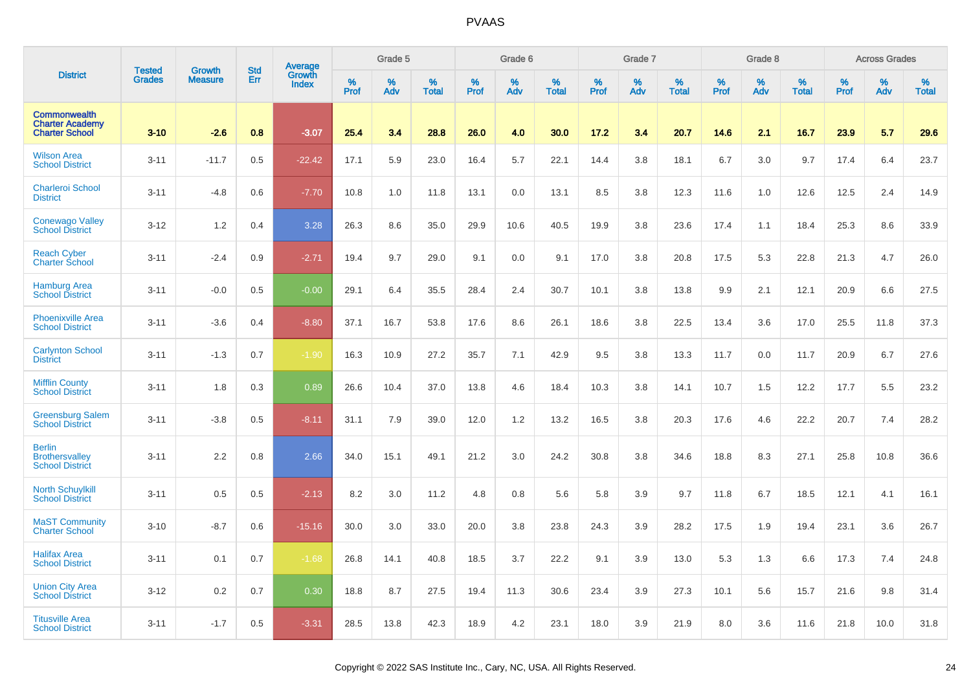|                                                                        |                                |                                 | <b>Std</b> |                                   |                     | Grade 5  |                   |              | Grade 6  |                   |              | Grade 7  |                   |           | Grade 8  |                   |           | <b>Across Grades</b> |                   |
|------------------------------------------------------------------------|--------------------------------|---------------------------------|------------|-----------------------------------|---------------------|----------|-------------------|--------------|----------|-------------------|--------------|----------|-------------------|-----------|----------|-------------------|-----------|----------------------|-------------------|
| <b>District</b>                                                        | <b>Tested</b><br><b>Grades</b> | <b>Growth</b><br><b>Measure</b> | Err        | Average<br>Growth<br><b>Index</b> | $\%$<br><b>Prof</b> | %<br>Adv | %<br><b>Total</b> | $\%$<br>Prof | %<br>Adv | %<br><b>Total</b> | $\%$<br>Prof | %<br>Adv | %<br><b>Total</b> | %<br>Prof | %<br>Adv | %<br><b>Total</b> | %<br>Prof | %<br>Adv             | %<br><b>Total</b> |
| <b>Commonwealth</b><br><b>Charter Academy</b><br><b>Charter School</b> | $3 - 10$                       | $-2.6$                          | 0.8        | $-3.07$                           | 25.4                | 3.4      | 28.8              | 26.0         | 4.0      | 30.0              | 17.2         | 3.4      | 20.7              | 14.6      | 2.1      | 16.7              | 23.9      | 5.7                  | 29.6              |
| <b>Wilson Area</b><br><b>School District</b>                           | $3 - 11$                       | $-11.7$                         | 0.5        | $-22.42$                          | 17.1                | 5.9      | 23.0              | 16.4         | 5.7      | 22.1              | 14.4         | 3.8      | 18.1              | 6.7       | 3.0      | 9.7               | 17.4      | 6.4                  | 23.7              |
| <b>Charleroi School</b><br><b>District</b>                             | $3 - 11$                       | $-4.8$                          | 0.6        | $-7.70$                           | 10.8                | 1.0      | 11.8              | 13.1         | 0.0      | 13.1              | 8.5          | 3.8      | 12.3              | 11.6      | 1.0      | 12.6              | 12.5      | 2.4                  | 14.9              |
| <b>Conewago Valley</b><br><b>School District</b>                       | $3 - 12$                       | 1.2                             | 0.4        | 3.28                              | 26.3                | 8.6      | 35.0              | 29.9         | 10.6     | 40.5              | 19.9         | 3.8      | 23.6              | 17.4      | 1.1      | 18.4              | 25.3      | 8.6                  | 33.9              |
| <b>Reach Cyber</b><br><b>Charter School</b>                            | $3 - 11$                       | $-2.4$                          | 0.9        | $-2.71$                           | 19.4                | 9.7      | 29.0              | 9.1          | 0.0      | 9.1               | 17.0         | 3.8      | 20.8              | 17.5      | 5.3      | 22.8              | 21.3      | 4.7                  | 26.0              |
| <b>Hamburg Area</b><br><b>School District</b>                          | $3 - 11$                       | $-0.0$                          | 0.5        | $-0.00$                           | 29.1                | 6.4      | 35.5              | 28.4         | 2.4      | 30.7              | 10.1         | 3.8      | 13.8              | 9.9       | 2.1      | 12.1              | 20.9      | 6.6                  | 27.5              |
| <b>Phoenixville Area</b><br><b>School District</b>                     | $3 - 11$                       | $-3.6$                          | 0.4        | $-8.80$                           | 37.1                | 16.7     | 53.8              | 17.6         | 8.6      | 26.1              | 18.6         | 3.8      | 22.5              | 13.4      | 3.6      | 17.0              | 25.5      | 11.8                 | 37.3              |
| <b>Carlynton School</b><br><b>District</b>                             | $3 - 11$                       | $-1.3$                          | 0.7        | $-1.90$                           | 16.3                | 10.9     | 27.2              | 35.7         | 7.1      | 42.9              | 9.5          | 3.8      | 13.3              | 11.7      | 0.0      | 11.7              | 20.9      | 6.7                  | 27.6              |
| <b>Mifflin County</b><br><b>School District</b>                        | $3 - 11$                       | 1.8                             | 0.3        | 0.89                              | 26.6                | 10.4     | 37.0              | 13.8         | 4.6      | 18.4              | 10.3         | 3.8      | 14.1              | 10.7      | 1.5      | 12.2              | 17.7      | 5.5                  | 23.2              |
| <b>Greensburg Salem</b><br><b>School District</b>                      | $3 - 11$                       | $-3.8$                          | 0.5        | $-8.11$                           | 31.1                | 7.9      | 39.0              | 12.0         | 1.2      | 13.2              | 16.5         | 3.8      | 20.3              | 17.6      | 4.6      | 22.2              | 20.7      | 7.4                  | 28.2              |
| <b>Berlin</b><br><b>Brothersvalley</b><br><b>School District</b>       | $3 - 11$                       | 2.2                             | 0.8        | 2.66                              | 34.0                | 15.1     | 49.1              | 21.2         | 3.0      | 24.2              | 30.8         | 3.8      | 34.6              | 18.8      | 8.3      | 27.1              | 25.8      | 10.8                 | 36.6              |
| <b>North Schuylkill</b><br><b>School District</b>                      | $3 - 11$                       | 0.5                             | 0.5        | $-2.13$                           | 8.2                 | 3.0      | 11.2              | 4.8          | 0.8      | 5.6               | 5.8          | 3.9      | 9.7               | 11.8      | 6.7      | 18.5              | 12.1      | 4.1                  | 16.1              |
| <b>MaST Community</b><br><b>Charter School</b>                         | $3 - 10$                       | $-8.7$                          | 0.6        | $-15.16$                          | 30.0                | 3.0      | 33.0              | 20.0         | 3.8      | 23.8              | 24.3         | 3.9      | 28.2              | 17.5      | 1.9      | 19.4              | 23.1      | 3.6                  | 26.7              |
| <b>Halifax Area</b><br><b>School District</b>                          | $3 - 11$                       | 0.1                             | 0.7        | $-1.68$                           | 26.8                | 14.1     | 40.8              | 18.5         | 3.7      | 22.2              | 9.1          | 3.9      | 13.0              | 5.3       | 1.3      | 6.6               | 17.3      | 7.4                  | 24.8              |
| <b>Union City Area</b><br><b>School District</b>                       | $3 - 12$                       | 0.2                             | 0.7        | 0.30                              | 18.8                | 8.7      | 27.5              | 19.4         | 11.3     | 30.6              | 23.4         | 3.9      | 27.3              | 10.1      | 5.6      | 15.7              | 21.6      | 9.8                  | 31.4              |
| <b>Titusville Area</b><br><b>School District</b>                       | $3 - 11$                       | $-1.7$                          | 0.5        | $-3.31$                           | 28.5                | 13.8     | 42.3              | 18.9         | 4.2      | 23.1              | 18.0         | 3.9      | 21.9              | 8.0       | 3.6      | 11.6              | 21.8      | 10.0                 | 31.8              |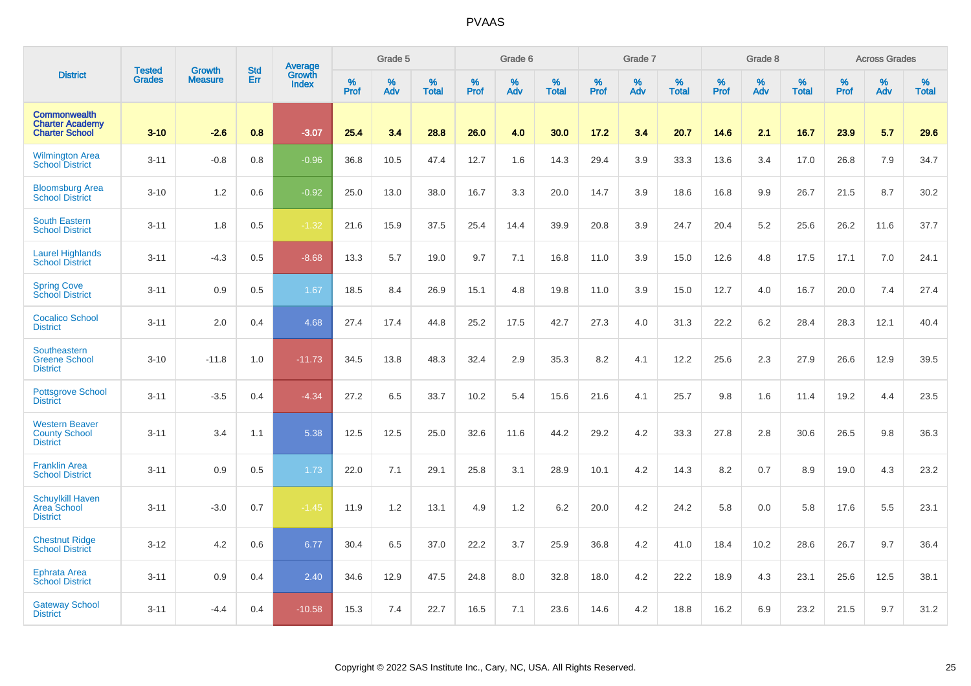|                                                                        |                                | <b>Growth</b>  | <b>Std</b> | Average         |                     | Grade 5  |                   |           | Grade 6  |                   |              | Grade 7  |                   |              | Grade 8  |                   |              | <b>Across Grades</b> |                   |
|------------------------------------------------------------------------|--------------------------------|----------------|------------|-----------------|---------------------|----------|-------------------|-----------|----------|-------------------|--------------|----------|-------------------|--------------|----------|-------------------|--------------|----------------------|-------------------|
| <b>District</b>                                                        | <b>Tested</b><br><b>Grades</b> | <b>Measure</b> | Err        | Growth<br>Index | $\%$<br><b>Prof</b> | %<br>Adv | %<br><b>Total</b> | %<br>Prof | %<br>Adv | %<br><b>Total</b> | $\%$<br>Prof | %<br>Adv | %<br><b>Total</b> | $\%$<br>Prof | %<br>Adv | %<br><b>Total</b> | $\%$<br>Prof | $\%$<br>Adv          | %<br><b>Total</b> |
| <b>Commonwealth</b><br><b>Charter Academy</b><br><b>Charter School</b> | $3 - 10$                       | $-2.6$         | 0.8        | $-3.07$         | 25.4                | 3.4      | 28.8              | 26.0      | 4.0      | 30.0              | 17.2         | 3.4      | 20.7              | 14.6         | 2.1      | 16.7              | 23.9         | 5.7                  | 29.6              |
| <b>Wilmington Area</b><br><b>School District</b>                       | $3 - 11$                       | $-0.8$         | 0.8        | $-0.96$         | 36.8                | 10.5     | 47.4              | 12.7      | 1.6      | 14.3              | 29.4         | 3.9      | 33.3              | 13.6         | 3.4      | 17.0              | 26.8         | 7.9                  | 34.7              |
| <b>Bloomsburg Area</b><br><b>School District</b>                       | $3 - 10$                       | 1.2            | 0.6        | $-0.92$         | 25.0                | 13.0     | 38.0              | 16.7      | 3.3      | 20.0              | 14.7         | 3.9      | 18.6              | 16.8         | 9.9      | 26.7              | 21.5         | 8.7                  | 30.2              |
| <b>South Eastern</b><br><b>School District</b>                         | $3 - 11$                       | 1.8            | 0.5        | $-1.32$         | 21.6                | 15.9     | 37.5              | 25.4      | 14.4     | 39.9              | 20.8         | 3.9      | 24.7              | 20.4         | 5.2      | 25.6              | 26.2         | 11.6                 | 37.7              |
| <b>Laurel Highlands</b><br><b>School District</b>                      | $3 - 11$                       | $-4.3$         | 0.5        | $-8.68$         | 13.3                | 5.7      | 19.0              | 9.7       | 7.1      | 16.8              | 11.0         | 3.9      | 15.0              | 12.6         | 4.8      | 17.5              | 17.1         | 7.0                  | 24.1              |
| <b>Spring Cove</b><br><b>School District</b>                           | $3 - 11$                       | 0.9            | 0.5        | 1.67            | 18.5                | 8.4      | 26.9              | 15.1      | 4.8      | 19.8              | 11.0         | 3.9      | 15.0              | 12.7         | 4.0      | 16.7              | 20.0         | 7.4                  | 27.4              |
| <b>Cocalico School</b><br><b>District</b>                              | $3 - 11$                       | 2.0            | 0.4        | 4.68            | 27.4                | 17.4     | 44.8              | 25.2      | 17.5     | 42.7              | 27.3         | 4.0      | 31.3              | 22.2         | 6.2      | 28.4              | 28.3         | 12.1                 | 40.4              |
| Southeastern<br><b>Greene School</b><br><b>District</b>                | $3 - 10$                       | $-11.8$        | 1.0        | $-11.73$        | 34.5                | 13.8     | 48.3              | 32.4      | 2.9      | 35.3              | 8.2          | 4.1      | 12.2              | 25.6         | 2.3      | 27.9              | 26.6         | 12.9                 | 39.5              |
| <b>Pottsgrove School</b><br><b>District</b>                            | $3 - 11$                       | $-3.5$         | 0.4        | $-4.34$         | 27.2                | 6.5      | 33.7              | 10.2      | 5.4      | 15.6              | 21.6         | 4.1      | 25.7              | 9.8          | 1.6      | 11.4              | 19.2         | 4.4                  | 23.5              |
| <b>Western Beaver</b><br><b>County School</b><br><b>District</b>       | $3 - 11$                       | 3.4            | 1.1        | 5.38            | 12.5                | 12.5     | 25.0              | 32.6      | 11.6     | 44.2              | 29.2         | 4.2      | 33.3              | 27.8         | 2.8      | 30.6              | 26.5         | 9.8                  | 36.3              |
| <b>Franklin Area</b><br><b>School District</b>                         | $3 - 11$                       | 0.9            | 0.5        | 1.73            | 22.0                | 7.1      | 29.1              | 25.8      | 3.1      | 28.9              | 10.1         | 4.2      | 14.3              | 8.2          | 0.7      | 8.9               | 19.0         | 4.3                  | 23.2              |
| <b>Schuylkill Haven</b><br>Area School<br><b>District</b>              | $3 - 11$                       | $-3.0$         | 0.7        | $-1.45$         | 11.9                | 1.2      | 13.1              | 4.9       | 1.2      | 6.2               | 20.0         | 4.2      | 24.2              | 5.8          | 0.0      | 5.8               | 17.6         | 5.5                  | 23.1              |
| <b>Chestnut Ridge</b><br><b>School District</b>                        | $3 - 12$                       | 4.2            | 0.6        | 6.77            | 30.4                | 6.5      | 37.0              | 22.2      | 3.7      | 25.9              | 36.8         | 4.2      | 41.0              | 18.4         | 10.2     | 28.6              | 26.7         | 9.7                  | 36.4              |
| <b>Ephrata Area</b><br><b>School District</b>                          | $3 - 11$                       | 0.9            | 0.4        | 2.40            | 34.6                | 12.9     | 47.5              | 24.8      | 8.0      | 32.8              | 18.0         | 4.2      | 22.2              | 18.9         | 4.3      | 23.1              | 25.6         | 12.5                 | 38.1              |
| <b>Gateway School</b><br><b>District</b>                               | $3 - 11$                       | $-4.4$         | 0.4        | $-10.58$        | 15.3                | 7.4      | 22.7              | 16.5      | 7.1      | 23.6              | 14.6         | 4.2      | 18.8              | 16.2         | 6.9      | 23.2              | 21.5         | 9.7                  | 31.2              |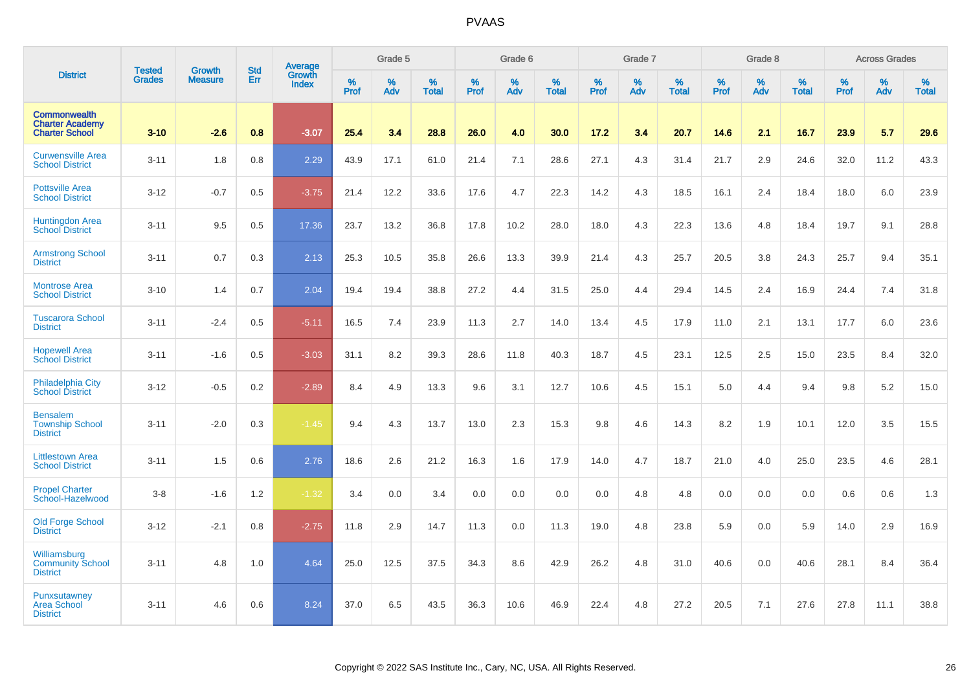|                                                                        |                                |                                 | <b>Std</b> | Average                |           | Grade 5  |                   |           | Grade 6  |                   |              | Grade 7  |                   |           | Grade 8  |                   |           | <b>Across Grades</b> |                   |
|------------------------------------------------------------------------|--------------------------------|---------------------------------|------------|------------------------|-----------|----------|-------------------|-----------|----------|-------------------|--------------|----------|-------------------|-----------|----------|-------------------|-----------|----------------------|-------------------|
| <b>District</b>                                                        | <b>Tested</b><br><b>Grades</b> | <b>Growth</b><br><b>Measure</b> | Err        | Growth<br><b>Index</b> | %<br>Prof | %<br>Adv | %<br><b>Total</b> | %<br>Prof | %<br>Adv | %<br><b>Total</b> | $\%$<br>Prof | %<br>Adv | %<br><b>Total</b> | %<br>Prof | %<br>Adv | %<br><b>Total</b> | %<br>Prof | %<br>Adv             | %<br><b>Total</b> |
| <b>Commonwealth</b><br><b>Charter Academy</b><br><b>Charter School</b> | $3 - 10$                       | $-2.6$                          | 0.8        | $-3.07$                | 25.4      | 3.4      | 28.8              | 26.0      | 4.0      | 30.0              | 17.2         | 3.4      | 20.7              | 14.6      | 2.1      | 16.7              | 23.9      | 5.7                  | 29.6              |
| <b>Curwensville Area</b><br><b>School District</b>                     | $3 - 11$                       | 1.8                             | 0.8        | 2.29                   | 43.9      | 17.1     | 61.0              | 21.4      | 7.1      | 28.6              | 27.1         | 4.3      | 31.4              | 21.7      | 2.9      | 24.6              | 32.0      | 11.2                 | 43.3              |
| <b>Pottsville Area</b><br><b>School District</b>                       | $3 - 12$                       | $-0.7$                          | 0.5        | $-3.75$                | 21.4      | 12.2     | 33.6              | 17.6      | 4.7      | 22.3              | 14.2         | 4.3      | 18.5              | 16.1      | 2.4      | 18.4              | 18.0      | 6.0                  | 23.9              |
| Huntingdon Area<br><b>School District</b>                              | $3 - 11$                       | 9.5                             | 0.5        | 17.36                  | 23.7      | 13.2     | 36.8              | 17.8      | 10.2     | 28.0              | 18.0         | 4.3      | 22.3              | 13.6      | 4.8      | 18.4              | 19.7      | 9.1                  | 28.8              |
| <b>Armstrong School</b><br><b>District</b>                             | $3 - 11$                       | 0.7                             | 0.3        | 2.13                   | 25.3      | 10.5     | 35.8              | 26.6      | 13.3     | 39.9              | 21.4         | 4.3      | 25.7              | 20.5      | 3.8      | 24.3              | 25.7      | 9.4                  | 35.1              |
| <b>Montrose Area</b><br><b>School District</b>                         | $3 - 10$                       | 1.4                             | 0.7        | 2.04                   | 19.4      | 19.4     | 38.8              | 27.2      | 4.4      | 31.5              | 25.0         | 4.4      | 29.4              | 14.5      | 2.4      | 16.9              | 24.4      | 7.4                  | 31.8              |
| <b>Tuscarora School</b><br><b>District</b>                             | $3 - 11$                       | $-2.4$                          | 0.5        | $-5.11$                | 16.5      | 7.4      | 23.9              | 11.3      | 2.7      | 14.0              | 13.4         | 4.5      | 17.9              | 11.0      | 2.1      | 13.1              | 17.7      | 6.0                  | 23.6              |
| <b>Hopewell Area</b><br><b>School District</b>                         | $3 - 11$                       | $-1.6$                          | 0.5        | $-3.03$                | 31.1      | 8.2      | 39.3              | 28.6      | 11.8     | 40.3              | 18.7         | 4.5      | 23.1              | 12.5      | 2.5      | 15.0              | 23.5      | 8.4                  | 32.0              |
| <b>Philadelphia City</b><br><b>School District</b>                     | $3 - 12$                       | $-0.5$                          | 0.2        | $-2.89$                | 8.4       | 4.9      | 13.3              | 9.6       | 3.1      | 12.7              | 10.6         | 4.5      | 15.1              | 5.0       | 4.4      | 9.4               | 9.8       | 5.2                  | 15.0              |
| <b>Bensalem</b><br><b>Township School</b><br><b>District</b>           | $3 - 11$                       | $-2.0$                          | 0.3        | $-1.45$                | 9.4       | 4.3      | 13.7              | 13.0      | 2.3      | 15.3              | 9.8          | 4.6      | 14.3              | 8.2       | 1.9      | 10.1              | 12.0      | 3.5                  | 15.5              |
| <b>Littlestown Area</b><br><b>School District</b>                      | $3 - 11$                       | 1.5                             | 0.6        | 2.76                   | 18.6      | 2.6      | 21.2              | 16.3      | 1.6      | 17.9              | 14.0         | 4.7      | 18.7              | 21.0      | 4.0      | 25.0              | 23.5      | 4.6                  | 28.1              |
| <b>Propel Charter</b><br>School-Hazelwood                              | $3-8$                          | $-1.6$                          | 1.2        | $-1.32$                | 3.4       | 0.0      | 3.4               | 0.0       | 0.0      | 0.0               | 0.0          | 4.8      | 4.8               | 0.0       | 0.0      | 0.0               | 0.6       | 0.6                  | 1.3               |
| <b>Old Forge School</b><br><b>District</b>                             | $3 - 12$                       | $-2.1$                          | 0.8        | $-2.75$                | 11.8      | 2.9      | 14.7              | 11.3      | 0.0      | 11.3              | 19.0         | 4.8      | 23.8              | 5.9       | 0.0      | 5.9               | 14.0      | 2.9                  | 16.9              |
| Williamsburg<br><b>Community School</b><br><b>District</b>             | $3 - 11$                       | 4.8                             | 1.0        | 4.64                   | 25.0      | 12.5     | 37.5              | 34.3      | 8.6      | 42.9              | 26.2         | 4.8      | 31.0              | 40.6      | 0.0      | 40.6              | 28.1      | 8.4                  | 36.4              |
| Punxsutawney<br><b>Area School</b><br><b>District</b>                  | $3 - 11$                       | 4.6                             | 0.6        | 8.24                   | 37.0      | 6.5      | 43.5              | 36.3      | 10.6     | 46.9              | 22.4         | 4.8      | 27.2              | 20.5      | 7.1      | 27.6              | 27.8      | 11.1                 | 38.8              |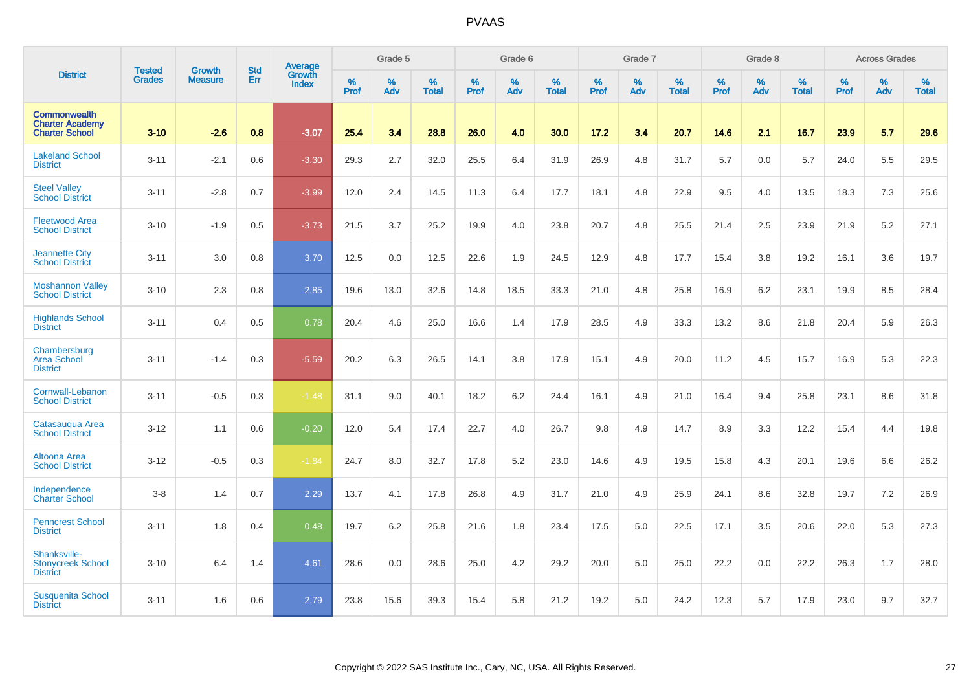|                                                                        |                                |                                 | <b>Std</b> | Average                       |           | Grade 5  |                   |           | Grade 6  |                   |           | Grade 7  |                   |           | Grade 8  |                   |           | <b>Across Grades</b> |                   |
|------------------------------------------------------------------------|--------------------------------|---------------------------------|------------|-------------------------------|-----------|----------|-------------------|-----------|----------|-------------------|-----------|----------|-------------------|-----------|----------|-------------------|-----------|----------------------|-------------------|
| <b>District</b>                                                        | <b>Tested</b><br><b>Grades</b> | <b>Growth</b><br><b>Measure</b> | Err        | <b>Growth</b><br><b>Index</b> | %<br>Prof | %<br>Adv | %<br><b>Total</b> | %<br>Prof | %<br>Adv | %<br><b>Total</b> | %<br>Prof | %<br>Adv | %<br><b>Total</b> | %<br>Prof | %<br>Adv | %<br><b>Total</b> | %<br>Prof | %<br>Adv             | %<br><b>Total</b> |
| <b>Commonwealth</b><br><b>Charter Academy</b><br><b>Charter School</b> | $3 - 10$                       | $-2.6$                          | 0.8        | $-3.07$                       | 25.4      | 3.4      | 28.8              | 26.0      | 4.0      | 30.0              | 17.2      | 3.4      | 20.7              | 14.6      | 2.1      | 16.7              | 23.9      | 5.7                  | 29.6              |
| <b>Lakeland School</b><br><b>District</b>                              | $3 - 11$                       | $-2.1$                          | 0.6        | $-3.30$                       | 29.3      | 2.7      | 32.0              | 25.5      | 6.4      | 31.9              | 26.9      | 4.8      | 31.7              | 5.7       | 0.0      | 5.7               | 24.0      | 5.5                  | 29.5              |
| <b>Steel Valley</b><br><b>School District</b>                          | $3 - 11$                       | $-2.8$                          | 0.7        | $-3.99$                       | 12.0      | 2.4      | 14.5              | 11.3      | 6.4      | 17.7              | 18.1      | 4.8      | 22.9              | 9.5       | 4.0      | 13.5              | 18.3      | 7.3                  | 25.6              |
| <b>Fleetwood Area</b><br><b>School District</b>                        | $3 - 10$                       | $-1.9$                          | 0.5        | $-3.73$                       | 21.5      | 3.7      | 25.2              | 19.9      | 4.0      | 23.8              | 20.7      | 4.8      | 25.5              | 21.4      | 2.5      | 23.9              | 21.9      | 5.2                  | 27.1              |
| <b>Jeannette City</b><br><b>School District</b>                        | $3 - 11$                       | 3.0                             | 0.8        | 3.70                          | 12.5      | 0.0      | 12.5              | 22.6      | 1.9      | 24.5              | 12.9      | 4.8      | 17.7              | 15.4      | 3.8      | 19.2              | 16.1      | 3.6                  | 19.7              |
| <b>Moshannon Valley</b><br><b>School District</b>                      | $3 - 10$                       | 2.3                             | 0.8        | 2.85                          | 19.6      | 13.0     | 32.6              | 14.8      | 18.5     | 33.3              | 21.0      | 4.8      | 25.8              | 16.9      | 6.2      | 23.1              | 19.9      | 8.5                  | 28.4              |
| <b>Highlands School</b><br><b>District</b>                             | $3 - 11$                       | 0.4                             | 0.5        | 0.78                          | 20.4      | 4.6      | 25.0              | 16.6      | 1.4      | 17.9              | 28.5      | 4.9      | 33.3              | 13.2      | 8.6      | 21.8              | 20.4      | 5.9                  | 26.3              |
| Chambersburg<br><b>Area School</b><br><b>District</b>                  | $3 - 11$                       | $-1.4$                          | 0.3        | $-5.59$                       | 20.2      | 6.3      | 26.5              | 14.1      | 3.8      | 17.9              | 15.1      | 4.9      | 20.0              | 11.2      | 4.5      | 15.7              | 16.9      | 5.3                  | 22.3              |
| Cornwall-Lebanon<br><b>School District</b>                             | $3 - 11$                       | $-0.5$                          | 0.3        | $-1.48$                       | 31.1      | 9.0      | 40.1              | 18.2      | 6.2      | 24.4              | 16.1      | 4.9      | 21.0              | 16.4      | 9.4      | 25.8              | 23.1      | 8.6                  | 31.8              |
| Catasauqua Area<br><b>School District</b>                              | $3 - 12$                       | 1.1                             | 0.6        | $-0.20$                       | 12.0      | 5.4      | 17.4              | 22.7      | 4.0      | 26.7              | 9.8       | 4.9      | 14.7              | 8.9       | 3.3      | 12.2              | 15.4      | 4.4                  | 19.8              |
| Altoona Area<br><b>School District</b>                                 | $3 - 12$                       | $-0.5$                          | 0.3        | $-1.84$                       | 24.7      | 8.0      | 32.7              | 17.8      | 5.2      | 23.0              | 14.6      | 4.9      | 19.5              | 15.8      | 4.3      | 20.1              | 19.6      | 6.6                  | 26.2              |
| Independence<br><b>Charter School</b>                                  | $3 - 8$                        | 1.4                             | 0.7        | 2.29                          | 13.7      | 4.1      | 17.8              | 26.8      | 4.9      | 31.7              | 21.0      | 4.9      | 25.9              | 24.1      | 8.6      | 32.8              | 19.7      | 7.2                  | 26.9              |
| <b>Penncrest School</b><br><b>District</b>                             | $3 - 11$                       | 1.8                             | 0.4        | 0.48                          | 19.7      | 6.2      | 25.8              | 21.6      | 1.8      | 23.4              | 17.5      | 5.0      | 22.5              | 17.1      | 3.5      | 20.6              | 22.0      | 5.3                  | 27.3              |
| Shanksville-<br><b>Stonycreek School</b><br><b>District</b>            | $3 - 10$                       | 6.4                             | 1.4        | 4.61                          | 28.6      | 0.0      | 28.6              | 25.0      | 4.2      | 29.2              | 20.0      | 5.0      | 25.0              | 22.2      | 0.0      | 22.2              | 26.3      | 1.7                  | 28.0              |
| <b>Susquenita School</b><br><b>District</b>                            | $3 - 11$                       | 1.6                             | 0.6        | 2.79                          | 23.8      | 15.6     | 39.3              | 15.4      | 5.8      | 21.2              | 19.2      | 5.0      | 24.2              | 12.3      | 5.7      | 17.9              | 23.0      | 9.7                  | 32.7              |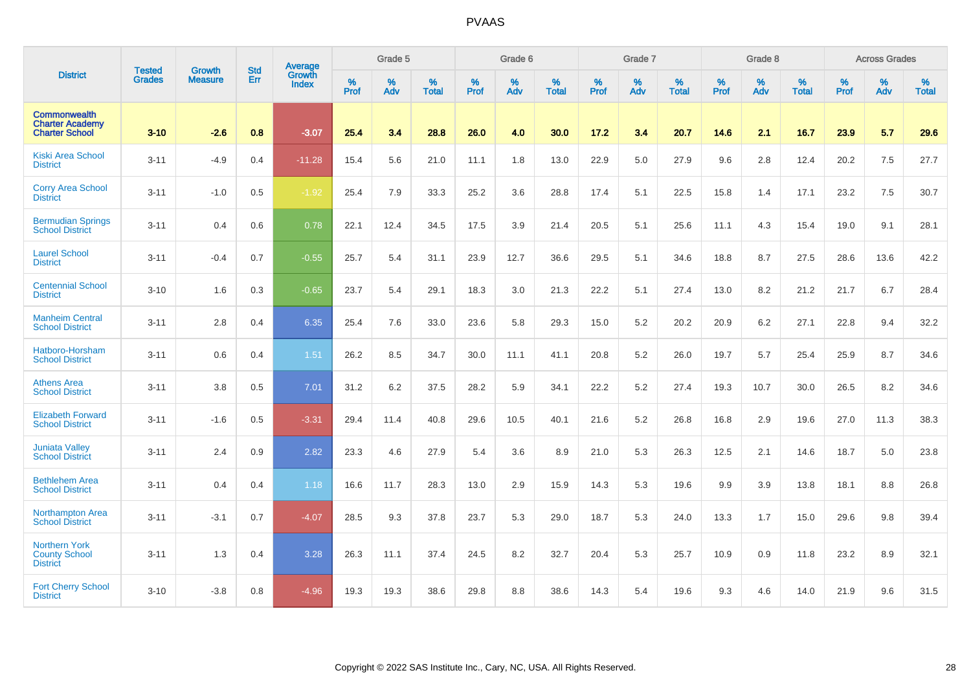|                                                                        | <b>Tested</b> | <b>Growth</b>  | <b>Std</b> | Average                |                  | Grade 5  |                   |           | Grade 6  |                   |           | Grade 7  |                   |           | Grade 8  |                   |           | <b>Across Grades</b> |                   |
|------------------------------------------------------------------------|---------------|----------------|------------|------------------------|------------------|----------|-------------------|-----------|----------|-------------------|-----------|----------|-------------------|-----------|----------|-------------------|-----------|----------------------|-------------------|
| <b>District</b>                                                        | <b>Grades</b> | <b>Measure</b> | Err        | Growth<br><b>Index</b> | %<br><b>Prof</b> | %<br>Adv | %<br><b>Total</b> | %<br>Prof | %<br>Adv | %<br><b>Total</b> | %<br>Prof | %<br>Adv | %<br><b>Total</b> | %<br>Prof | %<br>Adv | %<br><b>Total</b> | %<br>Prof | %<br>Adv             | %<br><b>Total</b> |
| <b>Commonwealth</b><br><b>Charter Academy</b><br><b>Charter School</b> | $3 - 10$      | $-2.6$         | 0.8        | $-3.07$                | 25.4             | 3.4      | 28.8              | 26.0      | 4.0      | 30.0              | 17.2      | 3.4      | 20.7              | 14.6      | 2.1      | 16.7              | 23.9      | 5.7                  | 29.6              |
| <b>Kiski Area School</b><br><b>District</b>                            | $3 - 11$      | $-4.9$         | 0.4        | $-11.28$               | 15.4             | 5.6      | 21.0              | 11.1      | 1.8      | 13.0              | 22.9      | 5.0      | 27.9              | 9.6       | 2.8      | 12.4              | 20.2      | 7.5                  | 27.7              |
| <b>Corry Area School</b><br><b>District</b>                            | $3 - 11$      | $-1.0$         | 0.5        | $-1.92$                | 25.4             | 7.9      | 33.3              | 25.2      | 3.6      | 28.8              | 17.4      | 5.1      | 22.5              | 15.8      | 1.4      | 17.1              | 23.2      | 7.5                  | 30.7              |
| <b>Bermudian Springs</b><br><b>School District</b>                     | $3 - 11$      | 0.4            | 0.6        | 0.78                   | 22.1             | 12.4     | 34.5              | 17.5      | 3.9      | 21.4              | 20.5      | 5.1      | 25.6              | 11.1      | 4.3      | 15.4              | 19.0      | 9.1                  | 28.1              |
| <b>Laurel School</b><br><b>District</b>                                | $3 - 11$      | $-0.4$         | 0.7        | $-0.55$                | 25.7             | 5.4      | 31.1              | 23.9      | 12.7     | 36.6              | 29.5      | 5.1      | 34.6              | 18.8      | 8.7      | 27.5              | 28.6      | 13.6                 | 42.2              |
| <b>Centennial School</b><br><b>District</b>                            | $3 - 10$      | 1.6            | 0.3        | $-0.65$                | 23.7             | 5.4      | 29.1              | 18.3      | 3.0      | 21.3              | 22.2      | 5.1      | 27.4              | 13.0      | 8.2      | 21.2              | 21.7      | 6.7                  | 28.4              |
| <b>Manheim Central</b><br><b>School District</b>                       | $3 - 11$      | 2.8            | 0.4        | 6.35                   | 25.4             | 7.6      | 33.0              | 23.6      | 5.8      | 29.3              | 15.0      | 5.2      | 20.2              | 20.9      | 6.2      | 27.1              | 22.8      | 9.4                  | 32.2              |
| Hatboro-Horsham<br><b>School District</b>                              | $3 - 11$      | 0.6            | 0.4        | 1.51                   | 26.2             | 8.5      | 34.7              | 30.0      | 11.1     | 41.1              | 20.8      | 5.2      | 26.0              | 19.7      | 5.7      | 25.4              | 25.9      | 8.7                  | 34.6              |
| <b>Athens Area</b><br><b>School District</b>                           | $3 - 11$      | 3.8            | 0.5        | 7.01                   | 31.2             | 6.2      | 37.5              | 28.2      | 5.9      | 34.1              | 22.2      | 5.2      | 27.4              | 19.3      | 10.7     | 30.0              | 26.5      | 8.2                  | 34.6              |
| <b>Elizabeth Forward</b><br><b>School District</b>                     | $3 - 11$      | $-1.6$         | 0.5        | $-3.31$                | 29.4             | 11.4     | 40.8              | 29.6      | 10.5     | 40.1              | 21.6      | 5.2      | 26.8              | 16.8      | 2.9      | 19.6              | 27.0      | 11.3                 | 38.3              |
| <b>Juniata Valley</b><br><b>School District</b>                        | $3 - 11$      | 2.4            | 0.9        | 2.82                   | 23.3             | 4.6      | 27.9              | 5.4       | 3.6      | 8.9               | 21.0      | 5.3      | 26.3              | 12.5      | 2.1      | 14.6              | 18.7      | 5.0                  | 23.8              |
| <b>Bethlehem Area</b><br><b>School District</b>                        | $3 - 11$      | 0.4            | 0.4        | 1.18                   | 16.6             | 11.7     | 28.3              | 13.0      | 2.9      | 15.9              | 14.3      | 5.3      | 19.6              | 9.9       | 3.9      | 13.8              | 18.1      | 8.8                  | 26.8              |
| <b>Northampton Area</b><br><b>School District</b>                      | $3 - 11$      | $-3.1$         | 0.7        | $-4.07$                | 28.5             | 9.3      | 37.8              | 23.7      | 5.3      | 29.0              | 18.7      | 5.3      | 24.0              | 13.3      | 1.7      | 15.0              | 29.6      | 9.8                  | 39.4              |
| Northern York<br><b>County School</b><br><b>District</b>               | $3 - 11$      | 1.3            | 0.4        | 3.28                   | 26.3             | 11.1     | 37.4              | 24.5      | 8.2      | 32.7              | 20.4      | 5.3      | 25.7              | 10.9      | 0.9      | 11.8              | 23.2      | 8.9                  | 32.1              |
| <b>Fort Cherry School</b><br><b>District</b>                           | $3 - 10$      | $-3.8$         | 0.8        | $-4.96$                | 19.3             | 19.3     | 38.6              | 29.8      | 8.8      | 38.6              | 14.3      | 5.4      | 19.6              | 9.3       | 4.6      | 14.0              | 21.9      | 9.6                  | 31.5              |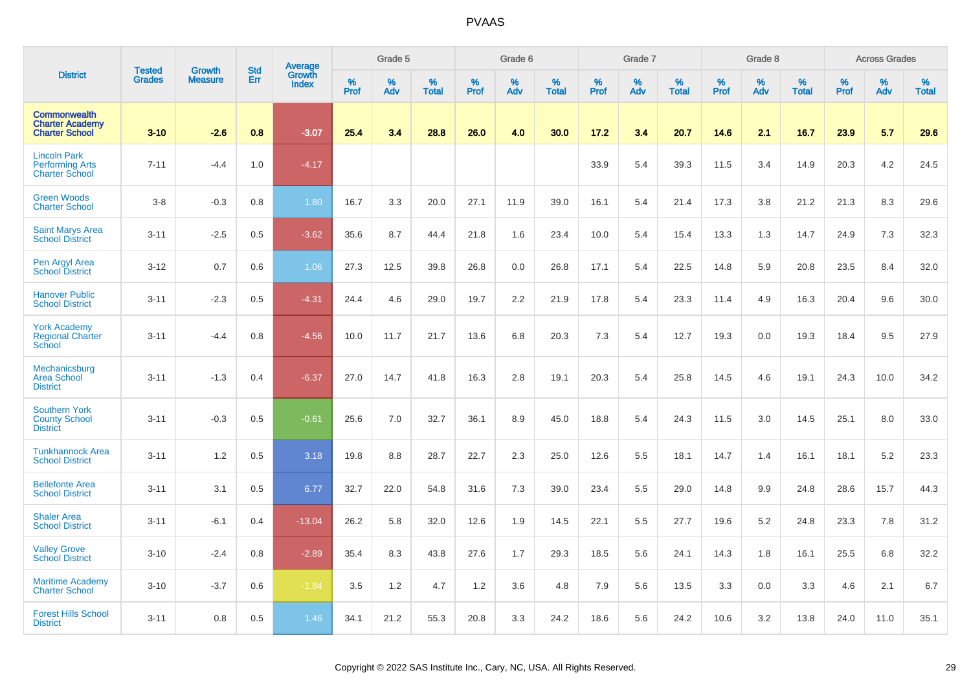|                                                                        |                                |                                 | <b>Std</b> | Average                |              | Grade 5  |                   |              | Grade 6  |                   |              | Grade 7  |                   |              | Grade 8  |                   |              | <b>Across Grades</b> |                   |
|------------------------------------------------------------------------|--------------------------------|---------------------------------|------------|------------------------|--------------|----------|-------------------|--------------|----------|-------------------|--------------|----------|-------------------|--------------|----------|-------------------|--------------|----------------------|-------------------|
| <b>District</b>                                                        | <b>Tested</b><br><b>Grades</b> | <b>Growth</b><br><b>Measure</b> | Err        | Growth<br><b>Index</b> | $\%$<br>Prof | %<br>Adv | %<br><b>Total</b> | $\%$<br>Prof | %<br>Adv | %<br><b>Total</b> | $\%$<br>Prof | %<br>Adv | %<br><b>Total</b> | $\%$<br>Prof | %<br>Adv | %<br><b>Total</b> | $\%$<br>Prof | %<br>Adv             | %<br><b>Total</b> |
| <b>Commonwealth</b><br><b>Charter Academy</b><br><b>Charter School</b> | $3 - 10$                       | $-2.6$                          | 0.8        | $-3.07$                | 25.4         | 3.4      | 28.8              | 26.0         | 4.0      | 30.0              | 17.2         | 3.4      | 20.7              | 14.6         | 2.1      | 16.7              | 23.9         | 5.7                  | 29.6              |
| <b>Lincoln Park</b><br><b>Performing Arts</b><br><b>Charter School</b> | $7 - 11$                       | $-4.4$                          | 1.0        | $-4.17$                |              |          |                   |              |          |                   | 33.9         | 5.4      | 39.3              | 11.5         | 3.4      | 14.9              | 20.3         | 4.2                  | 24.5              |
| <b>Green Woods</b><br><b>Charter School</b>                            | $3-8$                          | $-0.3$                          | 0.8        | 1.80                   | 16.7         | 3.3      | 20.0              | 27.1         | 11.9     | 39.0              | 16.1         | 5.4      | 21.4              | 17.3         | 3.8      | 21.2              | 21.3         | 8.3                  | 29.6              |
| <b>Saint Marys Area</b><br><b>School District</b>                      | $3 - 11$                       | $-2.5$                          | 0.5        | $-3.62$                | 35.6         | 8.7      | 44.4              | 21.8         | 1.6      | 23.4              | 10.0         | 5.4      | 15.4              | 13.3         | 1.3      | 14.7              | 24.9         | 7.3                  | 32.3              |
| Pen Argyl Area<br><b>School District</b>                               | $3 - 12$                       | 0.7                             | 0.6        | 1.06                   | 27.3         | 12.5     | 39.8              | 26.8         | 0.0      | 26.8              | 17.1         | 5.4      | 22.5              | 14.8         | 5.9      | 20.8              | 23.5         | 8.4                  | 32.0              |
| <b>Hanover Public</b><br><b>School District</b>                        | $3 - 11$                       | $-2.3$                          | 0.5        | $-4.31$                | 24.4         | 4.6      | 29.0              | 19.7         | 2.2      | 21.9              | 17.8         | 5.4      | 23.3              | 11.4         | 4.9      | 16.3              | 20.4         | 9.6                  | 30.0              |
| <b>York Academy</b><br><b>Regional Charter</b><br><b>School</b>        | $3 - 11$                       | $-4.4$                          | 0.8        | $-4.56$                | 10.0         | 11.7     | 21.7              | 13.6         | 6.8      | 20.3              | 7.3          | 5.4      | 12.7              | 19.3         | 0.0      | 19.3              | 18.4         | 9.5                  | 27.9              |
| Mechanicsburg<br><b>Area School</b><br><b>District</b>                 | $3 - 11$                       | $-1.3$                          | 0.4        | $-6.37$                | 27.0         | 14.7     | 41.8              | 16.3         | 2.8      | 19.1              | 20.3         | 5.4      | 25.8              | 14.5         | 4.6      | 19.1              | 24.3         | 10.0                 | 34.2              |
| <b>Southern York</b><br><b>County School</b><br><b>District</b>        | $3 - 11$                       | $-0.3$                          | 0.5        | $-0.61$                | 25.6         | 7.0      | 32.7              | 36.1         | 8.9      | 45.0              | 18.8         | 5.4      | 24.3              | 11.5         | 3.0      | 14.5              | 25.1         | 8.0                  | 33.0              |
| <b>Tunkhannock Area</b><br><b>School District</b>                      | $3 - 11$                       | 1.2                             | 0.5        | 3.18                   | 19.8         | 8.8      | 28.7              | 22.7         | 2.3      | 25.0              | 12.6         | 5.5      | 18.1              | 14.7         | 1.4      | 16.1              | 18.1         | 5.2                  | 23.3              |
| <b>Bellefonte Area</b><br><b>School District</b>                       | $3 - 11$                       | 3.1                             | 0.5        | 6.77                   | 32.7         | 22.0     | 54.8              | 31.6         | 7.3      | 39.0              | 23.4         | 5.5      | 29.0              | 14.8         | 9.9      | 24.8              | 28.6         | 15.7                 | 44.3              |
| <b>Shaler Area</b><br><b>School District</b>                           | $3 - 11$                       | $-6.1$                          | 0.4        | $-13.04$               | 26.2         | 5.8      | 32.0              | 12.6         | 1.9      | 14.5              | 22.1         | 5.5      | 27.7              | 19.6         | 5.2      | 24.8              | 23.3         | 7.8                  | 31.2              |
| <b>Valley Grove</b><br><b>School District</b>                          | $3 - 10$                       | $-2.4$                          | 0.8        | $-2.89$                | 35.4         | 8.3      | 43.8              | 27.6         | 1.7      | 29.3              | 18.5         | 5.6      | 24.1              | 14.3         | 1.8      | 16.1              | 25.5         | 6.8                  | 32.2              |
| <b>Maritime Academy</b><br><b>Charter School</b>                       | $3 - 10$                       | $-3.7$                          | 0.6        | $-1.84$                | 3.5          | 1.2      | 4.7               | 1.2          | 3.6      | 4.8               | 7.9          | 5.6      | 13.5              | 3.3          | 0.0      | 3.3               | 4.6          | 2.1                  | 6.7               |
| <b>Forest Hills School</b><br><b>District</b>                          | $3 - 11$                       | 0.8                             | 0.5        | 1.46                   | 34.1         | 21.2     | 55.3              | 20.8         | 3.3      | 24.2              | 18.6         | 5.6      | 24.2              | 10.6         | 3.2      | 13.8              | 24.0         | 11.0                 | 35.1              |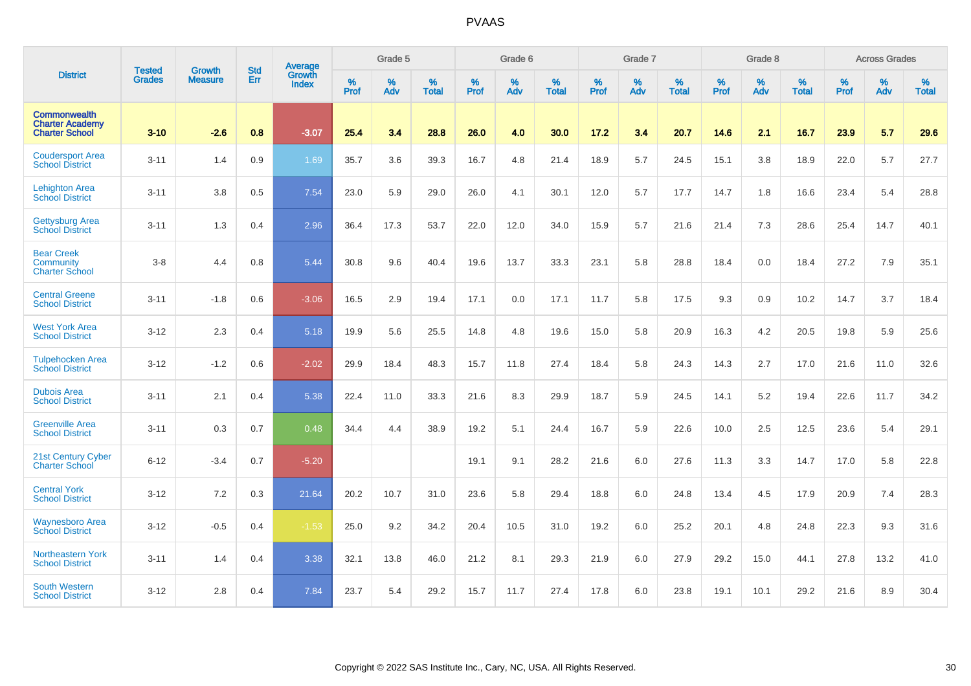|                                                                        | <b>Tested</b> | <b>Growth</b>  | <b>Std</b> | Average                       |           | Grade 5  |                   |           | Grade 6  |                   |           | Grade 7  |                   |           | Grade 8  |                   |           | <b>Across Grades</b> |                   |
|------------------------------------------------------------------------|---------------|----------------|------------|-------------------------------|-----------|----------|-------------------|-----------|----------|-------------------|-----------|----------|-------------------|-----------|----------|-------------------|-----------|----------------------|-------------------|
| <b>District</b>                                                        | <b>Grades</b> | <b>Measure</b> | Err        | <b>Growth</b><br><b>Index</b> | %<br>Prof | %<br>Adv | %<br><b>Total</b> | %<br>Prof | %<br>Adv | %<br><b>Total</b> | %<br>Prof | %<br>Adv | %<br><b>Total</b> | %<br>Prof | %<br>Adv | %<br><b>Total</b> | %<br>Prof | %<br>Adv             | %<br><b>Total</b> |
| <b>Commonwealth</b><br><b>Charter Academy</b><br><b>Charter School</b> | $3 - 10$      | $-2.6$         | 0.8        | $-3.07$                       | 25.4      | 3.4      | 28.8              | 26.0      | 4.0      | 30.0              | 17.2      | 3.4      | 20.7              | 14.6      | 2.1      | 16.7              | 23.9      | 5.7                  | 29.6              |
| <b>Coudersport Area</b><br><b>School District</b>                      | $3 - 11$      | 1.4            | 0.9        | 1.69                          | 35.7      | 3.6      | 39.3              | 16.7      | 4.8      | 21.4              | 18.9      | 5.7      | 24.5              | 15.1      | 3.8      | 18.9              | 22.0      | 5.7                  | 27.7              |
| <b>Lehighton Area</b><br><b>School District</b>                        | $3 - 11$      | 3.8            | 0.5        | 7.54                          | 23.0      | 5.9      | 29.0              | 26.0      | 4.1      | 30.1              | 12.0      | 5.7      | 17.7              | 14.7      | 1.8      | 16.6              | 23.4      | 5.4                  | 28.8              |
| <b>Gettysburg Area</b><br><b>School District</b>                       | $3 - 11$      | 1.3            | 0.4        | 2.96                          | 36.4      | 17.3     | 53.7              | 22.0      | 12.0     | 34.0              | 15.9      | 5.7      | 21.6              | 21.4      | 7.3      | 28.6              | 25.4      | 14.7                 | 40.1              |
| <b>Bear Creek</b><br>Community<br><b>Charter School</b>                | $3 - 8$       | 4.4            | 0.8        | 5.44                          | 30.8      | 9.6      | 40.4              | 19.6      | 13.7     | 33.3              | 23.1      | 5.8      | 28.8              | 18.4      | 0.0      | 18.4              | 27.2      | 7.9                  | 35.1              |
| <b>Central Greene</b><br><b>School District</b>                        | $3 - 11$      | $-1.8$         | 0.6        | $-3.06$                       | 16.5      | 2.9      | 19.4              | 17.1      | 0.0      | 17.1              | 11.7      | 5.8      | 17.5              | 9.3       | 0.9      | 10.2              | 14.7      | 3.7                  | 18.4              |
| <b>West York Area</b><br><b>School District</b>                        | $3 - 12$      | 2.3            | 0.4        | 5.18                          | 19.9      | 5.6      | 25.5              | 14.8      | 4.8      | 19.6              | 15.0      | 5.8      | 20.9              | 16.3      | 4.2      | 20.5              | 19.8      | 5.9                  | 25.6              |
| <b>Tulpehocken Area</b><br><b>School District</b>                      | $3 - 12$      | $-1.2$         | 0.6        | $-2.02$                       | 29.9      | 18.4     | 48.3              | 15.7      | 11.8     | 27.4              | 18.4      | 5.8      | 24.3              | 14.3      | 2.7      | 17.0              | 21.6      | 11.0                 | 32.6              |
| <b>Dubois Area</b><br><b>School District</b>                           | $3 - 11$      | 2.1            | 0.4        | 5.38                          | 22.4      | 11.0     | 33.3              | 21.6      | 8.3      | 29.9              | 18.7      | 5.9      | 24.5              | 14.1      | 5.2      | 19.4              | 22.6      | 11.7                 | 34.2              |
| <b>Greenville Area</b><br><b>School District</b>                       | $3 - 11$      | 0.3            | 0.7        | 0.48                          | 34.4      | 4.4      | 38.9              | 19.2      | 5.1      | 24.4              | 16.7      | 5.9      | 22.6              | 10.0      | 2.5      | 12.5              | 23.6      | 5.4                  | 29.1              |
| 21st Century Cyber<br><b>Charter School</b>                            | $6 - 12$      | $-3.4$         | 0.7        | $-5.20$                       |           |          |                   | 19.1      | 9.1      | 28.2              | 21.6      | 6.0      | 27.6              | 11.3      | 3.3      | 14.7              | 17.0      | 5.8                  | 22.8              |
| <b>Central York</b><br><b>School District</b>                          | $3 - 12$      | 7.2            | 0.3        | 21.64                         | 20.2      | 10.7     | 31.0              | 23.6      | 5.8      | 29.4              | 18.8      | 6.0      | 24.8              | 13.4      | 4.5      | 17.9              | 20.9      | 7.4                  | 28.3              |
| <b>Waynesboro Area</b><br><b>School District</b>                       | $3 - 12$      | $-0.5$         | 0.4        | $-1.53$                       | 25.0      | 9.2      | 34.2              | 20.4      | 10.5     | 31.0              | 19.2      | 6.0      | 25.2              | 20.1      | 4.8      | 24.8              | 22.3      | 9.3                  | 31.6              |
| Northeastern York<br><b>School District</b>                            | $3 - 11$      | 1.4            | 0.4        | 3.38                          | 32.1      | 13.8     | 46.0              | 21.2      | 8.1      | 29.3              | 21.9      | 6.0      | 27.9              | 29.2      | 15.0     | 44.1              | 27.8      | 13.2                 | 41.0              |
| <b>South Western</b><br><b>School District</b>                         | $3 - 12$      | 2.8            | 0.4        | 7.84                          | 23.7      | 5.4      | 29.2              | 15.7      | 11.7     | 27.4              | 17.8      | 6.0      | 23.8              | 19.1      | 10.1     | 29.2              | 21.6      | 8.9                  | 30.4              |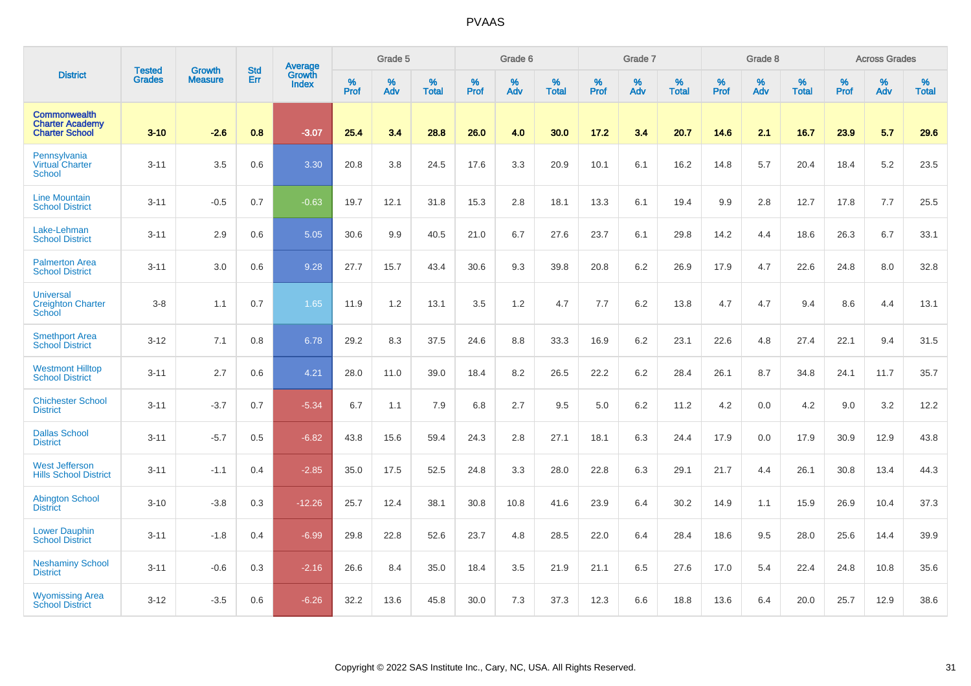|                                                                        |                                | <b>Growth</b>  | <b>Std</b> | Average                       |              | Grade 5  |                   |           | Grade 6  |                   |           | Grade 7  |                   |           | Grade 8  |                   |           | <b>Across Grades</b> |                   |
|------------------------------------------------------------------------|--------------------------------|----------------|------------|-------------------------------|--------------|----------|-------------------|-----------|----------|-------------------|-----------|----------|-------------------|-----------|----------|-------------------|-----------|----------------------|-------------------|
| <b>District</b>                                                        | <b>Tested</b><br><b>Grades</b> | <b>Measure</b> | Err        | <b>Growth</b><br><b>Index</b> | $\%$<br>Prof | %<br>Adv | %<br><b>Total</b> | %<br>Prof | %<br>Adv | %<br><b>Total</b> | %<br>Prof | %<br>Adv | %<br><b>Total</b> | %<br>Prof | %<br>Adv | %<br><b>Total</b> | %<br>Prof | %<br>Adv             | %<br><b>Total</b> |
| <b>Commonwealth</b><br><b>Charter Academy</b><br><b>Charter School</b> | $3 - 10$                       | $-2.6$         | 0.8        | $-3.07$                       | 25.4         | 3.4      | 28.8              | 26.0      | 4.0      | 30.0              | 17.2      | 3.4      | 20.7              | 14.6      | 2.1      | 16.7              | 23.9      | 5.7                  | 29.6              |
| Pennsylvania<br><b>Virtual Charter</b><br>School                       | $3 - 11$                       | 3.5            | 0.6        | 3.30                          | 20.8         | 3.8      | 24.5              | 17.6      | 3.3      | 20.9              | 10.1      | 6.1      | 16.2              | 14.8      | 5.7      | 20.4              | 18.4      | 5.2                  | 23.5              |
| <b>Line Mountain</b><br><b>School District</b>                         | $3 - 11$                       | $-0.5$         | 0.7        | $-0.63$                       | 19.7         | 12.1     | 31.8              | 15.3      | 2.8      | 18.1              | 13.3      | 6.1      | 19.4              | 9.9       | 2.8      | 12.7              | 17.8      | 7.7                  | 25.5              |
| Lake-Lehman<br><b>School District</b>                                  | $3 - 11$                       | 2.9            | 0.6        | 5.05                          | 30.6         | 9.9      | 40.5              | 21.0      | 6.7      | 27.6              | 23.7      | 6.1      | 29.8              | 14.2      | 4.4      | 18.6              | 26.3      | 6.7                  | 33.1              |
| <b>Palmerton Area</b><br><b>School District</b>                        | $3 - 11$                       | 3.0            | 0.6        | 9.28                          | 27.7         | 15.7     | 43.4              | 30.6      | 9.3      | 39.8              | 20.8      | 6.2      | 26.9              | 17.9      | 4.7      | 22.6              | 24.8      | 8.0                  | 32.8              |
| <b>Universal</b><br><b>Creighton Charter</b><br><b>School</b>          | $3-8$                          | 1.1            | 0.7        | 1.65                          | 11.9         | 1.2      | 13.1              | 3.5       | 1.2      | 4.7               | 7.7       | $6.2\,$  | 13.8              | 4.7       | 4.7      | 9.4               | 8.6       | 4.4                  | 13.1              |
| <b>Smethport Area</b><br><b>School District</b>                        | $3 - 12$                       | 7.1            | 0.8        | 6.78                          | 29.2         | 8.3      | 37.5              | 24.6      | 8.8      | 33.3              | 16.9      | 6.2      | 23.1              | 22.6      | 4.8      | 27.4              | 22.1      | 9.4                  | 31.5              |
| <b>Westmont Hilltop</b><br><b>School District</b>                      | $3 - 11$                       | 2.7            | 0.6        | 4.21                          | 28.0         | 11.0     | 39.0              | 18.4      | 8.2      | 26.5              | 22.2      | 6.2      | 28.4              | 26.1      | 8.7      | 34.8              | 24.1      | 11.7                 | 35.7              |
| <b>Chichester School</b><br><b>District</b>                            | $3 - 11$                       | $-3.7$         | 0.7        | $-5.34$                       | 6.7          | 1.1      | 7.9               | 6.8       | 2.7      | 9.5               | 5.0       | 6.2      | 11.2              | 4.2       | 0.0      | 4.2               | 9.0       | 3.2                  | 12.2              |
| <b>Dallas School</b><br><b>District</b>                                | $3 - 11$                       | $-5.7$         | 0.5        | $-6.82$                       | 43.8         | 15.6     | 59.4              | 24.3      | 2.8      | 27.1              | 18.1      | 6.3      | 24.4              | 17.9      | 0.0      | 17.9              | 30.9      | 12.9                 | 43.8              |
| <b>West Jefferson</b><br><b>Hills School District</b>                  | $3 - 11$                       | $-1.1$         | 0.4        | $-2.85$                       | 35.0         | 17.5     | 52.5              | 24.8      | 3.3      | 28.0              | 22.8      | 6.3      | 29.1              | 21.7      | 4.4      | 26.1              | 30.8      | 13.4                 | 44.3              |
| <b>Abington School</b><br><b>District</b>                              | $3 - 10$                       | $-3.8$         | 0.3        | $-12.26$                      | 25.7         | 12.4     | 38.1              | 30.8      | 10.8     | 41.6              | 23.9      | 6.4      | 30.2              | 14.9      | 1.1      | 15.9              | 26.9      | 10.4                 | 37.3              |
| <b>Lower Dauphin</b><br><b>School District</b>                         | $3 - 11$                       | $-1.8$         | 0.4        | $-6.99$                       | 29.8         | 22.8     | 52.6              | 23.7      | 4.8      | 28.5              | 22.0      | 6.4      | 28.4              | 18.6      | 9.5      | 28.0              | 25.6      | 14.4                 | 39.9              |
| <b>Neshaminy School</b><br><b>District</b>                             | $3 - 11$                       | $-0.6$         | 0.3        | $-2.16$                       | 26.6         | 8.4      | 35.0              | 18.4      | 3.5      | 21.9              | 21.1      | 6.5      | 27.6              | 17.0      | 5.4      | 22.4              | 24.8      | 10.8                 | 35.6              |
| <b>Wyomissing Area</b><br><b>School District</b>                       | $3 - 12$                       | $-3.5$         | 0.6        | $-6.26$                       | 32.2         | 13.6     | 45.8              | 30.0      | 7.3      | 37.3              | 12.3      | 6.6      | 18.8              | 13.6      | 6.4      | 20.0              | 25.7      | 12.9                 | 38.6              |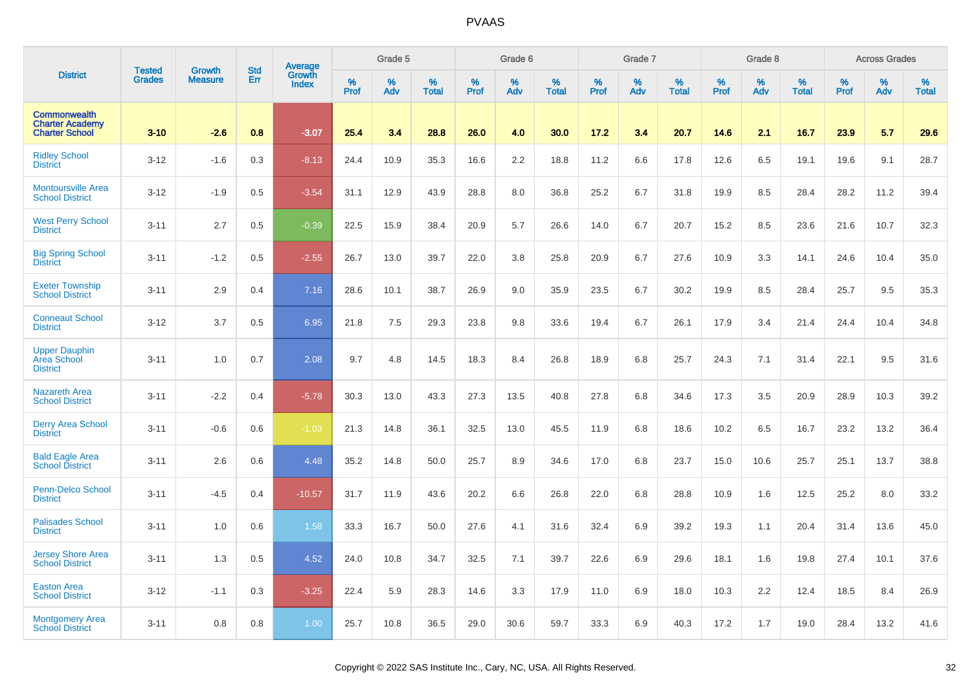|                                                                        |                                |                                 | <b>Std</b> |                                   |                     | Grade 5  |                   |              | Grade 6  |                   |              | Grade 7  |                   |              | Grade 8  |                   |                  | <b>Across Grades</b> |                   |
|------------------------------------------------------------------------|--------------------------------|---------------------------------|------------|-----------------------------------|---------------------|----------|-------------------|--------------|----------|-------------------|--------------|----------|-------------------|--------------|----------|-------------------|------------------|----------------------|-------------------|
| <b>District</b>                                                        | <b>Tested</b><br><b>Grades</b> | <b>Growth</b><br><b>Measure</b> | Err        | Average<br>Growth<br><b>Index</b> | $\%$<br><b>Prof</b> | %<br>Adv | %<br><b>Total</b> | $\%$<br>Prof | %<br>Adv | %<br><b>Total</b> | $\%$<br>Prof | %<br>Adv | %<br><b>Total</b> | $\%$<br>Prof | %<br>Adv | %<br><b>Total</b> | %<br><b>Prof</b> | %<br>Adv             | %<br><b>Total</b> |
| <b>Commonwealth</b><br><b>Charter Academy</b><br><b>Charter School</b> | $3 - 10$                       | $-2.6$                          | 0.8        | $-3.07$                           | 25.4                | 3.4      | 28.8              | 26.0         | 4.0      | 30.0              | 17.2         | 3.4      | 20.7              | 14.6         | 2.1      | 16.7              | 23.9             | 5.7                  | 29.6              |
| <b>Ridley School</b><br><b>District</b>                                | $3 - 12$                       | $-1.6$                          | 0.3        | $-8.13$                           | 24.4                | 10.9     | 35.3              | 16.6         | 2.2      | 18.8              | 11.2         | 6.6      | 17.8              | 12.6         | 6.5      | 19.1              | 19.6             | 9.1                  | 28.7              |
| <b>Montoursville Area</b><br><b>School District</b>                    | $3 - 12$                       | $-1.9$                          | 0.5        | $-3.54$                           | 31.1                | 12.9     | 43.9              | 28.8         | 8.0      | 36.8              | 25.2         | 6.7      | 31.8              | 19.9         | 8.5      | 28.4              | 28.2             | 11.2                 | 39.4              |
| <b>West Perry School</b><br><b>District</b>                            | $3 - 11$                       | 2.7                             | 0.5        | $-0.39$                           | 22.5                | 15.9     | 38.4              | 20.9         | 5.7      | 26.6              | 14.0         | 6.7      | 20.7              | 15.2         | 8.5      | 23.6              | 21.6             | 10.7                 | 32.3              |
| <b>Big Spring School</b><br><b>District</b>                            | $3 - 11$                       | $-1.2$                          | 0.5        | $-2.55$                           | 26.7                | 13.0     | 39.7              | 22.0         | 3.8      | 25.8              | 20.9         | 6.7      | 27.6              | 10.9         | 3.3      | 14.1              | 24.6             | 10.4                 | 35.0              |
| <b>Exeter Township</b><br><b>School District</b>                       | $3 - 11$                       | 2.9                             | 0.4        | 7.16                              | 28.6                | 10.1     | 38.7              | 26.9         | 9.0      | 35.9              | 23.5         | 6.7      | 30.2              | 19.9         | 8.5      | 28.4              | 25.7             | 9.5                  | 35.3              |
| <b>Conneaut School</b><br><b>District</b>                              | $3 - 12$                       | 3.7                             | 0.5        | 6.95                              | 21.8                | 7.5      | 29.3              | 23.8         | 9.8      | 33.6              | 19.4         | 6.7      | 26.1              | 17.9         | 3.4      | 21.4              | 24.4             | 10.4                 | 34.8              |
| <b>Upper Dauphin</b><br>Area School<br><b>District</b>                 | $3 - 11$                       | 1.0                             | 0.7        | 2.08                              | 9.7                 | 4.8      | 14.5              | 18.3         | 8.4      | 26.8              | 18.9         | 6.8      | 25.7              | 24.3         | 7.1      | 31.4              | 22.1             | 9.5                  | 31.6              |
| <b>Nazareth Area</b><br><b>School District</b>                         | $3 - 11$                       | $-2.2$                          | 0.4        | $-5.78$                           | 30.3                | 13.0     | 43.3              | 27.3         | 13.5     | 40.8              | 27.8         | 6.8      | 34.6              | 17.3         | 3.5      | 20.9              | 28.9             | 10.3                 | 39.2              |
| <b>Derry Area School</b><br><b>District</b>                            | $3 - 11$                       | $-0.6$                          | 0.6        | $-1.03$                           | 21.3                | 14.8     | 36.1              | 32.5         | 13.0     | 45.5              | 11.9         | 6.8      | 18.6              | 10.2         | 6.5      | 16.7              | 23.2             | 13.2                 | 36.4              |
| <b>Bald Eagle Area</b><br><b>School District</b>                       | $3 - 11$                       | 2.6                             | 0.6        | 4.48                              | 35.2                | 14.8     | 50.0              | 25.7         | 8.9      | 34.6              | 17.0         | 6.8      | 23.7              | 15.0         | 10.6     | 25.7              | 25.1             | 13.7                 | 38.8              |
| Penn-Delco School<br><b>District</b>                                   | $3 - 11$                       | $-4.5$                          | 0.4        | $-10.57$                          | 31.7                | 11.9     | 43.6              | 20.2         | 6.6      | 26.8              | 22.0         | 6.8      | 28.8              | 10.9         | 1.6      | 12.5              | 25.2             | 8.0                  | 33.2              |
| <b>Palisades School</b><br><b>District</b>                             | $3 - 11$                       | 1.0                             | 0.6        | 1.58                              | 33.3                | 16.7     | 50.0              | 27.6         | 4.1      | 31.6              | 32.4         | 6.9      | 39.2              | 19.3         | 1.1      | 20.4              | 31.4             | 13.6                 | 45.0              |
| <b>Jersey Shore Area</b><br>School District                            | $3 - 11$                       | 1.3                             | 0.5        | 4.52                              | 24.0                | 10.8     | 34.7              | 32.5         | 7.1      | 39.7              | 22.6         | 6.9      | 29.6              | 18.1         | 1.6      | 19.8              | 27.4             | 10.1                 | 37.6              |
| <b>Easton Area</b><br><b>School District</b>                           | $3 - 12$                       | $-1.1$                          | 0.3        | $-3.25$                           | 22.4                | 5.9      | 28.3              | 14.6         | 3.3      | 17.9              | 11.0         | 6.9      | 18.0              | 10.3         | 2.2      | 12.4              | 18.5             | 8.4                  | 26.9              |
| <b>Montgomery Area</b><br><b>School District</b>                       | $3 - 11$                       | 0.8                             | 0.8        | 1.00                              | 25.7                | 10.8     | 36.5              | 29.0         | 30.6     | 59.7              | 33.3         | 6.9      | 40.3              | 17.2         | 1.7      | 19.0              | 28.4             | 13.2                 | 41.6              |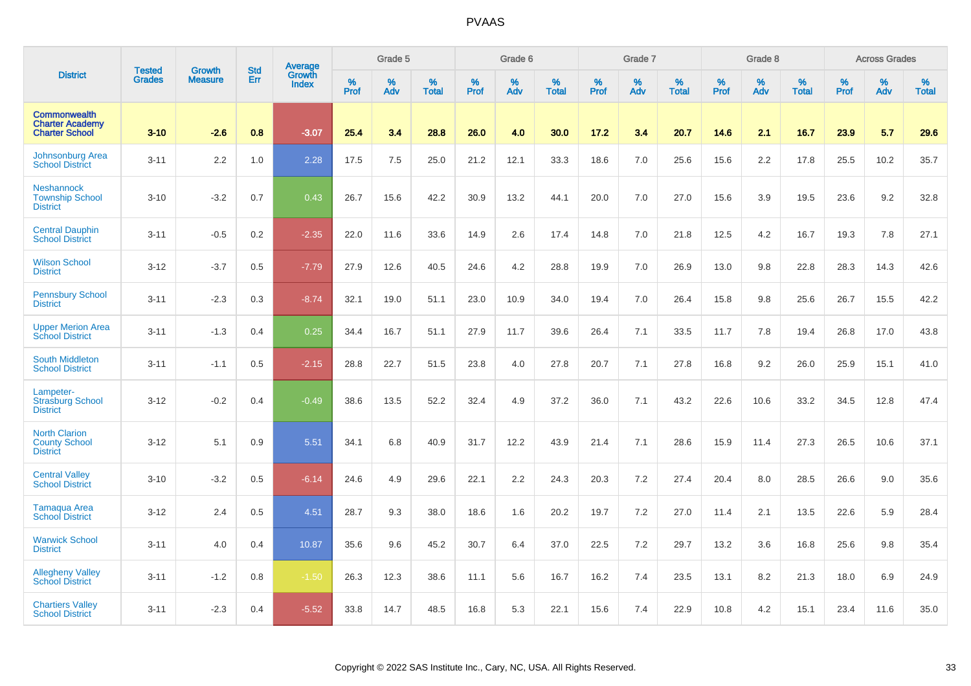|                                                                        |                                |                                 | <b>Std</b> | Average         |           | Grade 5  |                   |           | Grade 6  |                   |              | Grade 7  |                   |           | Grade 8  |                   |              | <b>Across Grades</b> |                   |
|------------------------------------------------------------------------|--------------------------------|---------------------------------|------------|-----------------|-----------|----------|-------------------|-----------|----------|-------------------|--------------|----------|-------------------|-----------|----------|-------------------|--------------|----------------------|-------------------|
| <b>District</b>                                                        | <b>Tested</b><br><b>Grades</b> | <b>Growth</b><br><b>Measure</b> | Err        | Growth<br>Index | %<br>Prof | %<br>Adv | %<br><b>Total</b> | %<br>Prof | %<br>Adv | %<br><b>Total</b> | $\%$<br>Prof | %<br>Adv | %<br><b>Total</b> | %<br>Prof | %<br>Adv | %<br><b>Total</b> | $\%$<br>Prof | %<br>Adv             | %<br><b>Total</b> |
| <b>Commonwealth</b><br><b>Charter Academy</b><br><b>Charter School</b> | $3 - 10$                       | $-2.6$                          | 0.8        | $-3.07$         | 25.4      | 3.4      | 28.8              | 26.0      | 4.0      | 30.0              | 17.2         | 3.4      | 20.7              | 14.6      | 2.1      | 16.7              | 23.9         | 5.7                  | 29.6              |
| Johnsonburg Area<br><b>School District</b>                             | $3 - 11$                       | 2.2                             | 1.0        | 2.28            | 17.5      | 7.5      | 25.0              | 21.2      | 12.1     | 33.3              | 18.6         | 7.0      | 25.6              | 15.6      | 2.2      | 17.8              | 25.5         | 10.2                 | 35.7              |
| Neshannock<br><b>Township School</b><br><b>District</b>                | $3 - 10$                       | $-3.2$                          | 0.7        | 0.43            | 26.7      | 15.6     | 42.2              | 30.9      | 13.2     | 44.1              | 20.0         | 7.0      | 27.0              | 15.6      | 3.9      | 19.5              | 23.6         | 9.2                  | 32.8              |
| <b>Central Dauphin</b><br><b>School District</b>                       | $3 - 11$                       | $-0.5$                          | 0.2        | $-2.35$         | 22.0      | 11.6     | 33.6              | 14.9      | 2.6      | 17.4              | 14.8         | 7.0      | 21.8              | 12.5      | 4.2      | 16.7              | 19.3         | 7.8                  | 27.1              |
| <b>Wilson School</b><br><b>District</b>                                | $3 - 12$                       | $-3.7$                          | 0.5        | $-7.79$         | 27.9      | 12.6     | 40.5              | 24.6      | 4.2      | 28.8              | 19.9         | 7.0      | 26.9              | 13.0      | 9.8      | 22.8              | 28.3         | 14.3                 | 42.6              |
| <b>Pennsbury School</b><br><b>District</b>                             | $3 - 11$                       | $-2.3$                          | 0.3        | $-8.74$         | 32.1      | 19.0     | 51.1              | 23.0      | 10.9     | 34.0              | 19.4         | 7.0      | 26.4              | 15.8      | 9.8      | 25.6              | 26.7         | 15.5                 | 42.2              |
| <b>Upper Merion Area</b><br><b>School District</b>                     | $3 - 11$                       | $-1.3$                          | 0.4        | 0.25            | 34.4      | 16.7     | 51.1              | 27.9      | 11.7     | 39.6              | 26.4         | 7.1      | 33.5              | 11.7      | 7.8      | 19.4              | 26.8         | 17.0                 | 43.8              |
| <b>South Middleton</b><br><b>School District</b>                       | $3 - 11$                       | $-1.1$                          | 0.5        | $-2.15$         | 28.8      | 22.7     | 51.5              | 23.8      | 4.0      | 27.8              | 20.7         | 7.1      | 27.8              | 16.8      | 9.2      | 26.0              | 25.9         | 15.1                 | 41.0              |
| Lampeter-<br><b>Strasburg School</b><br><b>District</b>                | $3 - 12$                       | $-0.2$                          | 0.4        | $-0.49$         | 38.6      | 13.5     | 52.2              | 32.4      | 4.9      | 37.2              | 36.0         | 7.1      | 43.2              | 22.6      | 10.6     | 33.2              | 34.5         | 12.8                 | 47.4              |
| <b>North Clarion</b><br><b>County School</b><br><b>District</b>        | $3 - 12$                       | 5.1                             | 0.9        | 5.51            | 34.1      | 6.8      | 40.9              | 31.7      | 12.2     | 43.9              | 21.4         | 7.1      | 28.6              | 15.9      | 11.4     | 27.3              | 26.5         | 10.6                 | 37.1              |
| <b>Central Valley</b><br><b>School District</b>                        | $3 - 10$                       | $-3.2$                          | 0.5        | $-6.14$         | 24.6      | 4.9      | 29.6              | 22.1      | 2.2      | 24.3              | 20.3         | 7.2      | 27.4              | 20.4      | 8.0      | 28.5              | 26.6         | 9.0                  | 35.6              |
| <b>Tamaqua Area</b><br><b>School District</b>                          | $3 - 12$                       | 2.4                             | 0.5        | 4.51            | 28.7      | 9.3      | 38.0              | 18.6      | 1.6      | 20.2              | 19.7         | 7.2      | 27.0              | 11.4      | 2.1      | 13.5              | 22.6         | 5.9                  | 28.4              |
| <b>Warwick School</b><br><b>District</b>                               | $3 - 11$                       | 4.0                             | 0.4        | 10.87           | 35.6      | 9.6      | 45.2              | 30.7      | 6.4      | 37.0              | 22.5         | 7.2      | 29.7              | 13.2      | 3.6      | 16.8              | 25.6         | 9.8                  | 35.4              |
| <b>Allegheny Valley</b><br><b>School District</b>                      | $3 - 11$                       | $-1.2$                          | 0.8        | $-1.50$         | 26.3      | 12.3     | 38.6              | 11.1      | 5.6      | 16.7              | 16.2         | 7.4      | 23.5              | 13.1      | 8.2      | 21.3              | 18.0         | 6.9                  | 24.9              |
| <b>Chartiers Valley</b><br><b>School District</b>                      | $3 - 11$                       | $-2.3$                          | 0.4        | $-5.52$         | 33.8      | 14.7     | 48.5              | 16.8      | 5.3      | 22.1              | 15.6         | 7.4      | 22.9              | 10.8      | 4.2      | 15.1              | 23.4         | 11.6                 | 35.0              |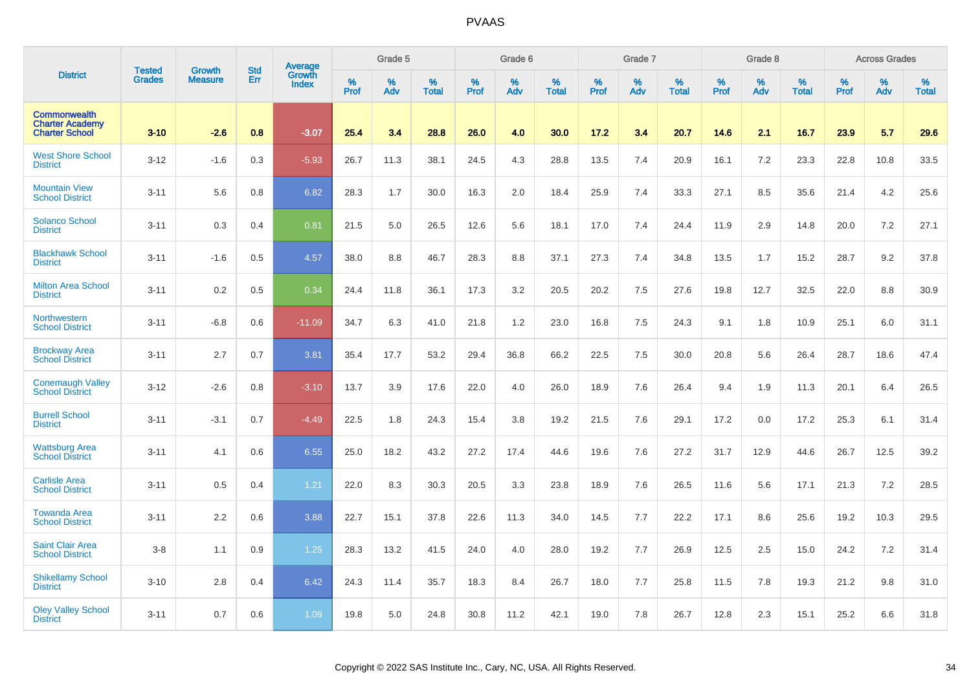|                                                                        |                         | <b>Growth</b>  | <b>Std</b> | Average                |                     | Grade 5  |                      |                     | Grade 6  |                      |                     | Grade 7     |                      |                     | Grade 8     |                      |              | <b>Across Grades</b> |                   |
|------------------------------------------------------------------------|-------------------------|----------------|------------|------------------------|---------------------|----------|----------------------|---------------------|----------|----------------------|---------------------|-------------|----------------------|---------------------|-------------|----------------------|--------------|----------------------|-------------------|
| <b>District</b>                                                        | <b>Tested</b><br>Grades | <b>Measure</b> | Err        | Growth<br><b>Index</b> | $\%$<br><b>Prof</b> | %<br>Adv | $\%$<br><b>Total</b> | $\%$<br><b>Prof</b> | %<br>Adv | $\%$<br><b>Total</b> | $\%$<br><b>Prof</b> | $\%$<br>Adv | $\%$<br><b>Total</b> | $\%$<br><b>Prof</b> | $\%$<br>Adv | $\%$<br><b>Total</b> | $\%$<br>Prof | %<br>Adv             | %<br><b>Total</b> |
| <b>Commonwealth</b><br><b>Charter Academy</b><br><b>Charter School</b> | $3 - 10$                | $-2.6$         | 0.8        | $-3.07$                | 25.4                | 3.4      | 28.8                 | 26.0                | 4.0      | 30.0                 | 17.2                | 3.4         | 20.7                 | 14.6                | 2.1         | 16.7                 | 23.9         | 5.7                  | 29.6              |
| <b>West Shore School</b><br><b>District</b>                            | $3-12$                  | $-1.6$         | 0.3        | $-5.93$                | 26.7                | 11.3     | 38.1                 | 24.5                | 4.3      | 28.8                 | 13.5                | 7.4         | 20.9                 | 16.1                | 7.2         | 23.3                 | 22.8         | 10.8                 | 33.5              |
| <b>Mountain View</b><br><b>School District</b>                         | $3 - 11$                | 5.6            | 0.8        | 6.82                   | 28.3                | 1.7      | 30.0                 | 16.3                | 2.0      | 18.4                 | 25.9                | 7.4         | 33.3                 | 27.1                | 8.5         | 35.6                 | 21.4         | 4.2                  | 25.6              |
| <b>Solanco School</b><br><b>District</b>                               | $3 - 11$                | 0.3            | 0.4        | 0.81                   | 21.5                | 5.0      | 26.5                 | 12.6                | 5.6      | 18.1                 | 17.0                | 7.4         | 24.4                 | 11.9                | 2.9         | 14.8                 | 20.0         | 7.2                  | 27.1              |
| <b>Blackhawk School</b><br><b>District</b>                             | $3 - 11$                | $-1.6$         | 0.5        | 4.57                   | 38.0                | 8.8      | 46.7                 | 28.3                | 8.8      | 37.1                 | 27.3                | 7.4         | 34.8                 | 13.5                | 1.7         | 15.2                 | 28.7         | 9.2                  | 37.8              |
| <b>Milton Area School</b><br><b>District</b>                           | $3 - 11$                | 0.2            | 0.5        | 0.34                   | 24.4                | 11.8     | 36.1                 | 17.3                | 3.2      | 20.5                 | 20.2                | 7.5         | 27.6                 | 19.8                | 12.7        | 32.5                 | 22.0         | 8.8                  | 30.9              |
| Northwestern<br><b>School District</b>                                 | $3 - 11$                | $-6.8$         | 0.6        | $-11.09$               | 34.7                | 6.3      | 41.0                 | 21.8                | 1.2      | 23.0                 | 16.8                | 7.5         | 24.3                 | 9.1                 | 1.8         | 10.9                 | 25.1         | 6.0                  | 31.1              |
| <b>Brockway Area</b><br><b>School District</b>                         | $3 - 11$                | 2.7            | 0.7        | 3.81                   | 35.4                | 17.7     | 53.2                 | 29.4                | 36.8     | 66.2                 | 22.5                | 7.5         | 30.0                 | 20.8                | 5.6         | 26.4                 | 28.7         | 18.6                 | 47.4              |
| <b>Conemaugh Valley</b><br><b>School District</b>                      | $3 - 12$                | $-2.6$         | 0.8        | $-3.10$                | 13.7                | 3.9      | 17.6                 | 22.0                | 4.0      | 26.0                 | 18.9                | 7.6         | 26.4                 | 9.4                 | 1.9         | 11.3                 | 20.1         | 6.4                  | 26.5              |
| <b>Burrell School</b><br><b>District</b>                               | $3 - 11$                | $-3.1$         | 0.7        | $-4.49$                | 22.5                | 1.8      | 24.3                 | 15.4                | 3.8      | 19.2                 | 21.5                | 7.6         | 29.1                 | 17.2                | 0.0         | 17.2                 | 25.3         | 6.1                  | 31.4              |
| <b>Wattsburg Area</b><br><b>School District</b>                        | $3 - 11$                | 4.1            | 0.6        | 6.55                   | 25.0                | 18.2     | 43.2                 | 27.2                | 17.4     | 44.6                 | 19.6                | 7.6         | 27.2                 | 31.7                | 12.9        | 44.6                 | 26.7         | 12.5                 | 39.2              |
| <b>Carlisle Area</b><br><b>School District</b>                         | $3 - 11$                | 0.5            | 0.4        | 1.21                   | 22.0                | 8.3      | 30.3                 | 20.5                | 3.3      | 23.8                 | 18.9                | 7.6         | 26.5                 | 11.6                | 5.6         | 17.1                 | 21.3         | 7.2                  | 28.5              |
| <b>Towanda Area</b><br><b>School District</b>                          | $3 - 11$                | 2.2            | 0.6        | 3.88                   | 22.7                | 15.1     | 37.8                 | 22.6                | 11.3     | 34.0                 | 14.5                | 7.7         | 22.2                 | 17.1                | 8.6         | 25.6                 | 19.2         | 10.3                 | 29.5              |
| <b>Saint Clair Area</b><br><b>School District</b>                      | $3-8$                   | 1.1            | 0.9        | 1.25                   | 28.3                | 13.2     | 41.5                 | 24.0                | 4.0      | 28.0                 | 19.2                | 7.7         | 26.9                 | 12.5                | 2.5         | 15.0                 | 24.2         | 7.2                  | 31.4              |
| <b>Shikellamy School</b><br><b>District</b>                            | $3 - 10$                | 2.8            | 0.4        | 6.42                   | 24.3                | 11.4     | 35.7                 | 18.3                | 8.4      | 26.7                 | 18.0                | 7.7         | 25.8                 | 11.5                | 7.8         | 19.3                 | 21.2         | 9.8                  | 31.0              |
| <b>Oley Valley School</b><br><b>District</b>                           | $3 - 11$                | 0.7            | 0.6        | 1.09                   | 19.8                | 5.0      | 24.8                 | 30.8                | 11.2     | 42.1                 | 19.0                | 7.8         | 26.7                 | 12.8                | 2.3         | 15.1                 | 25.2         | 6.6                  | 31.8              |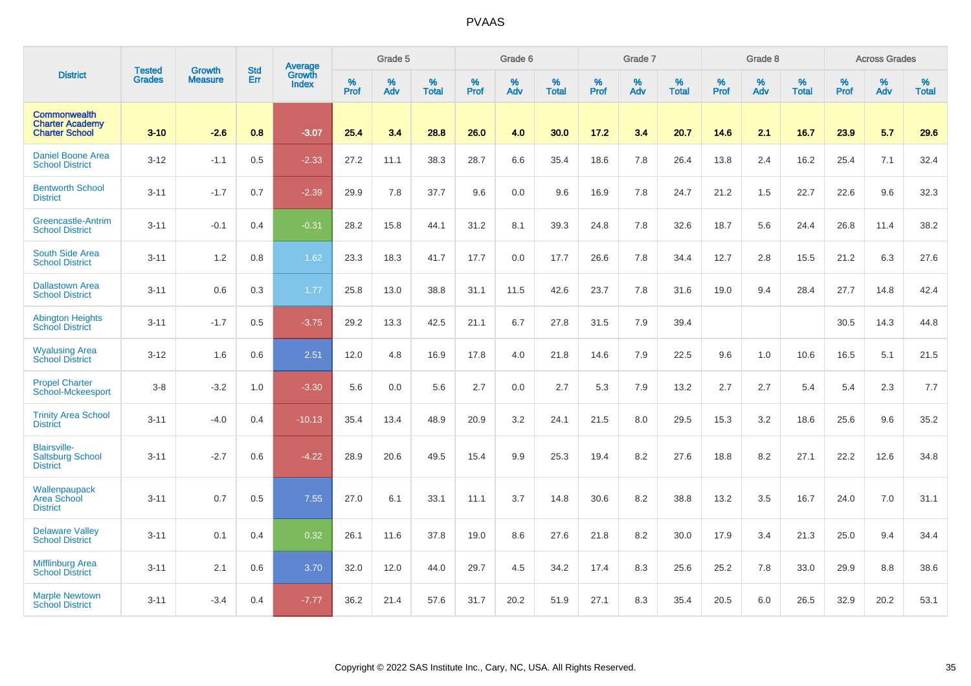|                                                                        | <b>Tested</b> | <b>Growth</b>  | <b>Std</b> | Average                       |           | Grade 5  |                   |           | Grade 6  |                   |           | Grade 7  |                   |           | Grade 8  |                   |           | <b>Across Grades</b> |                   |
|------------------------------------------------------------------------|---------------|----------------|------------|-------------------------------|-----------|----------|-------------------|-----------|----------|-------------------|-----------|----------|-------------------|-----------|----------|-------------------|-----------|----------------------|-------------------|
| <b>District</b>                                                        | <b>Grades</b> | <b>Measure</b> | Err        | <b>Growth</b><br><b>Index</b> | %<br>Prof | %<br>Adv | %<br><b>Total</b> | %<br>Prof | %<br>Adv | %<br><b>Total</b> | %<br>Prof | %<br>Adv | %<br><b>Total</b> | %<br>Prof | %<br>Adv | %<br><b>Total</b> | %<br>Prof | %<br>Adv             | %<br><b>Total</b> |
| <b>Commonwealth</b><br><b>Charter Academy</b><br><b>Charter School</b> | $3 - 10$      | $-2.6$         | 0.8        | $-3.07$                       | 25.4      | 3.4      | 28.8              | 26.0      | 4.0      | 30.0              | 17.2      | 3.4      | 20.7              | 14.6      | 2.1      | 16.7              | 23.9      | 5.7                  | 29.6              |
| Daniel Boone Area<br><b>School District</b>                            | $3 - 12$      | $-1.1$         | 0.5        | $-2.33$                       | 27.2      | 11.1     | 38.3              | 28.7      | 6.6      | 35.4              | 18.6      | 7.8      | 26.4              | 13.8      | 2.4      | 16.2              | 25.4      | 7.1                  | 32.4              |
| <b>Bentworth School</b><br><b>District</b>                             | $3 - 11$      | $-1.7$         | 0.7        | $-2.39$                       | 29.9      | 7.8      | 37.7              | 9.6       | 0.0      | 9.6               | 16.9      | 7.8      | 24.7              | 21.2      | 1.5      | 22.7              | 22.6      | 9.6                  | 32.3              |
| <b>Greencastle-Antrim</b><br><b>School District</b>                    | $3 - 11$      | $-0.1$         | 0.4        | $-0.31$                       | 28.2      | 15.8     | 44.1              | 31.2      | 8.1      | 39.3              | 24.8      | 7.8      | 32.6              | 18.7      | 5.6      | 24.4              | 26.8      | 11.4                 | 38.2              |
| South Side Area<br><b>School District</b>                              | $3 - 11$      | 1.2            | 0.8        | 1.62                          | 23.3      | 18.3     | 41.7              | 17.7      | 0.0      | 17.7              | 26.6      | 7.8      | 34.4              | 12.7      | 2.8      | 15.5              | 21.2      | 6.3                  | 27.6              |
| <b>Dallastown Area</b><br><b>School District</b>                       | $3 - 11$      | 0.6            | 0.3        | 1.77                          | 25.8      | 13.0     | 38.8              | 31.1      | 11.5     | 42.6              | 23.7      | 7.8      | 31.6              | 19.0      | 9.4      | 28.4              | 27.7      | 14.8                 | 42.4              |
| <b>Abington Heights</b><br><b>School District</b>                      | $3 - 11$      | $-1.7$         | 0.5        | $-3.75$                       | 29.2      | 13.3     | 42.5              | 21.1      | 6.7      | 27.8              | 31.5      | 7.9      | 39.4              |           |          |                   | 30.5      | 14.3                 | 44.8              |
| <b>Wyalusing Area</b><br><b>School District</b>                        | $3 - 12$      | 1.6            | 0.6        | 2.51                          | 12.0      | 4.8      | 16.9              | 17.8      | 4.0      | 21.8              | 14.6      | 7.9      | 22.5              | 9.6       | 1.0      | 10.6              | 16.5      | 5.1                  | 21.5              |
| <b>Propel Charter</b><br>School-Mckeesport                             | $3 - 8$       | $-3.2$         | 1.0        | $-3.30$                       | 5.6       | 0.0      | 5.6               | 2.7       | 0.0      | 2.7               | 5.3       | 7.9      | 13.2              | 2.7       | 2.7      | 5.4               | 5.4       | 2.3                  | 7.7               |
| <b>Trinity Area School</b><br><b>District</b>                          | $3 - 11$      | $-4.0$         | 0.4        | $-10.13$                      | 35.4      | 13.4     | 48.9              | 20.9      | 3.2      | 24.1              | 21.5      | 8.0      | 29.5              | 15.3      | 3.2      | 18.6              | 25.6      | 9.6                  | 35.2              |
| <b>Blairsville-</b><br><b>Saltsburg School</b><br><b>District</b>      | $3 - 11$      | $-2.7$         | 0.6        | $-4.22$                       | 28.9      | 20.6     | 49.5              | 15.4      | 9.9      | 25.3              | 19.4      | 8.2      | 27.6              | 18.8      | 8.2      | 27.1              | 22.2      | 12.6                 | 34.8              |
| Wallenpaupack<br>Area School<br><b>District</b>                        | $3 - 11$      | 0.7            | 0.5        | 7.55                          | 27.0      | 6.1      | 33.1              | 11.1      | 3.7      | 14.8              | 30.6      | 8.2      | 38.8              | 13.2      | 3.5      | 16.7              | 24.0      | 7.0                  | 31.1              |
| <b>Delaware Valley</b><br><b>School District</b>                       | $3 - 11$      | 0.1            | 0.4        | 0.32                          | 26.1      | 11.6     | 37.8              | 19.0      | 8.6      | 27.6              | 21.8      | 8.2      | 30.0              | 17.9      | 3.4      | 21.3              | 25.0      | 9.4                  | 34.4              |
| <b>Mifflinburg Area</b><br><b>School District</b>                      | $3 - 11$      | 2.1            | 0.6        | 3.70                          | 32.0      | 12.0     | 44.0              | 29.7      | 4.5      | 34.2              | 17.4      | 8.3      | 25.6              | 25.2      | 7.8      | 33.0              | 29.9      | 8.8                  | 38.6              |
| <b>Marple Newtown</b><br><b>School District</b>                        | $3 - 11$      | $-3.4$         | 0.4        | $-7.77$                       | 36.2      | 21.4     | 57.6              | 31.7      | 20.2     | 51.9              | 27.1      | 8.3      | 35.4              | 20.5      | 6.0      | 26.5              | 32.9      | 20.2                 | 53.1              |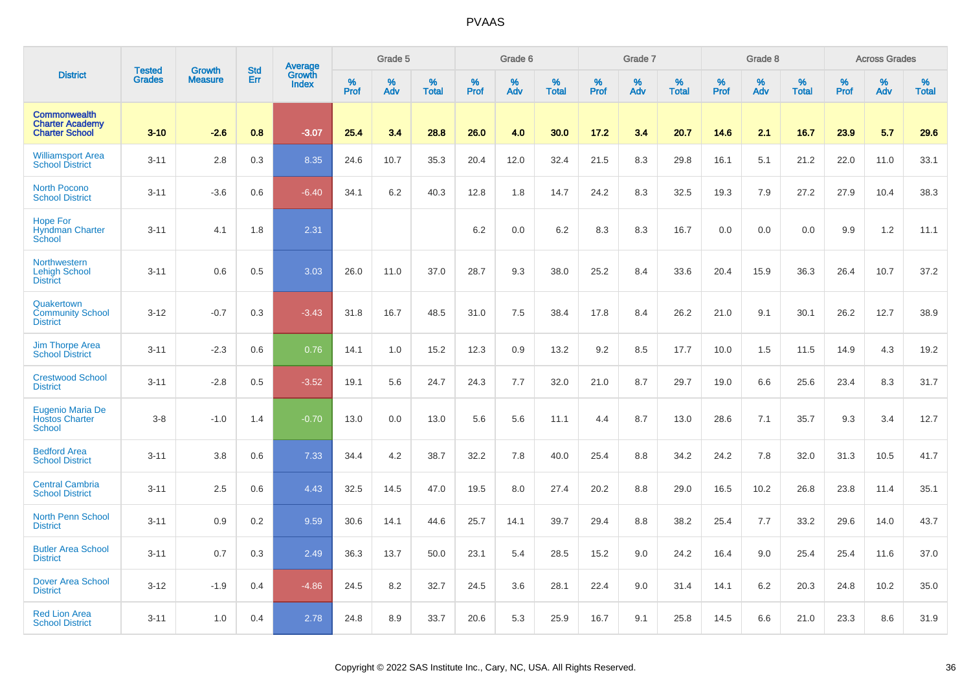|                                                                        |                                | <b>Growth</b>  | <b>Std</b> |                                          |              | Grade 5  |                   |           | Grade 6  |                   |           | Grade 7  |                   |           | Grade 8  |                   |           | <b>Across Grades</b> |                   |
|------------------------------------------------------------------------|--------------------------------|----------------|------------|------------------------------------------|--------------|----------|-------------------|-----------|----------|-------------------|-----------|----------|-------------------|-----------|----------|-------------------|-----------|----------------------|-------------------|
| <b>District</b>                                                        | <b>Tested</b><br><b>Grades</b> | <b>Measure</b> | Err        | <b>Average</b><br>Growth<br><b>Index</b> | $\%$<br>Prof | %<br>Adv | %<br><b>Total</b> | %<br>Prof | %<br>Adv | %<br><b>Total</b> | %<br>Prof | %<br>Adv | %<br><b>Total</b> | %<br>Prof | %<br>Adv | %<br><b>Total</b> | %<br>Prof | %<br>Adv             | %<br><b>Total</b> |
| <b>Commonwealth</b><br><b>Charter Academy</b><br><b>Charter School</b> | $3 - 10$                       | $-2.6$         | 0.8        | $-3.07$                                  | 25.4         | 3.4      | 28.8              | 26.0      | 4.0      | 30.0              | 17.2      | 3.4      | 20.7              | 14.6      | 2.1      | 16.7              | 23.9      | 5.7                  | 29.6              |
| <b>Williamsport Area</b><br><b>School District</b>                     | $3 - 11$                       | 2.8            | 0.3        | 8.35                                     | 24.6         | 10.7     | 35.3              | 20.4      | 12.0     | 32.4              | 21.5      | 8.3      | 29.8              | 16.1      | 5.1      | 21.2              | 22.0      | 11.0                 | 33.1              |
| <b>North Pocono</b><br><b>School District</b>                          | $3 - 11$                       | $-3.6$         | 0.6        | $-6.40$                                  | 34.1         | 6.2      | 40.3              | 12.8      | 1.8      | 14.7              | 24.2      | 8.3      | 32.5              | 19.3      | 7.9      | 27.2              | 27.9      | 10.4                 | 38.3              |
| <b>Hope For</b><br><b>Hyndman Charter</b><br>School                    | $3 - 11$                       | 4.1            | 1.8        | 2.31                                     |              |          |                   | 6.2       | 0.0      | 6.2               | 8.3       | 8.3      | 16.7              | 0.0       | 0.0      | 0.0               | 9.9       | 1.2                  | 11.1              |
| Northwestern<br><b>Lehigh School</b><br><b>District</b>                | $3 - 11$                       | 0.6            | 0.5        | 3.03                                     | 26.0         | 11.0     | 37.0              | 28.7      | 9.3      | 38.0              | 25.2      | 8.4      | 33.6              | 20.4      | 15.9     | 36.3              | 26.4      | 10.7                 | 37.2              |
| Quakertown<br><b>Community School</b><br><b>District</b>               | $3-12$                         | $-0.7$         | 0.3        | $-3.43$                                  | 31.8         | 16.7     | 48.5              | 31.0      | 7.5      | 38.4              | 17.8      | 8.4      | 26.2              | 21.0      | 9.1      | 30.1              | 26.2      | 12.7                 | 38.9              |
| <b>Jim Thorpe Area</b><br><b>School District</b>                       | $3 - 11$                       | $-2.3$         | 0.6        | 0.76                                     | 14.1         | 1.0      | 15.2              | 12.3      | 0.9      | 13.2              | 9.2       | 8.5      | 17.7              | 10.0      | 1.5      | 11.5              | 14.9      | 4.3                  | 19.2              |
| <b>Crestwood School</b><br><b>District</b>                             | $3 - 11$                       | $-2.8$         | 0.5        | $-3.52$                                  | 19.1         | 5.6      | 24.7              | 24.3      | 7.7      | 32.0              | 21.0      | 8.7      | 29.7              | 19.0      | 6.6      | 25.6              | 23.4      | 8.3                  | 31.7              |
| Eugenio Maria De<br><b>Hostos Charter</b><br><b>School</b>             | $3 - 8$                        | $-1.0$         | 1.4        | $-0.70$                                  | 13.0         | 0.0      | 13.0              | 5.6       | 5.6      | 11.1              | 4.4       | 8.7      | 13.0              | 28.6      | 7.1      | 35.7              | 9.3       | 3.4                  | 12.7              |
| <b>Bedford Area</b><br><b>School District</b>                          | $3 - 11$                       | 3.8            | 0.6        | 7.33                                     | 34.4         | 4.2      | 38.7              | 32.2      | 7.8      | 40.0              | 25.4      | 8.8      | 34.2              | 24.2      | 7.8      | 32.0              | 31.3      | 10.5                 | 41.7              |
| <b>Central Cambria</b><br><b>School District</b>                       | $3 - 11$                       | 2.5            | 0.6        | 4.43                                     | 32.5         | 14.5     | 47.0              | 19.5      | 8.0      | 27.4              | 20.2      | 8.8      | 29.0              | 16.5      | 10.2     | 26.8              | 23.8      | 11.4                 | 35.1              |
| <b>North Penn School</b><br><b>District</b>                            | $3 - 11$                       | 0.9            | 0.2        | 9.59                                     | 30.6         | 14.1     | 44.6              | 25.7      | 14.1     | 39.7              | 29.4      | 8.8      | 38.2              | 25.4      | 7.7      | 33.2              | 29.6      | 14.0                 | 43.7              |
| <b>Butler Area School</b><br><b>District</b>                           | $3 - 11$                       | 0.7            | 0.3        | 2.49                                     | 36.3         | 13.7     | 50.0              | 23.1      | 5.4      | 28.5              | 15.2      | 9.0      | 24.2              | 16.4      | 9.0      | 25.4              | 25.4      | 11.6                 | 37.0              |
| <b>Dover Area School</b><br><b>District</b>                            | $3 - 12$                       | $-1.9$         | 0.4        | $-4.86$                                  | 24.5         | 8.2      | 32.7              | 24.5      | 3.6      | 28.1              | 22.4      | 9.0      | 31.4              | 14.1      | 6.2      | 20.3              | 24.8      | 10.2                 | 35.0              |
| <b>Red Lion Area</b><br><b>School District</b>                         | $3 - 11$                       | 1.0            | 0.4        | 2.78                                     | 24.8         | 8.9      | 33.7              | 20.6      | 5.3      | 25.9              | 16.7      | 9.1      | 25.8              | 14.5      | 6.6      | 21.0              | 23.3      | 8.6                  | 31.9              |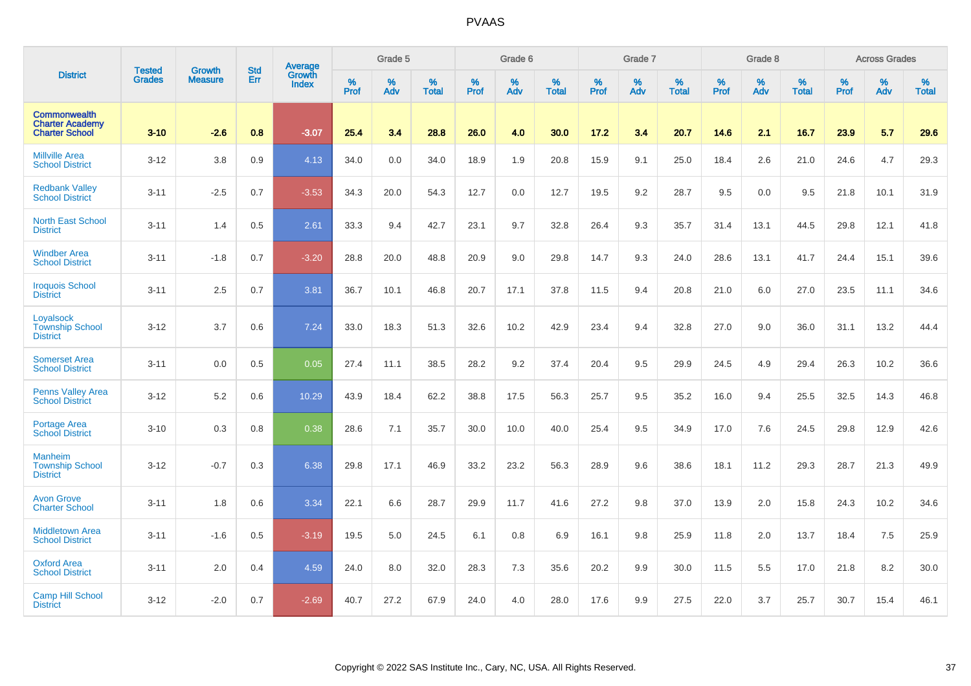|                                                                        | <b>Tested</b> | <b>Growth</b>  | <b>Std</b> | Average                       |              | Grade 5  |                   |           | Grade 6  |                   |           | Grade 7  |                   |           | Grade 8  |                   |           | <b>Across Grades</b> |                   |
|------------------------------------------------------------------------|---------------|----------------|------------|-------------------------------|--------------|----------|-------------------|-----------|----------|-------------------|-----------|----------|-------------------|-----------|----------|-------------------|-----------|----------------------|-------------------|
| <b>District</b>                                                        | <b>Grades</b> | <b>Measure</b> | Err        | <b>Growth</b><br><b>Index</b> | $\%$<br>Prof | %<br>Adv | %<br><b>Total</b> | %<br>Prof | %<br>Adv | %<br><b>Total</b> | %<br>Prof | %<br>Adv | %<br><b>Total</b> | %<br>Prof | %<br>Adv | %<br><b>Total</b> | %<br>Prof | %<br>Adv             | %<br><b>Total</b> |
| <b>Commonwealth</b><br><b>Charter Academy</b><br><b>Charter School</b> | $3 - 10$      | $-2.6$         | 0.8        | $-3.07$                       | 25.4         | 3.4      | 28.8              | 26.0      | 4.0      | 30.0              | 17.2      | 3.4      | 20.7              | 14.6      | 2.1      | 16.7              | 23.9      | 5.7                  | 29.6              |
| <b>Millville Area</b><br><b>School District</b>                        | $3 - 12$      | 3.8            | 0.9        | 4.13                          | 34.0         | 0.0      | 34.0              | 18.9      | 1.9      | 20.8              | 15.9      | 9.1      | 25.0              | 18.4      | 2.6      | 21.0              | 24.6      | 4.7                  | 29.3              |
| <b>Redbank Valley</b><br><b>School District</b>                        | $3 - 11$      | $-2.5$         | 0.7        | $-3.53$                       | 34.3         | 20.0     | 54.3              | 12.7      | 0.0      | 12.7              | 19.5      | 9.2      | 28.7              | 9.5       | 0.0      | 9.5               | 21.8      | 10.1                 | 31.9              |
| <b>North East School</b><br><b>District</b>                            | $3 - 11$      | 1.4            | 0.5        | 2.61                          | 33.3         | 9.4      | 42.7              | 23.1      | 9.7      | 32.8              | 26.4      | 9.3      | 35.7              | 31.4      | 13.1     | 44.5              | 29.8      | 12.1                 | 41.8              |
| <b>Windber Area</b><br><b>School District</b>                          | $3 - 11$      | $-1.8$         | 0.7        | $-3.20$                       | 28.8         | 20.0     | 48.8              | 20.9      | 9.0      | 29.8              | 14.7      | 9.3      | 24.0              | 28.6      | 13.1     | 41.7              | 24.4      | 15.1                 | 39.6              |
| <b>Iroquois School</b><br><b>District</b>                              | $3 - 11$      | 2.5            | 0.7        | 3.81                          | 36.7         | 10.1     | 46.8              | 20.7      | 17.1     | 37.8              | 11.5      | 9.4      | 20.8              | 21.0      | 6.0      | 27.0              | 23.5      | 11.1                 | 34.6              |
| Loyalsock<br><b>Township School</b><br><b>District</b>                 | $3 - 12$      | 3.7            | 0.6        | 7.24                          | 33.0         | 18.3     | 51.3              | 32.6      | 10.2     | 42.9              | 23.4      | 9.4      | 32.8              | 27.0      | 9.0      | 36.0              | 31.1      | 13.2                 | 44.4              |
| <b>Somerset Area</b><br><b>School District</b>                         | $3 - 11$      | 0.0            | 0.5        | 0.05                          | 27.4         | 11.1     | 38.5              | 28.2      | 9.2      | 37.4              | 20.4      | 9.5      | 29.9              | 24.5      | 4.9      | 29.4              | 26.3      | 10.2                 | 36.6              |
| <b>Penns Valley Area</b><br><b>School District</b>                     | $3 - 12$      | 5.2            | 0.6        | 10.29                         | 43.9         | 18.4     | 62.2              | 38.8      | 17.5     | 56.3              | 25.7      | 9.5      | 35.2              | 16.0      | 9.4      | 25.5              | 32.5      | 14.3                 | 46.8              |
| Portage Area<br><b>School District</b>                                 | $3 - 10$      | 0.3            | 0.8        | 0.38                          | 28.6         | 7.1      | 35.7              | 30.0      | 10.0     | 40.0              | 25.4      | 9.5      | 34.9              | 17.0      | 7.6      | 24.5              | 29.8      | 12.9                 | 42.6              |
| <b>Manheim</b><br><b>Township School</b><br><b>District</b>            | $3 - 12$      | $-0.7$         | 0.3        | 6.38                          | 29.8         | 17.1     | 46.9              | 33.2      | 23.2     | 56.3              | 28.9      | 9.6      | 38.6              | 18.1      | 11.2     | 29.3              | 28.7      | 21.3                 | 49.9              |
| <b>Avon Grove</b><br><b>Charter School</b>                             | $3 - 11$      | 1.8            | 0.6        | 3.34                          | 22.1         | 6.6      | 28.7              | 29.9      | 11.7     | 41.6              | 27.2      | 9.8      | 37.0              | 13.9      | 2.0      | 15.8              | 24.3      | 10.2                 | 34.6              |
| Middletown Area<br><b>School District</b>                              | $3 - 11$      | $-1.6$         | 0.5        | $-3.19$                       | 19.5         | 5.0      | 24.5              | 6.1       | 0.8      | 6.9               | 16.1      | 9.8      | 25.9              | 11.8      | 2.0      | 13.7              | 18.4      | 7.5                  | 25.9              |
| <b>Oxford Area</b><br><b>School District</b>                           | $3 - 11$      | 2.0            | 0.4        | 4.59                          | 24.0         | 8.0      | 32.0              | 28.3      | 7.3      | 35.6              | 20.2      | 9.9      | 30.0              | 11.5      | 5.5      | 17.0              | 21.8      | 8.2                  | 30.0              |
| <b>Camp Hill School</b><br><b>District</b>                             | $3 - 12$      | $-2.0$         | 0.7        | $-2.69$                       | 40.7         | 27.2     | 67.9              | 24.0      | 4.0      | 28.0              | 17.6      | 9.9      | 27.5              | 22.0      | 3.7      | 25.7              | 30.7      | 15.4                 | 46.1              |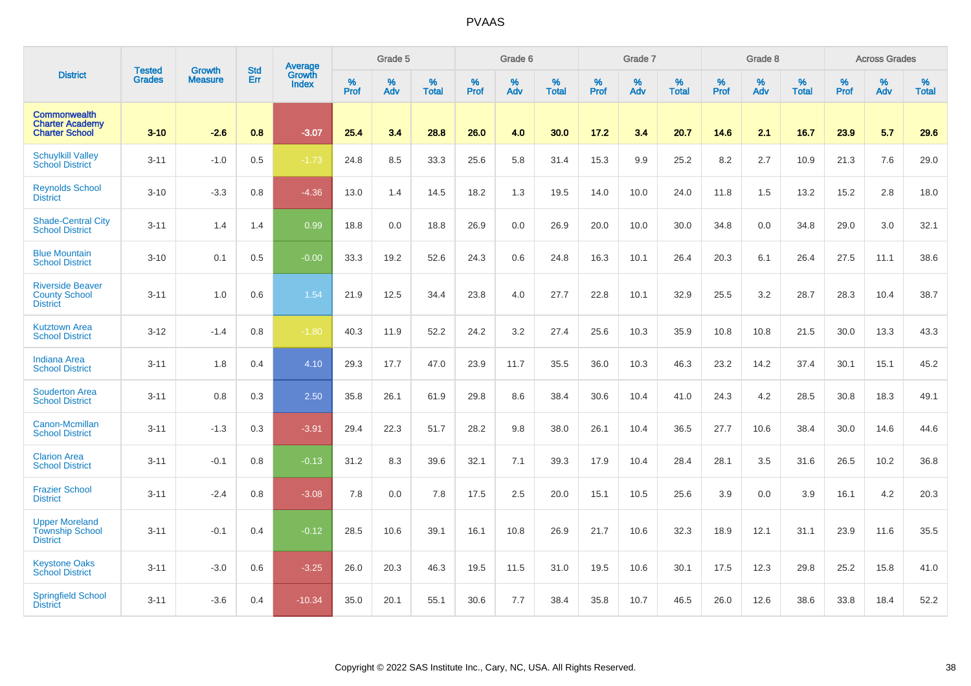|                                                                        | <b>Tested</b> | <b>Growth</b>  | <b>Std</b> | Average                |           | Grade 5  |                   |           | Grade 6  |                   |           | Grade 7  |                   |           | Grade 8  |                   |           | <b>Across Grades</b> |                   |
|------------------------------------------------------------------------|---------------|----------------|------------|------------------------|-----------|----------|-------------------|-----------|----------|-------------------|-----------|----------|-------------------|-----------|----------|-------------------|-----------|----------------------|-------------------|
| <b>District</b>                                                        | <b>Grades</b> | <b>Measure</b> | Err        | <b>Growth</b><br>Index | %<br>Prof | %<br>Adv | %<br><b>Total</b> | %<br>Prof | %<br>Adv | %<br><b>Total</b> | %<br>Prof | %<br>Adv | %<br><b>Total</b> | %<br>Prof | %<br>Adv | %<br><b>Total</b> | %<br>Prof | %<br>Adv             | %<br><b>Total</b> |
| <b>Commonwealth</b><br><b>Charter Academy</b><br><b>Charter School</b> | $3 - 10$      | $-2.6$         | 0.8        | $-3.07$                | 25.4      | 3.4      | 28.8              | 26.0      | 4.0      | 30.0              | 17.2      | 3.4      | 20.7              | 14.6      | 2.1      | 16.7              | 23.9      | 5.7                  | 29.6              |
| <b>Schuylkill Valley</b><br><b>School District</b>                     | $3 - 11$      | $-1.0$         | 0.5        | $-1.73$                | 24.8      | 8.5      | 33.3              | 25.6      | 5.8      | 31.4              | 15.3      | 9.9      | 25.2              | 8.2       | 2.7      | 10.9              | 21.3      | 7.6                  | 29.0              |
| <b>Reynolds School</b><br><b>District</b>                              | $3 - 10$      | $-3.3$         | 0.8        | $-4.36$                | 13.0      | 1.4      | 14.5              | 18.2      | 1.3      | 19.5              | 14.0      | 10.0     | 24.0              | 11.8      | 1.5      | 13.2              | 15.2      | 2.8                  | 18.0              |
| <b>Shade-Central City</b><br><b>School District</b>                    | $3 - 11$      | 1.4            | 1.4        | 0.99                   | 18.8      | 0.0      | 18.8              | 26.9      | 0.0      | 26.9              | 20.0      | 10.0     | 30.0              | 34.8      | 0.0      | 34.8              | 29.0      | 3.0                  | 32.1              |
| <b>Blue Mountain</b><br><b>School District</b>                         | $3 - 10$      | 0.1            | 0.5        | $-0.00$                | 33.3      | 19.2     | 52.6              | 24.3      | 0.6      | 24.8              | 16.3      | 10.1     | 26.4              | 20.3      | 6.1      | 26.4              | 27.5      | 11.1                 | 38.6              |
| <b>Riverside Beaver</b><br><b>County School</b><br><b>District</b>     | $3 - 11$      | 1.0            | 0.6        | 1.54                   | 21.9      | 12.5     | 34.4              | 23.8      | 4.0      | 27.7              | 22.8      | 10.1     | 32.9              | 25.5      | 3.2      | 28.7              | 28.3      | 10.4                 | 38.7              |
| <b>Kutztown Area</b><br><b>School District</b>                         | $3 - 12$      | $-1.4$         | 0.8        | $-1.80$                | 40.3      | 11.9     | 52.2              | 24.2      | 3.2      | 27.4              | 25.6      | 10.3     | 35.9              | 10.8      | 10.8     | 21.5              | 30.0      | 13.3                 | 43.3              |
| <b>Indiana Area</b><br><b>School District</b>                          | $3 - 11$      | 1.8            | 0.4        | 4.10                   | 29.3      | 17.7     | 47.0              | 23.9      | 11.7     | 35.5              | 36.0      | 10.3     | 46.3              | 23.2      | 14.2     | 37.4              | 30.1      | 15.1                 | 45.2              |
| <b>Souderton Area</b><br><b>School District</b>                        | $3 - 11$      | 0.8            | 0.3        | 2.50                   | 35.8      | 26.1     | 61.9              | 29.8      | 8.6      | 38.4              | 30.6      | 10.4     | 41.0              | 24.3      | 4.2      | 28.5              | 30.8      | 18.3                 | 49.1              |
| Canon-Mcmillan<br><b>School District</b>                               | $3 - 11$      | $-1.3$         | 0.3        | $-3.91$                | 29.4      | 22.3     | 51.7              | 28.2      | 9.8      | 38.0              | 26.1      | 10.4     | 36.5              | 27.7      | 10.6     | 38.4              | 30.0      | 14.6                 | 44.6              |
| <b>Clarion Area</b><br><b>School District</b>                          | $3 - 11$      | $-0.1$         | 0.8        | $-0.13$                | 31.2      | 8.3      | 39.6              | 32.1      | 7.1      | 39.3              | 17.9      | 10.4     | 28.4              | 28.1      | 3.5      | 31.6              | 26.5      | 10.2                 | 36.8              |
| <b>Frazier School</b><br><b>District</b>                               | $3 - 11$      | $-2.4$         | 0.8        | $-3.08$                | 7.8       | 0.0      | 7.8               | 17.5      | 2.5      | 20.0              | 15.1      | 10.5     | 25.6              | 3.9       | 0.0      | 3.9               | 16.1      | 4.2                  | 20.3              |
| <b>Upper Moreland</b><br><b>Township School</b><br><b>District</b>     | $3 - 11$      | $-0.1$         | 0.4        | $-0.12$                | 28.5      | 10.6     | 39.1              | 16.1      | 10.8     | 26.9              | 21.7      | 10.6     | 32.3              | 18.9      | 12.1     | 31.1              | 23.9      | 11.6                 | 35.5              |
| <b>Keystone Oaks</b><br><b>School District</b>                         | $3 - 11$      | $-3.0$         | 0.6        | $-3.25$                | 26.0      | 20.3     | 46.3              | 19.5      | 11.5     | 31.0              | 19.5      | 10.6     | 30.1              | 17.5      | 12.3     | 29.8              | 25.2      | 15.8                 | 41.0              |
| <b>Springfield School</b><br><b>District</b>                           | $3 - 11$      | $-3.6$         | 0.4        | $-10.34$               | 35.0      | 20.1     | 55.1              | 30.6      | 7.7      | 38.4              | 35.8      | 10.7     | 46.5              | 26.0      | 12.6     | 38.6              | 33.8      | 18.4                 | 52.2              |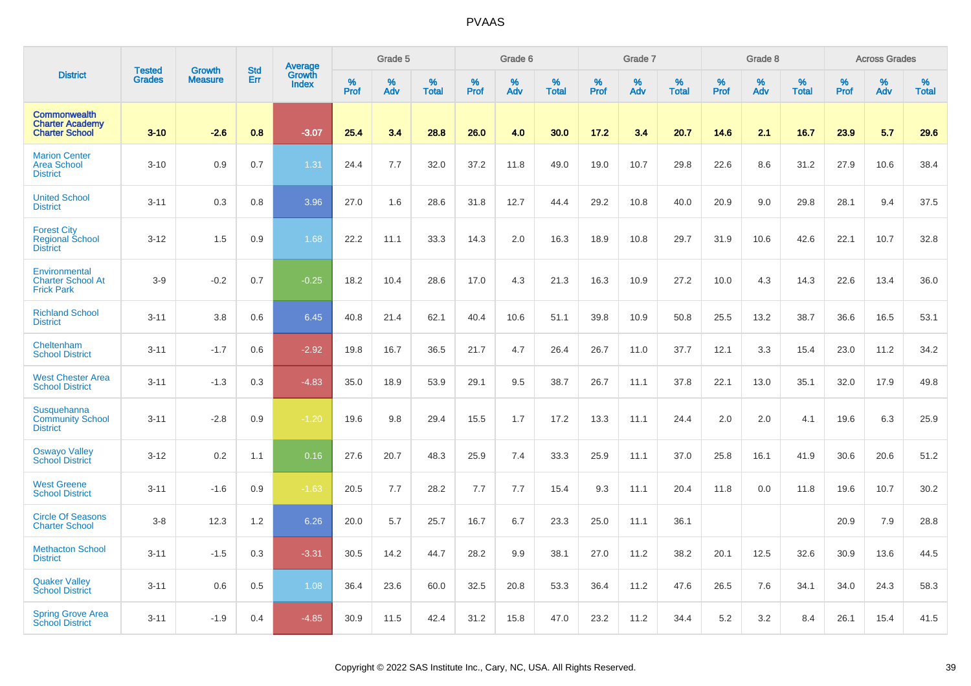|                                                                        | <b>Tested</b> | <b>Growth</b>  | <b>Std</b> | Average                |           | Grade 5  |                   |           | Grade 6  |                   |           | Grade 7  |                   |           | Grade 8  |                   |           | <b>Across Grades</b> |                   |
|------------------------------------------------------------------------|---------------|----------------|------------|------------------------|-----------|----------|-------------------|-----------|----------|-------------------|-----------|----------|-------------------|-----------|----------|-------------------|-----------|----------------------|-------------------|
| <b>District</b>                                                        | <b>Grades</b> | <b>Measure</b> | Err        | Growth<br><b>Index</b> | %<br>Prof | %<br>Adv | %<br><b>Total</b> | %<br>Prof | %<br>Adv | %<br><b>Total</b> | %<br>Prof | %<br>Adv | %<br><b>Total</b> | %<br>Prof | %<br>Adv | %<br><b>Total</b> | %<br>Prof | %<br>Adv             | %<br><b>Total</b> |
| <b>Commonwealth</b><br><b>Charter Academy</b><br><b>Charter School</b> | $3 - 10$      | $-2.6$         | 0.8        | $-3.07$                | 25.4      | 3.4      | 28.8              | 26.0      | 4.0      | 30.0              | 17.2      | 3.4      | 20.7              | 14.6      | 2.1      | 16.7              | 23.9      | 5.7                  | 29.6              |
| <b>Marion Center</b><br><b>Area School</b><br><b>District</b>          | $3 - 10$      | 0.9            | 0.7        | 1.31                   | 24.4      | 7.7      | 32.0              | 37.2      | 11.8     | 49.0              | 19.0      | 10.7     | 29.8              | 22.6      | 8.6      | 31.2              | 27.9      | 10.6                 | 38.4              |
| <b>United School</b><br><b>District</b>                                | $3 - 11$      | 0.3            | 0.8        | 3.96                   | 27.0      | 1.6      | 28.6              | 31.8      | 12.7     | 44.4              | 29.2      | 10.8     | 40.0              | 20.9      | 9.0      | 29.8              | 28.1      | 9.4                  | 37.5              |
| <b>Forest City</b><br>Regional School<br><b>District</b>               | $3 - 12$      | 1.5            | 0.9        | 1.68                   | 22.2      | 11.1     | 33.3              | 14.3      | 2.0      | 16.3              | 18.9      | 10.8     | 29.7              | 31.9      | 10.6     | 42.6              | 22.1      | 10.7                 | 32.8              |
| Environmental<br><b>Charter School At</b><br><b>Frick Park</b>         | $3-9$         | $-0.2$         | 0.7        | $-0.25$                | 18.2      | 10.4     | 28.6              | 17.0      | 4.3      | 21.3              | 16.3      | 10.9     | 27.2              | 10.0      | 4.3      | 14.3              | 22.6      | 13.4                 | 36.0              |
| <b>Richland School</b><br><b>District</b>                              | $3 - 11$      | 3.8            | 0.6        | 6.45                   | 40.8      | 21.4     | 62.1              | 40.4      | 10.6     | 51.1              | 39.8      | 10.9     | 50.8              | 25.5      | 13.2     | 38.7              | 36.6      | 16.5                 | 53.1              |
| Cheltenham<br><b>School District</b>                                   | $3 - 11$      | $-1.7$         | 0.6        | $-2.92$                | 19.8      | 16.7     | 36.5              | 21.7      | 4.7      | 26.4              | 26.7      | 11.0     | 37.7              | 12.1      | 3.3      | 15.4              | 23.0      | 11.2                 | 34.2              |
| <b>West Chester Area</b><br><b>School District</b>                     | $3 - 11$      | $-1.3$         | 0.3        | $-4.83$                | 35.0      | 18.9     | 53.9              | 29.1      | 9.5      | 38.7              | 26.7      | 11.1     | 37.8              | 22.1      | 13.0     | 35.1              | 32.0      | 17.9                 | 49.8              |
| Susquehanna<br><b>Community School</b><br><b>District</b>              | $3 - 11$      | $-2.8$         | 0.9        | $-1.20$                | 19.6      | 9.8      | 29.4              | 15.5      | 1.7      | 17.2              | 13.3      | 11.1     | 24.4              | 2.0       | 2.0      | 4.1               | 19.6      | 6.3                  | 25.9              |
| <b>Oswayo Valley</b><br>School District                                | $3 - 12$      | 0.2            | 1.1        | 0.16                   | 27.6      | 20.7     | 48.3              | 25.9      | 7.4      | 33.3              | 25.9      | 11.1     | 37.0              | 25.8      | 16.1     | 41.9              | 30.6      | 20.6                 | 51.2              |
| <b>West Greene</b><br><b>School District</b>                           | $3 - 11$      | $-1.6$         | 0.9        | $-1.63$                | 20.5      | 7.7      | 28.2              | 7.7       | 7.7      | 15.4              | 9.3       | 11.1     | 20.4              | 11.8      | 0.0      | 11.8              | 19.6      | 10.7                 | 30.2              |
| <b>Circle Of Seasons</b><br><b>Charter School</b>                      | $3 - 8$       | 12.3           | 1.2        | 6.26                   | 20.0      | 5.7      | 25.7              | 16.7      | 6.7      | 23.3              | 25.0      | 11.1     | 36.1              |           |          |                   | 20.9      | 7.9                  | 28.8              |
| <b>Methacton School</b><br><b>District</b>                             | $3 - 11$      | $-1.5$         | 0.3        | $-3.31$                | 30.5      | 14.2     | 44.7              | 28.2      | 9.9      | 38.1              | 27.0      | 11.2     | 38.2              | 20.1      | 12.5     | 32.6              | 30.9      | 13.6                 | 44.5              |
| <b>Quaker Valley</b><br><b>School District</b>                         | $3 - 11$      | 0.6            | 0.5        | 1.08                   | 36.4      | 23.6     | 60.0              | 32.5      | 20.8     | 53.3              | 36.4      | 11.2     | 47.6              | 26.5      | 7.6      | 34.1              | 34.0      | 24.3                 | 58.3              |
| <b>Spring Grove Area</b><br><b>School District</b>                     | $3 - 11$      | $-1.9$         | 0.4        | $-4.85$                | 30.9      | 11.5     | 42.4              | 31.2      | 15.8     | 47.0              | 23.2      | 11.2     | 34.4              | 5.2       | 3.2      | 8.4               | 26.1      | 15.4                 | 41.5              |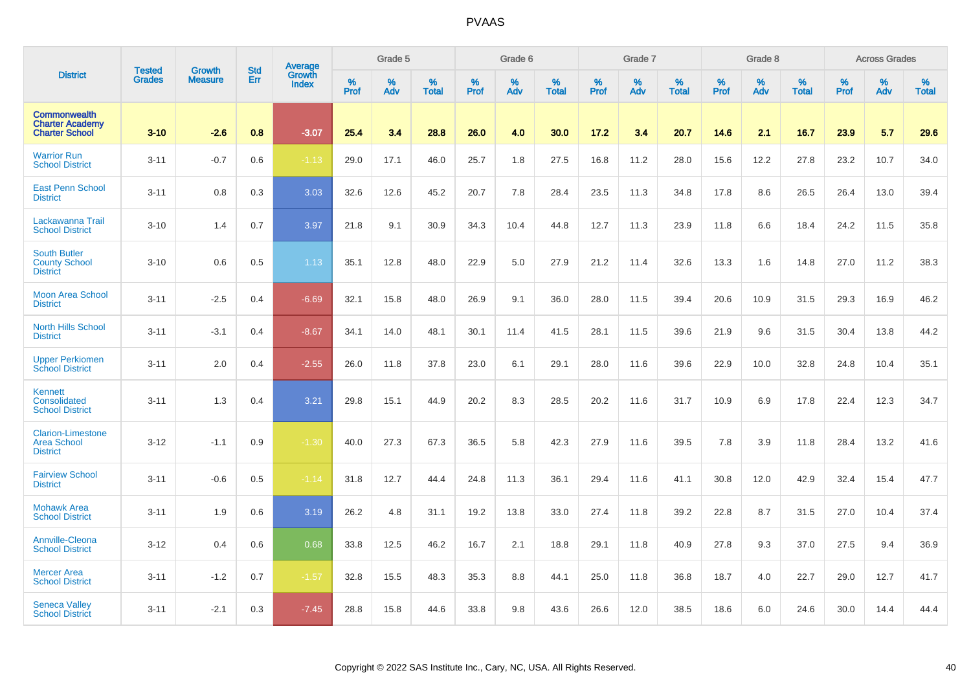|                                                                        |                                |                                 | <b>Std</b> | Average         |              | Grade 5  |                   |           | Grade 6  |                   |              | Grade 7  |                   |           | Grade 8  |                   |           | <b>Across Grades</b> |                   |
|------------------------------------------------------------------------|--------------------------------|---------------------------------|------------|-----------------|--------------|----------|-------------------|-----------|----------|-------------------|--------------|----------|-------------------|-----------|----------|-------------------|-----------|----------------------|-------------------|
| <b>District</b>                                                        | <b>Tested</b><br><b>Grades</b> | <b>Growth</b><br><b>Measure</b> | Err        | Growth<br>Index | $\%$<br>Prof | %<br>Adv | %<br><b>Total</b> | %<br>Prof | %<br>Adv | %<br><b>Total</b> | $\%$<br>Prof | %<br>Adv | %<br><b>Total</b> | %<br>Prof | %<br>Adv | %<br><b>Total</b> | %<br>Prof | %<br>Adv             | %<br><b>Total</b> |
| <b>Commonwealth</b><br><b>Charter Academy</b><br><b>Charter School</b> | $3 - 10$                       | $-2.6$                          | 0.8        | $-3.07$         | 25.4         | 3.4      | 28.8              | 26.0      | 4.0      | 30.0              | 17.2         | 3.4      | 20.7              | 14.6      | 2.1      | 16.7              | 23.9      | 5.7                  | 29.6              |
| <b>Warrior Run</b><br><b>School District</b>                           | $3 - 11$                       | $-0.7$                          | 0.6        | $-1.13$         | 29.0         | 17.1     | 46.0              | 25.7      | 1.8      | 27.5              | 16.8         | 11.2     | 28.0              | 15.6      | 12.2     | 27.8              | 23.2      | 10.7                 | 34.0              |
| <b>East Penn School</b><br><b>District</b>                             | $3 - 11$                       | 0.8                             | 0.3        | 3.03            | 32.6         | 12.6     | 45.2              | 20.7      | 7.8      | 28.4              | 23.5         | 11.3     | 34.8              | 17.8      | 8.6      | 26.5              | 26.4      | 13.0                 | 39.4              |
| Lackawanna Trail<br><b>School District</b>                             | $3 - 10$                       | 1.4                             | 0.7        | 3.97            | 21.8         | 9.1      | 30.9              | 34.3      | 10.4     | 44.8              | 12.7         | 11.3     | 23.9              | 11.8      | 6.6      | 18.4              | 24.2      | 11.5                 | 35.8              |
| <b>South Butler</b><br><b>County School</b><br><b>District</b>         | $3 - 10$                       | 0.6                             | 0.5        | 1.13            | 35.1         | 12.8     | 48.0              | 22.9      | 5.0      | 27.9              | 21.2         | 11.4     | 32.6              | 13.3      | 1.6      | 14.8              | 27.0      | 11.2                 | 38.3              |
| <b>Moon Area School</b><br><b>District</b>                             | $3 - 11$                       | $-2.5$                          | 0.4        | $-6.69$         | 32.1         | 15.8     | 48.0              | 26.9      | 9.1      | 36.0              | 28.0         | 11.5     | 39.4              | 20.6      | 10.9     | 31.5              | 29.3      | 16.9                 | 46.2              |
| <b>North Hills School</b><br><b>District</b>                           | $3 - 11$                       | $-3.1$                          | 0.4        | $-8.67$         | 34.1         | 14.0     | 48.1              | 30.1      | 11.4     | 41.5              | 28.1         | 11.5     | 39.6              | 21.9      | 9.6      | 31.5              | 30.4      | 13.8                 | 44.2              |
| <b>Upper Perkiomen</b><br><b>School District</b>                       | $3 - 11$                       | 2.0                             | 0.4        | $-2.55$         | 26.0         | 11.8     | 37.8              | 23.0      | 6.1      | 29.1              | 28.0         | 11.6     | 39.6              | 22.9      | 10.0     | 32.8              | 24.8      | 10.4                 | 35.1              |
| Kennett<br>Consolidated<br><b>School District</b>                      | $3 - 11$                       | 1.3                             | 0.4        | 3.21            | 29.8         | 15.1     | 44.9              | 20.2      | 8.3      | 28.5              | 20.2         | 11.6     | 31.7              | 10.9      | 6.9      | 17.8              | 22.4      | 12.3                 | 34.7              |
| <b>Clarion-Limestone</b><br><b>Area School</b><br><b>District</b>      | $3 - 12$                       | $-1.1$                          | 0.9        | $-1.30$         | 40.0         | 27.3     | 67.3              | 36.5      | 5.8      | 42.3              | 27.9         | 11.6     | 39.5              | 7.8       | 3.9      | 11.8              | 28.4      | 13.2                 | 41.6              |
| <b>Fairview School</b><br><b>District</b>                              | $3 - 11$                       | $-0.6$                          | 0.5        | $-1.14$         | 31.8         | 12.7     | 44.4              | 24.8      | 11.3     | 36.1              | 29.4         | 11.6     | 41.1              | 30.8      | 12.0     | 42.9              | 32.4      | 15.4                 | 47.7              |
| <b>Mohawk Area</b><br><b>School District</b>                           | $3 - 11$                       | 1.9                             | 0.6        | 3.19            | 26.2         | 4.8      | 31.1              | 19.2      | 13.8     | 33.0              | 27.4         | 11.8     | 39.2              | 22.8      | 8.7      | 31.5              | 27.0      | 10.4                 | 37.4              |
| Annville-Cleona<br><b>School District</b>                              | $3 - 12$                       | 0.4                             | 0.6        | 0.68            | 33.8         | 12.5     | 46.2              | 16.7      | 2.1      | 18.8              | 29.1         | 11.8     | 40.9              | 27.8      | 9.3      | 37.0              | 27.5      | 9.4                  | 36.9              |
| <b>Mercer Area</b><br><b>School District</b>                           | $3 - 11$                       | $-1.2$                          | 0.7        | $-1.57$         | 32.8         | 15.5     | 48.3              | 35.3      | 8.8      | 44.1              | 25.0         | 11.8     | 36.8              | 18.7      | 4.0      | 22.7              | 29.0      | 12.7                 | 41.7              |
| <b>Seneca Valley</b><br><b>School District</b>                         | $3 - 11$                       | $-2.1$                          | 0.3        | $-7.45$         | 28.8         | 15.8     | 44.6              | 33.8      | 9.8      | 43.6              | 26.6         | 12.0     | 38.5              | 18.6      | 6.0      | 24.6              | 30.0      | 14.4                 | 44.4              |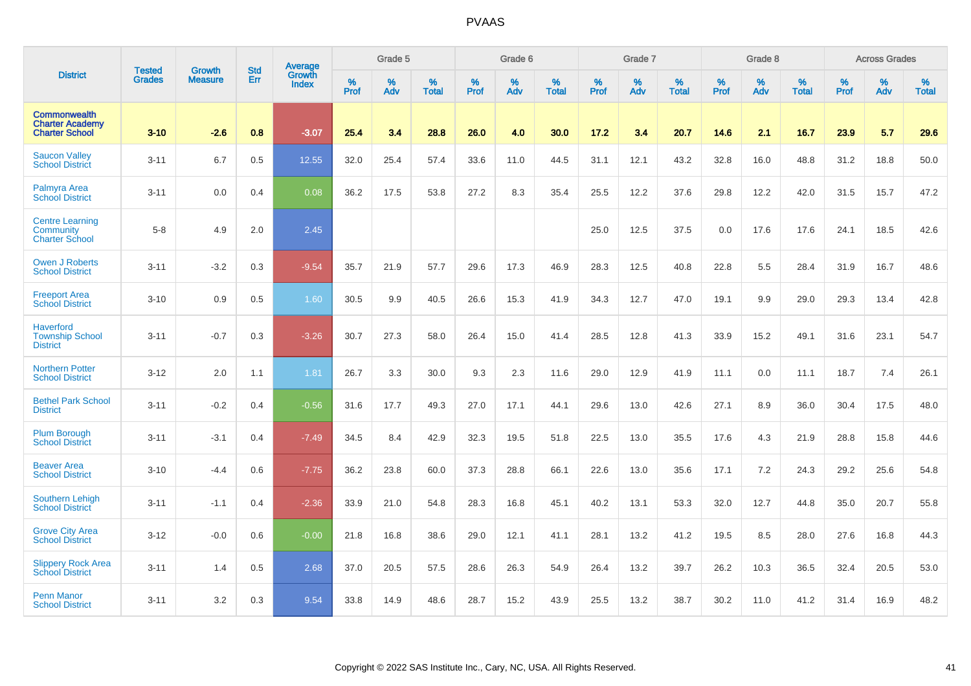|                                                                        | <b>Tested</b> | <b>Growth</b>  | <b>Std</b> | Average                       |           | Grade 5  |                   |           | Grade 6  |                   |           | Grade 7  |                   |           | Grade 8  |                   |           | <b>Across Grades</b> |                   |
|------------------------------------------------------------------------|---------------|----------------|------------|-------------------------------|-----------|----------|-------------------|-----------|----------|-------------------|-----------|----------|-------------------|-----------|----------|-------------------|-----------|----------------------|-------------------|
| <b>District</b>                                                        | <b>Grades</b> | <b>Measure</b> | Err        | <b>Growth</b><br><b>Index</b> | %<br>Prof | %<br>Adv | %<br><b>Total</b> | %<br>Prof | %<br>Adv | %<br><b>Total</b> | %<br>Prof | %<br>Adv | %<br><b>Total</b> | %<br>Prof | %<br>Adv | %<br><b>Total</b> | %<br>Prof | %<br>Adv             | %<br><b>Total</b> |
| <b>Commonwealth</b><br><b>Charter Academy</b><br><b>Charter School</b> | $3 - 10$      | $-2.6$         | 0.8        | $-3.07$                       | 25.4      | 3.4      | 28.8              | 26.0      | 4.0      | 30.0              | 17.2      | 3.4      | 20.7              | 14.6      | 2.1      | 16.7              | 23.9      | 5.7                  | 29.6              |
| <b>Saucon Valley</b><br><b>School District</b>                         | $3 - 11$      | 6.7            | 0.5        | 12.55                         | 32.0      | 25.4     | 57.4              | 33.6      | 11.0     | 44.5              | 31.1      | 12.1     | 43.2              | 32.8      | 16.0     | 48.8              | 31.2      | 18.8                 | 50.0              |
| <b>Palmyra Area</b><br><b>School District</b>                          | $3 - 11$      | 0.0            | 0.4        | 0.08                          | 36.2      | 17.5     | 53.8              | 27.2      | 8.3      | 35.4              | 25.5      | 12.2     | 37.6              | 29.8      | 12.2     | 42.0              | 31.5      | 15.7                 | 47.2              |
| <b>Centre Learning</b><br>Community<br><b>Charter School</b>           | $5-8$         | 4.9            | 2.0        | 2.45                          |           |          |                   |           |          |                   | 25.0      | 12.5     | 37.5              | 0.0       | 17.6     | 17.6              | 24.1      | 18.5                 | 42.6              |
| <b>Owen J Roberts</b><br><b>School District</b>                        | $3 - 11$      | $-3.2$         | 0.3        | $-9.54$                       | 35.7      | 21.9     | 57.7              | 29.6      | 17.3     | 46.9              | 28.3      | 12.5     | 40.8              | 22.8      | 5.5      | 28.4              | 31.9      | 16.7                 | 48.6              |
| <b>Freeport Area</b><br><b>School District</b>                         | $3 - 10$      | 0.9            | 0.5        | 1.60                          | 30.5      | 9.9      | 40.5              | 26.6      | 15.3     | 41.9              | 34.3      | 12.7     | 47.0              | 19.1      | 9.9      | 29.0              | 29.3      | 13.4                 | 42.8              |
| <b>Haverford</b><br><b>Township School</b><br><b>District</b>          | $3 - 11$      | $-0.7$         | 0.3        | $-3.26$                       | 30.7      | 27.3     | 58.0              | 26.4      | 15.0     | 41.4              | 28.5      | 12.8     | 41.3              | 33.9      | 15.2     | 49.1              | 31.6      | 23.1                 | 54.7              |
| <b>Northern Potter</b><br><b>School District</b>                       | $3 - 12$      | 2.0            | 1.1        | 1.81                          | 26.7      | 3.3      | 30.0              | 9.3       | 2.3      | 11.6              | 29.0      | 12.9     | 41.9              | 11.1      | 0.0      | 11.1              | 18.7      | 7.4                  | 26.1              |
| <b>Bethel Park School</b><br><b>District</b>                           | $3 - 11$      | $-0.2$         | 0.4        | $-0.56$                       | 31.6      | 17.7     | 49.3              | 27.0      | 17.1     | 44.1              | 29.6      | 13.0     | 42.6              | 27.1      | 8.9      | 36.0              | 30.4      | 17.5                 | 48.0              |
| <b>Plum Borough</b><br><b>School District</b>                          | $3 - 11$      | $-3.1$         | 0.4        | $-7.49$                       | 34.5      | 8.4      | 42.9              | 32.3      | 19.5     | 51.8              | 22.5      | 13.0     | 35.5              | 17.6      | 4.3      | 21.9              | 28.8      | 15.8                 | 44.6              |
| <b>Beaver Area</b><br><b>School District</b>                           | $3 - 10$      | $-4.4$         | 0.6        | $-7.75$                       | 36.2      | 23.8     | 60.0              | 37.3      | 28.8     | 66.1              | 22.6      | 13.0     | 35.6              | 17.1      | 7.2      | 24.3              | 29.2      | 25.6                 | 54.8              |
| Southern Lehigh<br><b>School District</b>                              | $3 - 11$      | $-1.1$         | 0.4        | $-2.36$                       | 33.9      | 21.0     | 54.8              | 28.3      | 16.8     | 45.1              | 40.2      | 13.1     | 53.3              | 32.0      | 12.7     | 44.8              | 35.0      | 20.7                 | 55.8              |
| <b>Grove City Area</b><br><b>School District</b>                       | $3 - 12$      | $-0.0$         | 0.6        | $-0.00$                       | 21.8      | 16.8     | 38.6              | 29.0      | 12.1     | 41.1              | 28.1      | 13.2     | 41.2              | 19.5      | 8.5      | 28.0              | 27.6      | 16.8                 | 44.3              |
| <b>Slippery Rock Area</b><br><b>School District</b>                    | $3 - 11$      | 1.4            | 0.5        | 2.68                          | 37.0      | 20.5     | 57.5              | 28.6      | 26.3     | 54.9              | 26.4      | 13.2     | 39.7              | 26.2      | 10.3     | 36.5              | 32.4      | 20.5                 | 53.0              |
| <b>Penn Manor</b><br><b>School District</b>                            | $3 - 11$      | 3.2            | 0.3        | 9.54                          | 33.8      | 14.9     | 48.6              | 28.7      | 15.2     | 43.9              | 25.5      | 13.2     | 38.7              | 30.2      | 11.0     | 41.2              | 31.4      | 16.9                 | 48.2              |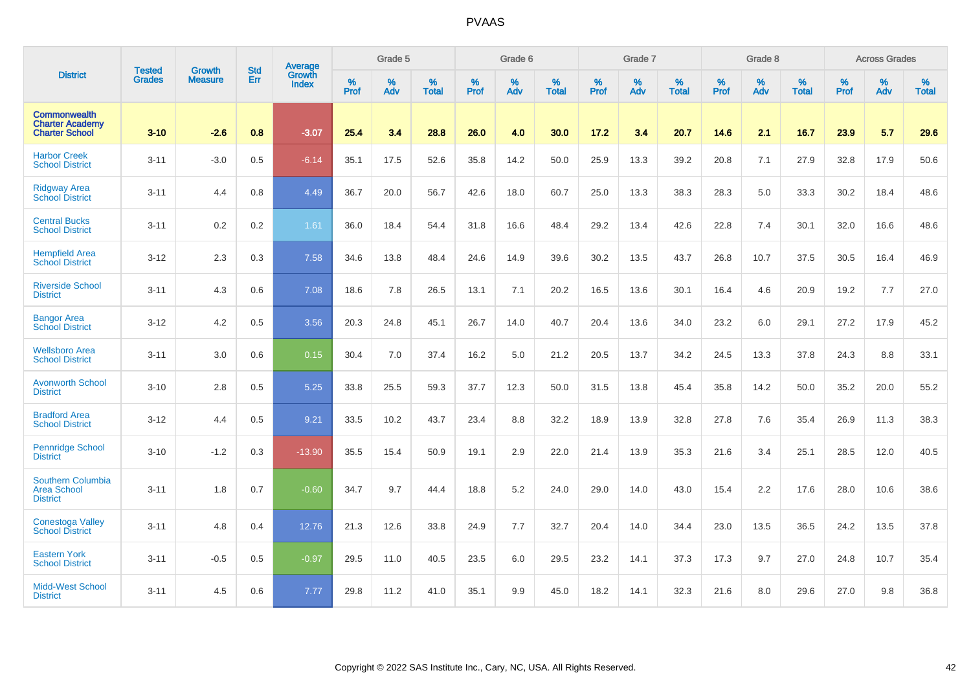|                                                                        | <b>Tested</b> | <b>Growth</b>  | <b>Std</b> | Average         |                  | Grade 5  |                   |           | Grade 6  |                   |           | Grade 7  |                   |           | Grade 8  |                   |                  | <b>Across Grades</b> |                   |
|------------------------------------------------------------------------|---------------|----------------|------------|-----------------|------------------|----------|-------------------|-----------|----------|-------------------|-----------|----------|-------------------|-----------|----------|-------------------|------------------|----------------------|-------------------|
| <b>District</b>                                                        | <b>Grades</b> | <b>Measure</b> | Err        | Growth<br>Index | %<br><b>Prof</b> | %<br>Adv | %<br><b>Total</b> | %<br>Prof | %<br>Adv | %<br><b>Total</b> | %<br>Prof | %<br>Adv | %<br><b>Total</b> | %<br>Prof | %<br>Adv | %<br><b>Total</b> | %<br><b>Prof</b> | %<br>Adv             | %<br><b>Total</b> |
| <b>Commonwealth</b><br><b>Charter Academy</b><br><b>Charter School</b> | $3 - 10$      | $-2.6$         | 0.8        | $-3.07$         | 25.4             | 3.4      | 28.8              | 26.0      | 4.0      | 30.0              | 17.2      | 3.4      | 20.7              | 14.6      | 2.1      | 16.7              | 23.9             | 5.7                  | 29.6              |
| <b>Harbor Creek</b><br><b>School District</b>                          | $3 - 11$      | $-3.0$         | 0.5        | $-6.14$         | 35.1             | 17.5     | 52.6              | 35.8      | 14.2     | 50.0              | 25.9      | 13.3     | 39.2              | 20.8      | 7.1      | 27.9              | 32.8             | 17.9                 | 50.6              |
| <b>Ridgway Area</b><br><b>School District</b>                          | $3 - 11$      | 4.4            | 0.8        | 4.49            | 36.7             | 20.0     | 56.7              | 42.6      | 18.0     | 60.7              | 25.0      | 13.3     | 38.3              | 28.3      | 5.0      | 33.3              | 30.2             | 18.4                 | 48.6              |
| <b>Central Bucks</b><br><b>School District</b>                         | $3 - 11$      | 0.2            | 0.2        | 1.61            | 36.0             | 18.4     | 54.4              | 31.8      | 16.6     | 48.4              | 29.2      | 13.4     | 42.6              | 22.8      | 7.4      | 30.1              | 32.0             | 16.6                 | 48.6              |
| <b>Hempfield Area</b><br><b>School District</b>                        | $3 - 12$      | 2.3            | 0.3        | 7.58            | 34.6             | 13.8     | 48.4              | 24.6      | 14.9     | 39.6              | 30.2      | 13.5     | 43.7              | 26.8      | 10.7     | 37.5              | 30.5             | 16.4                 | 46.9              |
| <b>Riverside School</b><br><b>District</b>                             | $3 - 11$      | 4.3            | 0.6        | 7.08            | 18.6             | 7.8      | 26.5              | 13.1      | 7.1      | 20.2              | 16.5      | 13.6     | 30.1              | 16.4      | 4.6      | 20.9              | 19.2             | 7.7                  | 27.0              |
| <b>Bangor Area</b><br><b>School District</b>                           | $3 - 12$      | 4.2            | 0.5        | 3.56            | 20.3             | 24.8     | 45.1              | 26.7      | 14.0     | 40.7              | 20.4      | 13.6     | 34.0              | 23.2      | 6.0      | 29.1              | 27.2             | 17.9                 | 45.2              |
| <b>Wellsboro Area</b><br><b>School District</b>                        | $3 - 11$      | 3.0            | 0.6        | 0.15            | 30.4             | 7.0      | 37.4              | 16.2      | 5.0      | 21.2              | 20.5      | 13.7     | 34.2              | 24.5      | 13.3     | 37.8              | 24.3             | 8.8                  | 33.1              |
| <b>Avonworth School</b><br><b>District</b>                             | $3 - 10$      | 2.8            | 0.5        | 5.25            | 33.8             | 25.5     | 59.3              | 37.7      | 12.3     | 50.0              | 31.5      | 13.8     | 45.4              | 35.8      | 14.2     | 50.0              | 35.2             | 20.0                 | 55.2              |
| <b>Bradford Area</b><br><b>School District</b>                         | $3 - 12$      | 4.4            | 0.5        | 9.21            | 33.5             | 10.2     | 43.7              | 23.4      | 8.8      | 32.2              | 18.9      | 13.9     | 32.8              | 27.8      | 7.6      | 35.4              | 26.9             | 11.3                 | 38.3              |
| <b>Pennridge School</b><br><b>District</b>                             | $3 - 10$      | $-1.2$         | 0.3        | $-13.90$        | 35.5             | 15.4     | 50.9              | 19.1      | 2.9      | 22.0              | 21.4      | 13.9     | 35.3              | 21.6      | 3.4      | 25.1              | 28.5             | 12.0                 | 40.5              |
| Southern Columbia<br><b>Area School</b><br><b>District</b>             | $3 - 11$      | 1.8            | 0.7        | $-0.60$         | 34.7             | 9.7      | 44.4              | 18.8      | 5.2      | 24.0              | 29.0      | 14.0     | 43.0              | 15.4      | 2.2      | 17.6              | 28.0             | 10.6                 | 38.6              |
| Conestoga Valley<br><b>School District</b>                             | $3 - 11$      | 4.8            | 0.4        | 12.76           | 21.3             | 12.6     | 33.8              | 24.9      | 7.7      | 32.7              | 20.4      | 14.0     | 34.4              | 23.0      | 13.5     | 36.5              | 24.2             | 13.5                 | 37.8              |
| <b>Eastern York</b><br><b>School District</b>                          | $3 - 11$      | $-0.5$         | 0.5        | $-0.97$         | 29.5             | 11.0     | 40.5              | 23.5      | 6.0      | 29.5              | 23.2      | 14.1     | 37.3              | 17.3      | 9.7      | 27.0              | 24.8             | 10.7                 | 35.4              |
| <b>Midd-West School</b><br><b>District</b>                             | $3 - 11$      | 4.5            | 0.6        | 7.77            | 29.8             | 11.2     | 41.0              | 35.1      | 9.9      | 45.0              | 18.2      | 14.1     | 32.3              | 21.6      | 8.0      | 29.6              | 27.0             | 9.8                  | 36.8              |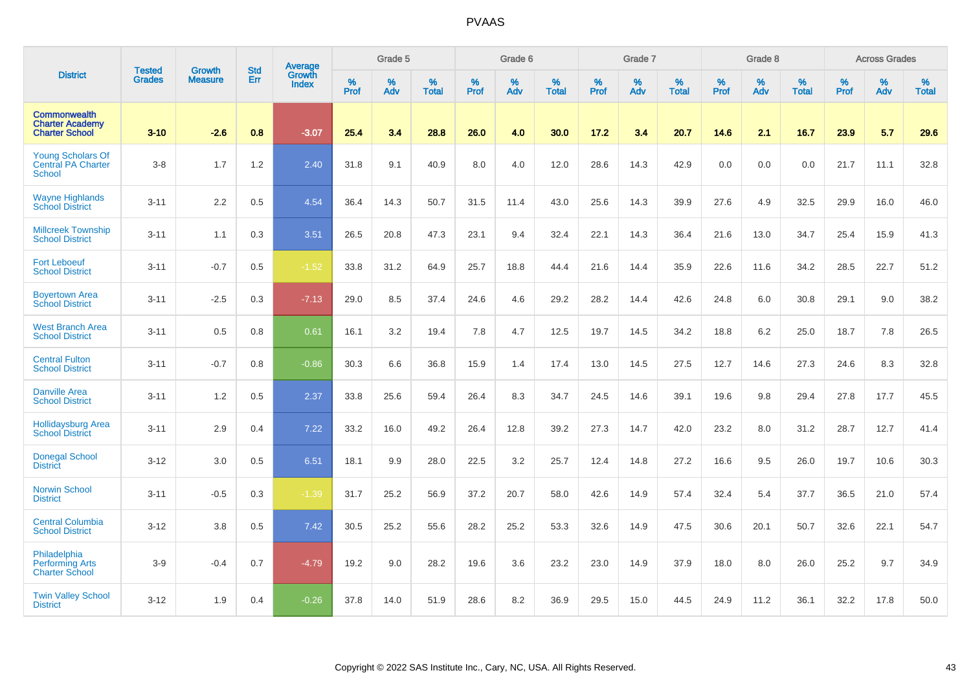|                                                                        |                                |                                 | <b>Std</b> | Average                |              | Grade 5  |                   |           | Grade 6  |                   |           | Grade 7  |                   |           | Grade 8  |                   |           | <b>Across Grades</b> |                   |
|------------------------------------------------------------------------|--------------------------------|---------------------------------|------------|------------------------|--------------|----------|-------------------|-----------|----------|-------------------|-----------|----------|-------------------|-----------|----------|-------------------|-----------|----------------------|-------------------|
| <b>District</b>                                                        | <b>Tested</b><br><b>Grades</b> | <b>Growth</b><br><b>Measure</b> | Err        | Growth<br><b>Index</b> | $\%$<br>Prof | %<br>Adv | %<br><b>Total</b> | %<br>Prof | %<br>Adv | %<br><b>Total</b> | %<br>Prof | %<br>Adv | %<br><b>Total</b> | %<br>Prof | %<br>Adv | %<br><b>Total</b> | %<br>Prof | %<br>Adv             | %<br><b>Total</b> |
| <b>Commonwealth</b><br><b>Charter Academy</b><br><b>Charter School</b> | $3 - 10$                       | $-2.6$                          | 0.8        | $-3.07$                | 25.4         | 3.4      | 28.8              | 26.0      | 4.0      | 30.0              | 17.2      | 3.4      | 20.7              | 14.6      | 2.1      | 16.7              | 23.9      | 5.7                  | 29.6              |
| <b>Young Scholars Of</b><br><b>Central PA Charter</b><br>School        | $3-8$                          | 1.7                             | 1.2        | 2.40                   | 31.8         | 9.1      | 40.9              | 8.0       | 4.0      | 12.0              | 28.6      | 14.3     | 42.9              | 0.0       | 0.0      | 0.0               | 21.7      | 11.1                 | 32.8              |
| <b>Wayne Highlands</b><br><b>School District</b>                       | $3 - 11$                       | 2.2                             | 0.5        | 4.54                   | 36.4         | 14.3     | 50.7              | 31.5      | 11.4     | 43.0              | 25.6      | 14.3     | 39.9              | 27.6      | 4.9      | 32.5              | 29.9      | 16.0                 | 46.0              |
| <b>Millcreek Township</b><br><b>School District</b>                    | $3 - 11$                       | 1.1                             | 0.3        | 3.51                   | 26.5         | 20.8     | 47.3              | 23.1      | 9.4      | 32.4              | 22.1      | 14.3     | 36.4              | 21.6      | 13.0     | 34.7              | 25.4      | 15.9                 | 41.3              |
| <b>Fort Leboeuf</b><br><b>School District</b>                          | $3 - 11$                       | $-0.7$                          | 0.5        | $-1.52$                | 33.8         | 31.2     | 64.9              | 25.7      | 18.8     | 44.4              | 21.6      | 14.4     | 35.9              | 22.6      | 11.6     | 34.2              | 28.5      | 22.7                 | 51.2              |
| <b>Boyertown Area</b><br><b>School District</b>                        | $3 - 11$                       | $-2.5$                          | 0.3        | $-7.13$                | 29.0         | 8.5      | 37.4              | 24.6      | 4.6      | 29.2              | 28.2      | 14.4     | 42.6              | 24.8      | 6.0      | 30.8              | 29.1      | 9.0                  | 38.2              |
| <b>West Branch Area</b><br><b>School District</b>                      | $3 - 11$                       | 0.5                             | 0.8        | 0.61                   | 16.1         | 3.2      | 19.4              | 7.8       | 4.7      | 12.5              | 19.7      | 14.5     | 34.2              | 18.8      | 6.2      | 25.0              | 18.7      | 7.8                  | 26.5              |
| <b>Central Fulton</b><br><b>School District</b>                        | $3 - 11$                       | $-0.7$                          | 0.8        | $-0.86$                | 30.3         | 6.6      | 36.8              | 15.9      | 1.4      | 17.4              | 13.0      | 14.5     | 27.5              | 12.7      | 14.6     | 27.3              | 24.6      | 8.3                  | 32.8              |
| <b>Danville Area</b><br><b>School District</b>                         | $3 - 11$                       | 1.2                             | 0.5        | 2.37                   | 33.8         | 25.6     | 59.4              | 26.4      | 8.3      | 34.7              | 24.5      | 14.6     | 39.1              | 19.6      | 9.8      | 29.4              | 27.8      | 17.7                 | 45.5              |
| <b>Hollidaysburg Area</b><br>School District                           | $3 - 11$                       | 2.9                             | 0.4        | 7.22                   | 33.2         | 16.0     | 49.2              | 26.4      | 12.8     | 39.2              | 27.3      | 14.7     | 42.0              | 23.2      | 8.0      | 31.2              | 28.7      | 12.7                 | 41.4              |
| <b>Donegal School</b><br><b>District</b>                               | $3 - 12$                       | 3.0                             | 0.5        | 6.51                   | 18.1         | 9.9      | 28.0              | 22.5      | 3.2      | 25.7              | 12.4      | 14.8     | 27.2              | 16.6      | 9.5      | 26.0              | 19.7      | 10.6                 | 30.3              |
| <b>Norwin School</b><br><b>District</b>                                | $3 - 11$                       | $-0.5$                          | 0.3        | $-1.39$                | 31.7         | 25.2     | 56.9              | 37.2      | 20.7     | 58.0              | 42.6      | 14.9     | 57.4              | 32.4      | 5.4      | 37.7              | 36.5      | 21.0                 | 57.4              |
| <b>Central Columbia</b><br><b>School District</b>                      | $3 - 12$                       | 3.8                             | 0.5        | 7.42                   | 30.5         | 25.2     | 55.6              | 28.2      | 25.2     | 53.3              | 32.6      | 14.9     | 47.5              | 30.6      | 20.1     | 50.7              | 32.6      | 22.1                 | 54.7              |
| Philadelphia<br><b>Performing Arts</b><br><b>Charter School</b>        | $3-9$                          | $-0.4$                          | 0.7        | $-4.79$                | 19.2         | 9.0      | 28.2              | 19.6      | 3.6      | 23.2              | 23.0      | 14.9     | 37.9              | 18.0      | 8.0      | 26.0              | 25.2      | 9.7                  | 34.9              |
| <b>Twin Valley School</b><br><b>District</b>                           | $3 - 12$                       | 1.9                             | 0.4        | $-0.26$                | 37.8         | 14.0     | 51.9              | 28.6      | 8.2      | 36.9              | 29.5      | 15.0     | 44.5              | 24.9      | 11.2     | 36.1              | 32.2      | 17.8                 | 50.0              |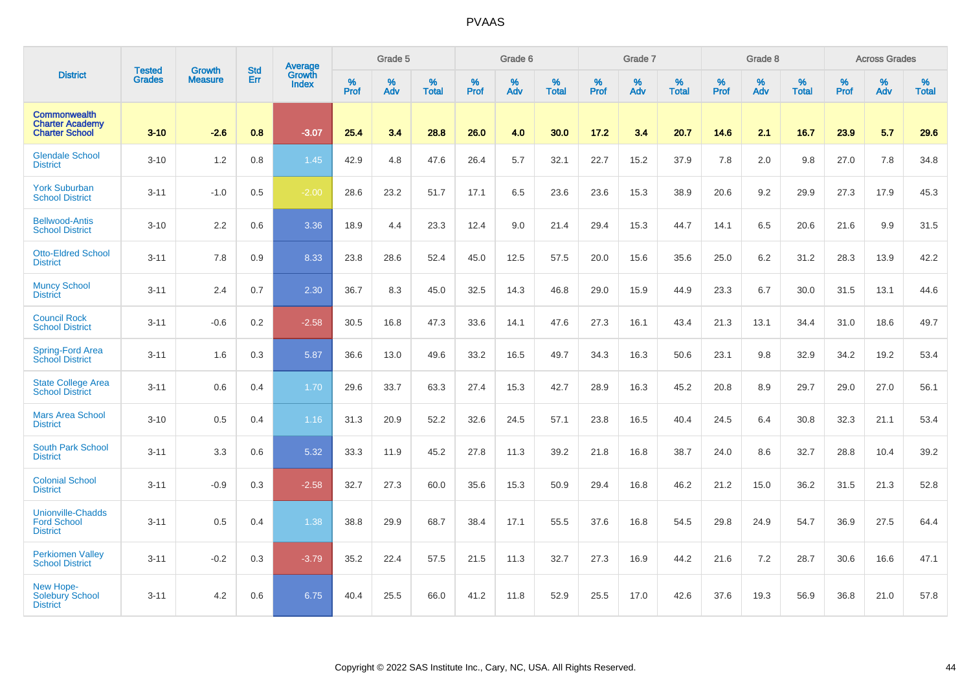|                                                                        |                                |                                 | <b>Std</b> | Average                |           | Grade 5  |                   |           | Grade 6  |                   |           | Grade 7  |                   |           | Grade 8  |                   |           | <b>Across Grades</b> |                   |
|------------------------------------------------------------------------|--------------------------------|---------------------------------|------------|------------------------|-----------|----------|-------------------|-----------|----------|-------------------|-----------|----------|-------------------|-----------|----------|-------------------|-----------|----------------------|-------------------|
| <b>District</b>                                                        | <b>Tested</b><br><b>Grades</b> | <b>Growth</b><br><b>Measure</b> | Err        | Growth<br><b>Index</b> | %<br>Prof | %<br>Adv | %<br><b>Total</b> | %<br>Prof | %<br>Adv | %<br><b>Total</b> | %<br>Prof | %<br>Adv | %<br><b>Total</b> | %<br>Prof | %<br>Adv | %<br><b>Total</b> | %<br>Prof | %<br>Adv             | %<br><b>Total</b> |
| <b>Commonwealth</b><br><b>Charter Academy</b><br><b>Charter School</b> | $3 - 10$                       | $-2.6$                          | 0.8        | $-3.07$                | 25.4      | 3.4      | 28.8              | 26.0      | 4.0      | 30.0              | 17.2      | 3.4      | 20.7              | 14.6      | 2.1      | 16.7              | 23.9      | 5.7                  | 29.6              |
| <b>Glendale School</b><br><b>District</b>                              | $3 - 10$                       | 1.2                             | 0.8        | 1.45                   | 42.9      | 4.8      | 47.6              | 26.4      | 5.7      | 32.1              | 22.7      | 15.2     | 37.9              | 7.8       | 2.0      | 9.8               | 27.0      | 7.8                  | 34.8              |
| <b>York Suburban</b><br><b>School District</b>                         | $3 - 11$                       | $-1.0$                          | 0.5        | $-2.00$                | 28.6      | 23.2     | 51.7              | 17.1      | 6.5      | 23.6              | 23.6      | 15.3     | 38.9              | 20.6      | 9.2      | 29.9              | 27.3      | 17.9                 | 45.3              |
| <b>Bellwood-Antis</b><br><b>School District</b>                        | $3 - 10$                       | 2.2                             | 0.6        | 3.36                   | 18.9      | 4.4      | 23.3              | 12.4      | 9.0      | 21.4              | 29.4      | 15.3     | 44.7              | 14.1      | 6.5      | 20.6              | 21.6      | 9.9                  | 31.5              |
| <b>Otto-Eldred School</b><br><b>District</b>                           | $3 - 11$                       | 7.8                             | 0.9        | 8.33                   | 23.8      | 28.6     | 52.4              | 45.0      | 12.5     | 57.5              | 20.0      | 15.6     | 35.6              | 25.0      | 6.2      | 31.2              | 28.3      | 13.9                 | 42.2              |
| <b>Muncy School</b><br><b>District</b>                                 | $3 - 11$                       | 2.4                             | 0.7        | 2.30                   | 36.7      | 8.3      | 45.0              | 32.5      | 14.3     | 46.8              | 29.0      | 15.9     | 44.9              | 23.3      | 6.7      | 30.0              | 31.5      | 13.1                 | 44.6              |
| <b>Council Rock</b><br><b>School District</b>                          | $3 - 11$                       | $-0.6$                          | 0.2        | $-2.58$                | 30.5      | 16.8     | 47.3              | 33.6      | 14.1     | 47.6              | 27.3      | 16.1     | 43.4              | 21.3      | 13.1     | 34.4              | 31.0      | 18.6                 | 49.7              |
| Spring-Ford Area<br><b>School District</b>                             | $3 - 11$                       | 1.6                             | 0.3        | 5.87                   | 36.6      | 13.0     | 49.6              | 33.2      | 16.5     | 49.7              | 34.3      | 16.3     | 50.6              | 23.1      | 9.8      | 32.9              | 34.2      | 19.2                 | 53.4              |
| <b>State College Area</b><br><b>School District</b>                    | $3 - 11$                       | 0.6                             | 0.4        | 1.70                   | 29.6      | 33.7     | 63.3              | 27.4      | 15.3     | 42.7              | 28.9      | 16.3     | 45.2              | 20.8      | 8.9      | 29.7              | 29.0      | 27.0                 | 56.1              |
| <b>Mars Area School</b><br><b>District</b>                             | $3 - 10$                       | 0.5                             | 0.4        | 1.16                   | 31.3      | 20.9     | 52.2              | 32.6      | 24.5     | 57.1              | 23.8      | 16.5     | 40.4              | 24.5      | 6.4      | 30.8              | 32.3      | 21.1                 | 53.4              |
| <b>South Park School</b><br><b>District</b>                            | $3 - 11$                       | 3.3                             | 0.6        | 5.32                   | 33.3      | 11.9     | 45.2              | 27.8      | 11.3     | 39.2              | 21.8      | 16.8     | 38.7              | 24.0      | 8.6      | 32.7              | 28.8      | 10.4                 | 39.2              |
| <b>Colonial School</b><br><b>District</b>                              | $3 - 11$                       | $-0.9$                          | 0.3        | $-2.58$                | 32.7      | 27.3     | 60.0              | 35.6      | 15.3     | 50.9              | 29.4      | 16.8     | 46.2              | 21.2      | 15.0     | 36.2              | 31.5      | 21.3                 | 52.8              |
| <b>Unionville-Chadds</b><br><b>Ford School</b><br><b>District</b>      | $3 - 11$                       | 0.5                             | 0.4        | 1.38                   | 38.8      | 29.9     | 68.7              | 38.4      | 17.1     | 55.5              | 37.6      | 16.8     | 54.5              | 29.8      | 24.9     | 54.7              | 36.9      | 27.5                 | 64.4              |
| <b>Perkiomen Valley</b><br><b>School District</b>                      | $3 - 11$                       | $-0.2$                          | 0.3        | $-3.79$                | 35.2      | 22.4     | 57.5              | 21.5      | 11.3     | 32.7              | 27.3      | 16.9     | 44.2              | 21.6      | 7.2      | 28.7              | 30.6      | 16.6                 | 47.1              |
| New Hope-<br><b>Solebury School</b><br><b>District</b>                 | $3 - 11$                       | 4.2                             | 0.6        | 6.75                   | 40.4      | 25.5     | 66.0              | 41.2      | 11.8     | 52.9              | 25.5      | 17.0     | 42.6              | 37.6      | 19.3     | 56.9              | 36.8      | 21.0                 | 57.8              |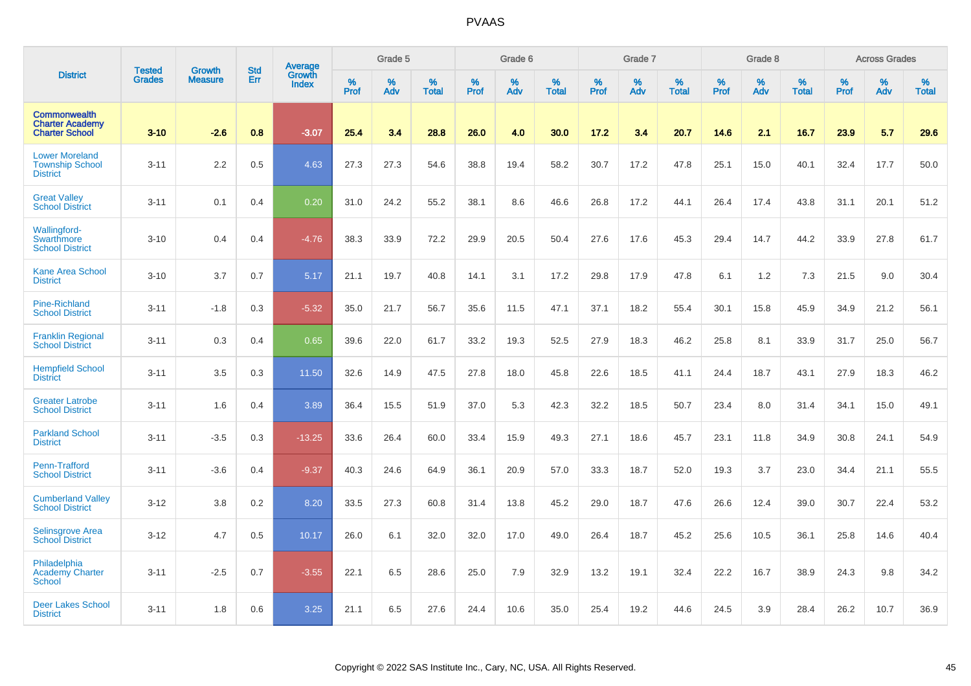|                                                                        |                                |                                 | <b>Std</b> | <b>Average</b>         |              | Grade 5  |                   |           | Grade 6  |                   |           | Grade 7  |                   |           | Grade 8  |                   |           | <b>Across Grades</b> |                   |
|------------------------------------------------------------------------|--------------------------------|---------------------------------|------------|------------------------|--------------|----------|-------------------|-----------|----------|-------------------|-----------|----------|-------------------|-----------|----------|-------------------|-----------|----------------------|-------------------|
| <b>District</b>                                                        | <b>Tested</b><br><b>Grades</b> | <b>Growth</b><br><b>Measure</b> | Err        | Growth<br><b>Index</b> | $\%$<br>Prof | %<br>Adv | %<br><b>Total</b> | %<br>Prof | %<br>Adv | %<br><b>Total</b> | %<br>Prof | %<br>Adv | %<br><b>Total</b> | %<br>Prof | %<br>Adv | %<br><b>Total</b> | %<br>Prof | %<br>Adv             | %<br><b>Total</b> |
| <b>Commonwealth</b><br><b>Charter Academy</b><br><b>Charter School</b> | $3 - 10$                       | $-2.6$                          | 0.8        | $-3.07$                | 25.4         | 3.4      | 28.8              | 26.0      | 4.0      | 30.0              | 17.2      | 3.4      | 20.7              | 14.6      | 2.1      | 16.7              | 23.9      | 5.7                  | 29.6              |
| <b>Lower Moreland</b><br><b>Township School</b><br><b>District</b>     | $3 - 11$                       | 2.2                             | 0.5        | 4.63                   | 27.3         | 27.3     | 54.6              | 38.8      | 19.4     | 58.2              | 30.7      | 17.2     | 47.8              | 25.1      | 15.0     | 40.1              | 32.4      | 17.7                 | 50.0              |
| <b>Great Valley</b><br><b>School District</b>                          | $3 - 11$                       | 0.1                             | 0.4        | 0.20                   | 31.0         | 24.2     | 55.2              | 38.1      | 8.6      | 46.6              | 26.8      | 17.2     | 44.1              | 26.4      | 17.4     | 43.8              | 31.1      | 20.1                 | 51.2              |
| Wallingford-<br>Swarthmore<br><b>School District</b>                   | $3 - 10$                       | 0.4                             | 0.4        | $-4.76$                | 38.3         | 33.9     | 72.2              | 29.9      | 20.5     | 50.4              | 27.6      | 17.6     | 45.3              | 29.4      | 14.7     | 44.2              | 33.9      | 27.8                 | 61.7              |
| <b>Kane Area School</b><br><b>District</b>                             | $3 - 10$                       | 3.7                             | 0.7        | 5.17                   | 21.1         | 19.7     | 40.8              | 14.1      | 3.1      | 17.2              | 29.8      | 17.9     | 47.8              | 6.1       | 1.2      | 7.3               | 21.5      | 9.0                  | 30.4              |
| <b>Pine-Richland</b><br><b>School District</b>                         | $3 - 11$                       | $-1.8$                          | 0.3        | $-5.32$                | 35.0         | 21.7     | 56.7              | 35.6      | 11.5     | 47.1              | 37.1      | 18.2     | 55.4              | 30.1      | 15.8     | 45.9              | 34.9      | 21.2                 | 56.1              |
| <b>Franklin Regional</b><br><b>School District</b>                     | $3 - 11$                       | 0.3                             | 0.4        | 0.65                   | 39.6         | 22.0     | 61.7              | 33.2      | 19.3     | 52.5              | 27.9      | 18.3     | 46.2              | 25.8      | 8.1      | 33.9              | 31.7      | 25.0                 | 56.7              |
| <b>Hempfield School</b><br><b>District</b>                             | $3 - 11$                       | 3.5                             | 0.3        | 11.50                  | 32.6         | 14.9     | 47.5              | 27.8      | 18.0     | 45.8              | 22.6      | 18.5     | 41.1              | 24.4      | 18.7     | 43.1              | 27.9      | 18.3                 | 46.2              |
| <b>Greater Latrobe</b><br><b>School District</b>                       | $3 - 11$                       | 1.6                             | 0.4        | 3.89                   | 36.4         | 15.5     | 51.9              | 37.0      | 5.3      | 42.3              | 32.2      | 18.5     | 50.7              | 23.4      | 8.0      | 31.4              | 34.1      | 15.0                 | 49.1              |
| <b>Parkland School</b><br><b>District</b>                              | $3 - 11$                       | $-3.5$                          | 0.3        | $-13.25$               | 33.6         | 26.4     | 60.0              | 33.4      | 15.9     | 49.3              | 27.1      | 18.6     | 45.7              | 23.1      | 11.8     | 34.9              | 30.8      | 24.1                 | 54.9              |
| Penn-Trafford<br><b>School District</b>                                | $3 - 11$                       | $-3.6$                          | 0.4        | $-9.37$                | 40.3         | 24.6     | 64.9              | 36.1      | 20.9     | 57.0              | 33.3      | 18.7     | 52.0              | 19.3      | 3.7      | 23.0              | 34.4      | 21.1                 | 55.5              |
| <b>Cumberland Valley</b><br><b>School District</b>                     | $3 - 12$                       | 3.8                             | 0.2        | 8.20                   | 33.5         | 27.3     | 60.8              | 31.4      | 13.8     | 45.2              | 29.0      | 18.7     | 47.6              | 26.6      | 12.4     | 39.0              | 30.7      | 22.4                 | 53.2              |
| <b>Selinsgrove Area</b><br><b>School District</b>                      | $3 - 12$                       | 4.7                             | 0.5        | 10.17                  | 26.0         | 6.1      | 32.0              | 32.0      | 17.0     | 49.0              | 26.4      | 18.7     | 45.2              | 25.6      | 10.5     | 36.1              | 25.8      | 14.6                 | 40.4              |
| Philadelphia<br><b>Academy Charter</b><br>School                       | $3 - 11$                       | $-2.5$                          | 0.7        | $-3.55$                | 22.1         | 6.5      | 28.6              | 25.0      | 7.9      | 32.9              | 13.2      | 19.1     | 32.4              | 22.2      | 16.7     | 38.9              | 24.3      | 9.8                  | 34.2              |
| <b>Deer Lakes School</b><br><b>District</b>                            | $3 - 11$                       | 1.8                             | 0.6        | 3.25                   | 21.1         | 6.5      | 27.6              | 24.4      | 10.6     | 35.0              | 25.4      | 19.2     | 44.6              | 24.5      | 3.9      | 28.4              | 26.2      | 10.7                 | 36.9              |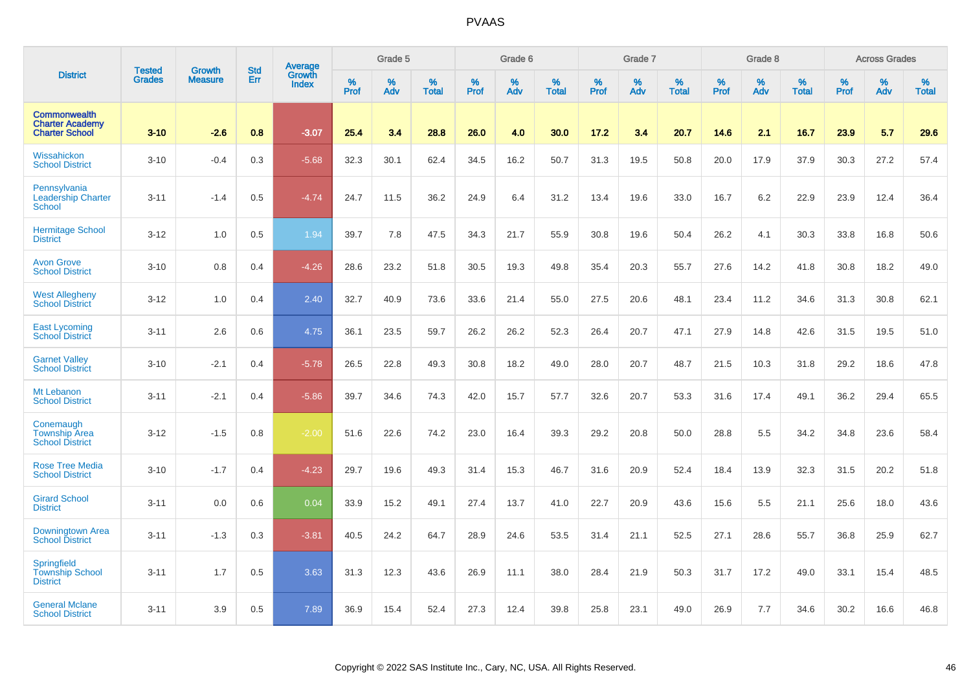|                                                                        |                                |                                 | <b>Std</b> | Average                |              | Grade 5  |                   |           | Grade 6  |                   |           | Grade 7  |                   |           | Grade 8  |                   |           | <b>Across Grades</b> |                   |
|------------------------------------------------------------------------|--------------------------------|---------------------------------|------------|------------------------|--------------|----------|-------------------|-----------|----------|-------------------|-----------|----------|-------------------|-----------|----------|-------------------|-----------|----------------------|-------------------|
| <b>District</b>                                                        | <b>Tested</b><br><b>Grades</b> | <b>Growth</b><br><b>Measure</b> | Err        | Growth<br><b>Index</b> | $\%$<br>Prof | %<br>Adv | %<br><b>Total</b> | %<br>Prof | %<br>Adv | %<br><b>Total</b> | %<br>Prof | %<br>Adv | %<br><b>Total</b> | %<br>Prof | %<br>Adv | %<br><b>Total</b> | %<br>Prof | %<br>Adv             | %<br><b>Total</b> |
| <b>Commonwealth</b><br><b>Charter Academy</b><br><b>Charter School</b> | $3 - 10$                       | $-2.6$                          | 0.8        | $-3.07$                | 25.4         | 3.4      | 28.8              | 26.0      | 4.0      | 30.0              | 17.2      | 3.4      | 20.7              | 14.6      | 2.1      | 16.7              | 23.9      | 5.7                  | 29.6              |
| Wissahickon<br><b>School District</b>                                  | $3 - 10$                       | $-0.4$                          | 0.3        | $-5.68$                | 32.3         | 30.1     | 62.4              | 34.5      | 16.2     | 50.7              | 31.3      | 19.5     | 50.8              | 20.0      | 17.9     | 37.9              | 30.3      | 27.2                 | 57.4              |
| Pennsylvania<br><b>Leadership Charter</b><br><b>School</b>             | $3 - 11$                       | $-1.4$                          | 0.5        | $-4.74$                | 24.7         | 11.5     | 36.2              | 24.9      | 6.4      | 31.2              | 13.4      | 19.6     | 33.0              | 16.7      | 6.2      | 22.9              | 23.9      | 12.4                 | 36.4              |
| <b>Hermitage School</b><br><b>District</b>                             | $3 - 12$                       | 1.0                             | 0.5        | 1.94                   | 39.7         | 7.8      | 47.5              | 34.3      | 21.7     | 55.9              | 30.8      | 19.6     | 50.4              | 26.2      | 4.1      | 30.3              | 33.8      | 16.8                 | 50.6              |
| <b>Avon Grove</b><br><b>School District</b>                            | $3 - 10$                       | 0.8                             | 0.4        | $-4.26$                | 28.6         | 23.2     | 51.8              | 30.5      | 19.3     | 49.8              | 35.4      | 20.3     | 55.7              | 27.6      | 14.2     | 41.8              | 30.8      | 18.2                 | 49.0              |
| <b>West Allegheny</b><br>School District                               | $3 - 12$                       | 1.0                             | 0.4        | 2.40                   | 32.7         | 40.9     | 73.6              | 33.6      | 21.4     | 55.0              | 27.5      | 20.6     | 48.1              | 23.4      | 11.2     | 34.6              | 31.3      | 30.8                 | 62.1              |
| <b>East Lycoming</b><br><b>School District</b>                         | $3 - 11$                       | 2.6                             | 0.6        | 4.75                   | 36.1         | 23.5     | 59.7              | 26.2      | 26.2     | 52.3              | 26.4      | 20.7     | 47.1              | 27.9      | 14.8     | 42.6              | 31.5      | 19.5                 | 51.0              |
| <b>Garnet Valley</b><br><b>School District</b>                         | $3 - 10$                       | $-2.1$                          | 0.4        | $-5.78$                | 26.5         | 22.8     | 49.3              | 30.8      | 18.2     | 49.0              | 28.0      | 20.7     | 48.7              | 21.5      | 10.3     | 31.8              | 29.2      | 18.6                 | 47.8              |
| Mt Lebanon<br><b>School District</b>                                   | $3 - 11$                       | $-2.1$                          | 0.4        | $-5.86$                | 39.7         | 34.6     | 74.3              | 42.0      | 15.7     | 57.7              | 32.6      | 20.7     | 53.3              | 31.6      | 17.4     | 49.1              | 36.2      | 29.4                 | 65.5              |
| Conemaugh<br><b>Township Area</b><br><b>School District</b>            | $3 - 12$                       | $-1.5$                          | 0.8        | $-2.00$                | 51.6         | 22.6     | 74.2              | 23.0      | 16.4     | 39.3              | 29.2      | 20.8     | 50.0              | 28.8      | 5.5      | 34.2              | 34.8      | 23.6                 | 58.4              |
| <b>Rose Tree Media</b><br><b>School District</b>                       | $3 - 10$                       | $-1.7$                          | 0.4        | $-4.23$                | 29.7         | 19.6     | 49.3              | 31.4      | 15.3     | 46.7              | 31.6      | 20.9     | 52.4              | 18.4      | 13.9     | 32.3              | 31.5      | 20.2                 | 51.8              |
| <b>Girard School</b><br><b>District</b>                                | $3 - 11$                       | 0.0                             | 0.6        | 0.04                   | 33.9         | 15.2     | 49.1              | 27.4      | 13.7     | 41.0              | 22.7      | 20.9     | 43.6              | 15.6      | 5.5      | 21.1              | 25.6      | 18.0                 | 43.6              |
| Downingtown Area<br><b>School District</b>                             | $3 - 11$                       | $-1.3$                          | 0.3        | $-3.81$                | 40.5         | 24.2     | 64.7              | 28.9      | 24.6     | 53.5              | 31.4      | 21.1     | 52.5              | 27.1      | 28.6     | 55.7              | 36.8      | 25.9                 | 62.7              |
| Springfield<br><b>Township School</b><br><b>District</b>               | $3 - 11$                       | 1.7                             | 0.5        | 3.63                   | 31.3         | 12.3     | 43.6              | 26.9      | 11.1     | 38.0              | 28.4      | 21.9     | 50.3              | 31.7      | 17.2     | 49.0              | 33.1      | 15.4                 | 48.5              |
| <b>General Mclane</b><br><b>School District</b>                        | $3 - 11$                       | 3.9                             | 0.5        | 7.89                   | 36.9         | 15.4     | 52.4              | 27.3      | 12.4     | 39.8              | 25.8      | 23.1     | 49.0              | 26.9      | 7.7      | 34.6              | 30.2      | 16.6                 | 46.8              |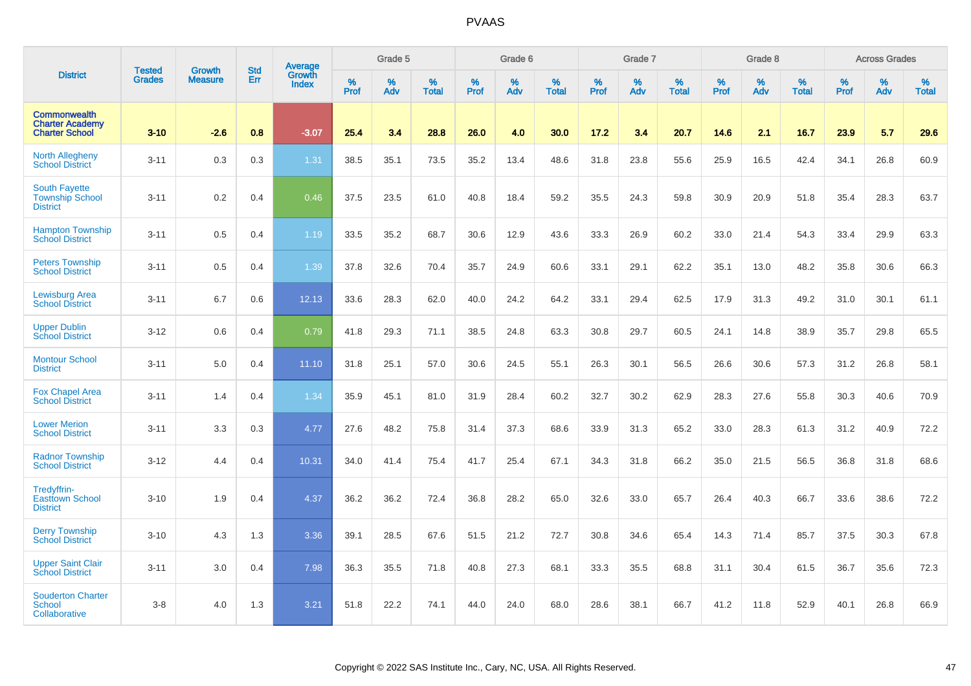|                                                                        | <b>Tested</b> | <b>Growth</b>  | <b>Std</b> | Average                |                     | Grade 5  |                   |                  | Grade 6  |                   |                  | Grade 7  |                   |                  | Grade 8     |                   |           | <b>Across Grades</b> |                   |
|------------------------------------------------------------------------|---------------|----------------|------------|------------------------|---------------------|----------|-------------------|------------------|----------|-------------------|------------------|----------|-------------------|------------------|-------------|-------------------|-----------|----------------------|-------------------|
| <b>District</b>                                                        | <b>Grades</b> | <b>Measure</b> | Err        | Growth<br><b>Index</b> | $\%$<br><b>Prof</b> | %<br>Adv | %<br><b>Total</b> | %<br><b>Prof</b> | %<br>Adv | %<br><b>Total</b> | %<br><b>Prof</b> | %<br>Adv | %<br><b>Total</b> | %<br><b>Prof</b> | $\%$<br>Adv | %<br><b>Total</b> | %<br>Prof | %<br>Adv             | %<br><b>Total</b> |
| <b>Commonwealth</b><br><b>Charter Academy</b><br><b>Charter School</b> | $3 - 10$      | $-2.6$         | 0.8        | $-3.07$                | 25.4                | 3.4      | 28.8              | 26.0             | 4.0      | 30.0              | 17.2             | 3.4      | 20.7              | 14.6             | 2.1         | 16.7              | 23.9      | 5.7                  | 29.6              |
| <b>North Allegheny</b><br><b>School District</b>                       | $3 - 11$      | 0.3            | 0.3        | 1.31                   | 38.5                | 35.1     | 73.5              | 35.2             | 13.4     | 48.6              | 31.8             | 23.8     | 55.6              | 25.9             | 16.5        | 42.4              | 34.1      | 26.8                 | 60.9              |
| <b>South Fayette</b><br><b>Township School</b><br><b>District</b>      | $3 - 11$      | 0.2            | 0.4        | 0.46                   | 37.5                | 23.5     | 61.0              | 40.8             | 18.4     | 59.2              | 35.5             | 24.3     | 59.8              | 30.9             | 20.9        | 51.8              | 35.4      | 28.3                 | 63.7              |
| <b>Hampton Township</b><br><b>School District</b>                      | $3 - 11$      | 0.5            | 0.4        | 1.19                   | 33.5                | 35.2     | 68.7              | 30.6             | 12.9     | 43.6              | 33.3             | 26.9     | 60.2              | 33.0             | 21.4        | 54.3              | 33.4      | 29.9                 | 63.3              |
| <b>Peters Township</b><br><b>School District</b>                       | $3 - 11$      | 0.5            | 0.4        | 1.39                   | 37.8                | 32.6     | 70.4              | 35.7             | 24.9     | 60.6              | 33.1             | 29.1     | 62.2              | 35.1             | 13.0        | 48.2              | 35.8      | 30.6                 | 66.3              |
| Lewisburg Area<br><b>School District</b>                               | $3 - 11$      | 6.7            | 0.6        | 12.13                  | 33.6                | 28.3     | 62.0              | 40.0             | 24.2     | 64.2              | 33.1             | 29.4     | 62.5              | 17.9             | 31.3        | 49.2              | 31.0      | 30.1                 | 61.1              |
| <b>Upper Dublin</b><br><b>School District</b>                          | $3 - 12$      | 0.6            | 0.4        | 0.79                   | 41.8                | 29.3     | 71.1              | 38.5             | 24.8     | 63.3              | 30.8             | 29.7     | 60.5              | 24.1             | 14.8        | 38.9              | 35.7      | 29.8                 | 65.5              |
| <b>Montour School</b><br><b>District</b>                               | $3 - 11$      | 5.0            | 0.4        | 11.10                  | 31.8                | 25.1     | 57.0              | 30.6             | 24.5     | 55.1              | 26.3             | 30.1     | 56.5              | 26.6             | 30.6        | 57.3              | 31.2      | 26.8                 | 58.1              |
| <b>Fox Chapel Area</b><br><b>School District</b>                       | $3 - 11$      | 1.4            | 0.4        | 1.34                   | 35.9                | 45.1     | 81.0              | 31.9             | 28.4     | 60.2              | 32.7             | 30.2     | 62.9              | 28.3             | 27.6        | 55.8              | 30.3      | 40.6                 | 70.9              |
| <b>Lower Merion</b><br><b>School District</b>                          | $3 - 11$      | 3.3            | 0.3        | 4.77                   | 27.6                | 48.2     | 75.8              | 31.4             | 37.3     | 68.6              | 33.9             | 31.3     | 65.2              | 33.0             | 28.3        | 61.3              | 31.2      | 40.9                 | 72.2              |
| <b>Radnor Township</b><br><b>School District</b>                       | $3 - 12$      | 4.4            | 0.4        | 10.31                  | 34.0                | 41.4     | 75.4              | 41.7             | 25.4     | 67.1              | 34.3             | 31.8     | 66.2              | 35.0             | 21.5        | 56.5              | 36.8      | 31.8                 | 68.6              |
| Tredyffrin-<br><b>Easttown School</b><br><b>District</b>               | $3 - 10$      | 1.9            | 0.4        | 4.37                   | 36.2                | 36.2     | 72.4              | 36.8             | 28.2     | 65.0              | 32.6             | 33.0     | 65.7              | 26.4             | 40.3        | 66.7              | 33.6      | 38.6                 | 72.2              |
| <b>Derry Township</b><br><b>School District</b>                        | $3 - 10$      | 4.3            | 1.3        | 3.36                   | 39.1                | 28.5     | 67.6              | 51.5             | 21.2     | 72.7              | 30.8             | 34.6     | 65.4              | 14.3             | 71.4        | 85.7              | 37.5      | 30.3                 | 67.8              |
| <b>Upper Saint Clair</b><br><b>School District</b>                     | $3 - 11$      | 3.0            | 0.4        | 7.98                   | 36.3                | 35.5     | 71.8              | 40.8             | 27.3     | 68.1              | 33.3             | 35.5     | 68.8              | 31.1             | 30.4        | 61.5              | 36.7      | 35.6                 | 72.3              |
| <b>Souderton Charter</b><br>School<br>Collaborative                    | $3-8$         | 4.0            | 1.3        | 3.21                   | 51.8                | 22.2     | 74.1              | 44.0             | 24.0     | 68.0              | 28.6             | 38.1     | 66.7              | 41.2             | 11.8        | 52.9              | 40.1      | 26.8                 | 66.9              |